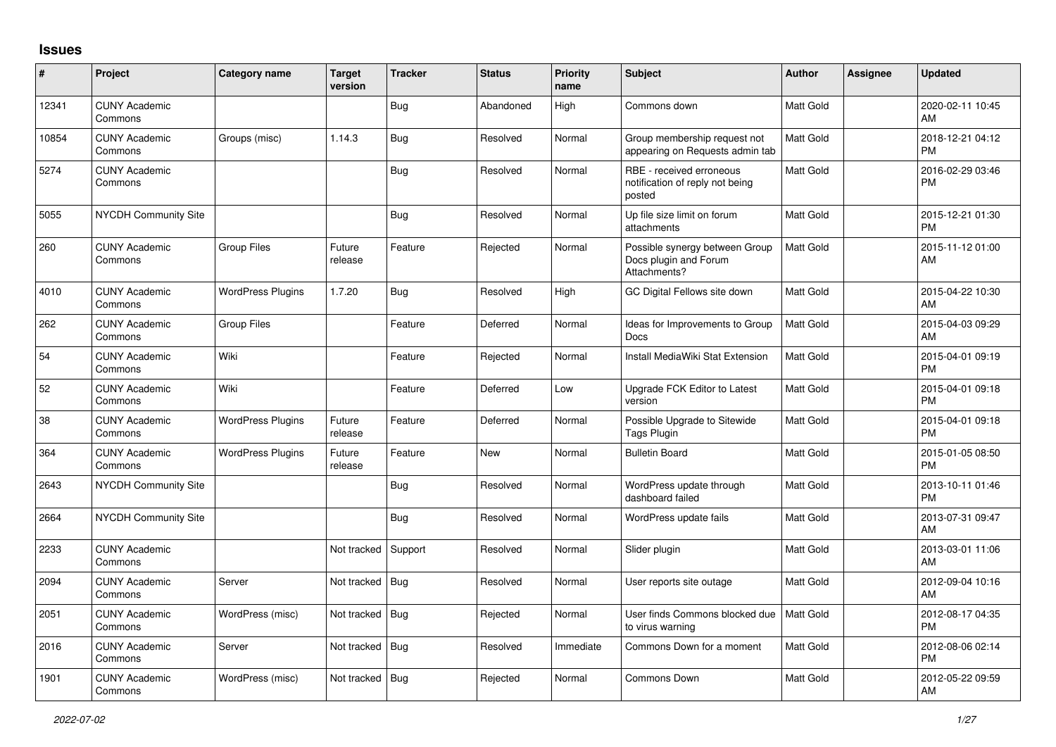## **Issues**

| $\sharp$ | Project                         | Category name            | <b>Target</b><br>version | <b>Tracker</b> | <b>Status</b> | <b>Priority</b><br>name | <b>Subject</b>                                                          | <b>Author</b>    | Assignee | <b>Updated</b>                |
|----------|---------------------------------|--------------------------|--------------------------|----------------|---------------|-------------------------|-------------------------------------------------------------------------|------------------|----------|-------------------------------|
| 12341    | <b>CUNY Academic</b><br>Commons |                          |                          | Bug            | Abandoned     | High                    | Commons down                                                            | <b>Matt Gold</b> |          | 2020-02-11 10:45<br>AM        |
| 10854    | <b>CUNY Academic</b><br>Commons | Groups (misc)            | 1.14.3                   | Bug            | Resolved      | Normal                  | Group membership request not<br>appearing on Requests admin tab         | <b>Matt Gold</b> |          | 2018-12-21 04:12<br><b>PM</b> |
| 5274     | <b>CUNY Academic</b><br>Commons |                          |                          | Bug            | Resolved      | Normal                  | RBE - received erroneous<br>notification of reply not being<br>posted   | Matt Gold        |          | 2016-02-29 03:46<br><b>PM</b> |
| 5055     | <b>NYCDH Community Site</b>     |                          |                          | Bug            | Resolved      | Normal                  | Up file size limit on forum<br>attachments                              | Matt Gold        |          | 2015-12-21 01:30<br><b>PM</b> |
| 260      | <b>CUNY Academic</b><br>Commons | <b>Group Files</b>       | Future<br>release        | Feature        | Rejected      | Normal                  | Possible synergy between Group<br>Docs plugin and Forum<br>Attachments? | <b>Matt Gold</b> |          | 2015-11-12 01:00<br>AM        |
| 4010     | <b>CUNY Academic</b><br>Commons | <b>WordPress Plugins</b> | 1.7.20                   | <b>Bug</b>     | Resolved      | High                    | GC Digital Fellows site down                                            | Matt Gold        |          | 2015-04-22 10:30<br>AM        |
| 262      | <b>CUNY Academic</b><br>Commons | <b>Group Files</b>       |                          | Feature        | Deferred      | Normal                  | Ideas for Improvements to Group<br>Docs                                 | <b>Matt Gold</b> |          | 2015-04-03 09:29<br>AM        |
| 54       | <b>CUNY Academic</b><br>Commons | Wiki                     |                          | Feature        | Rejected      | Normal                  | Install MediaWiki Stat Extension                                        | <b>Matt Gold</b> |          | 2015-04-01 09:19<br><b>PM</b> |
| 52       | <b>CUNY Academic</b><br>Commons | Wiki                     |                          | Feature        | Deferred      | Low                     | Upgrade FCK Editor to Latest<br>version                                 | Matt Gold        |          | 2015-04-01 09:18<br><b>PM</b> |
| 38       | <b>CUNY Academic</b><br>Commons | <b>WordPress Plugins</b> | Future<br>release        | Feature        | Deferred      | Normal                  | Possible Upgrade to Sitewide<br>Tags Plugin                             | <b>Matt Gold</b> |          | 2015-04-01 09:18<br><b>PM</b> |
| 364      | <b>CUNY Academic</b><br>Commons | <b>WordPress Plugins</b> | Future<br>release        | Feature        | New           | Normal                  | <b>Bulletin Board</b>                                                   | <b>Matt Gold</b> |          | 2015-01-05 08:50<br><b>PM</b> |
| 2643     | <b>NYCDH Community Site</b>     |                          |                          | <b>Bug</b>     | Resolved      | Normal                  | WordPress update through<br>dashboard failed                            | <b>Matt Gold</b> |          | 2013-10-11 01:46<br><b>PM</b> |
| 2664     | <b>NYCDH Community Site</b>     |                          |                          | <b>Bug</b>     | Resolved      | Normal                  | WordPress update fails                                                  | <b>Matt Gold</b> |          | 2013-07-31 09:47<br>AM        |
| 2233     | <b>CUNY Academic</b><br>Commons |                          | Not tracked              | Support        | Resolved      | Normal                  | Slider plugin                                                           | <b>Matt Gold</b> |          | 2013-03-01 11:06<br>AM        |
| 2094     | <b>CUNY Academic</b><br>Commons | Server                   | Not tracked              | Bug            | Resolved      | Normal                  | User reports site outage                                                | <b>Matt Gold</b> |          | 2012-09-04 10:16<br>AM        |
| 2051     | <b>CUNY Academic</b><br>Commons | WordPress (misc)         | Not tracked              | Bug            | Rejected      | Normal                  | User finds Commons blocked due<br>to virus warning                      | Matt Gold        |          | 2012-08-17 04:35<br><b>PM</b> |
| 2016     | <b>CUNY Academic</b><br>Commons | Server                   | Not tracked              | Bug            | Resolved      | Immediate               | Commons Down for a moment                                               | <b>Matt Gold</b> |          | 2012-08-06 02:14<br><b>PM</b> |
| 1901     | <b>CUNY Academic</b><br>Commons | WordPress (misc)         | Not tracked              | Bug            | Rejected      | Normal                  | <b>Commons Down</b>                                                     | Matt Gold        |          | 2012-05-22 09:59<br><b>AM</b> |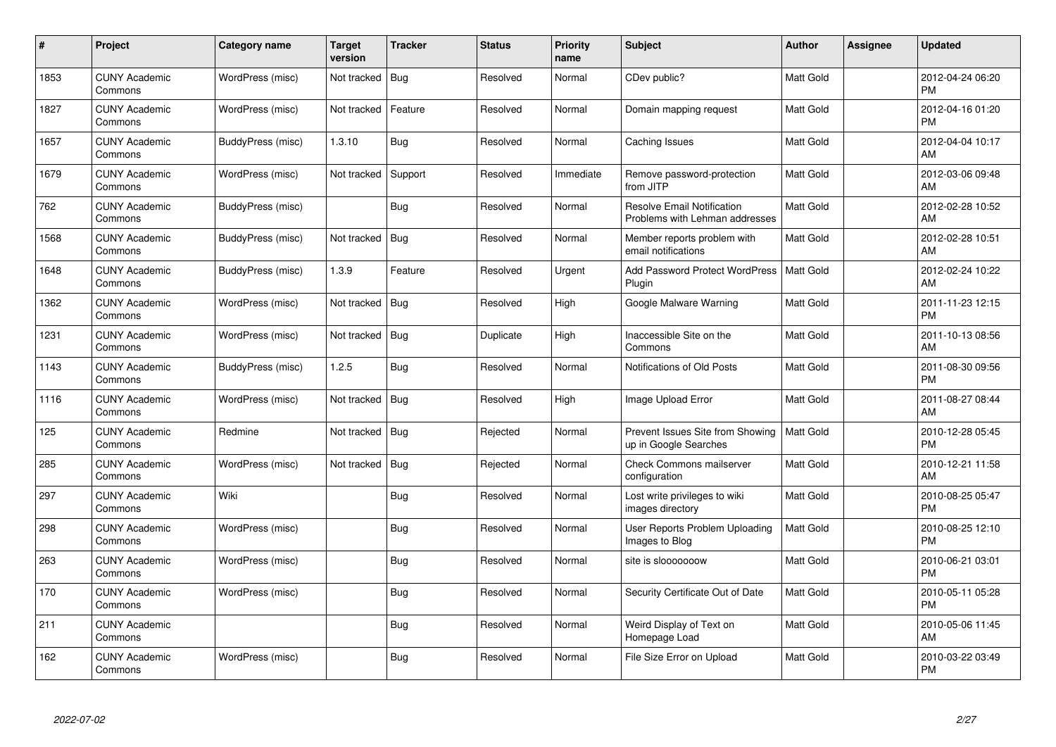| #    | Project                         | Category name     | <b>Target</b><br>version | <b>Tracker</b> | <b>Status</b> | <b>Priority</b><br>name | <b>Subject</b>                                                      | <b>Author</b>    | Assignee | <b>Updated</b>                |
|------|---------------------------------|-------------------|--------------------------|----------------|---------------|-------------------------|---------------------------------------------------------------------|------------------|----------|-------------------------------|
| 1853 | <b>CUNY Academic</b><br>Commons | WordPress (misc)  | Not tracked              | Bug            | Resolved      | Normal                  | CDev public?                                                        | Matt Gold        |          | 2012-04-24 06:20<br><b>PM</b> |
| 1827 | <b>CUNY Academic</b><br>Commons | WordPress (misc)  | Not tracked              | Feature        | Resolved      | Normal                  | Domain mapping request                                              | <b>Matt Gold</b> |          | 2012-04-16 01:20<br><b>PM</b> |
| 1657 | <b>CUNY Academic</b><br>Commons | BuddyPress (misc) | 1.3.10                   | <b>Bug</b>     | Resolved      | Normal                  | Caching Issues                                                      | <b>Matt Gold</b> |          | 2012-04-04 10:17<br>AM        |
| 1679 | <b>CUNY Academic</b><br>Commons | WordPress (misc)  | Not tracked              | Support        | Resolved      | Immediate               | Remove password-protection<br>from JITP                             | <b>Matt Gold</b> |          | 2012-03-06 09:48<br>AM        |
| 762  | <b>CUNY Academic</b><br>Commons | BuddyPress (misc) |                          | Bug            | Resolved      | Normal                  | <b>Resolve Email Notification</b><br>Problems with Lehman addresses | Matt Gold        |          | 2012-02-28 10:52<br>AM        |
| 1568 | <b>CUNY Academic</b><br>Commons | BuddyPress (misc) | Not tracked              | Bug            | Resolved      | Normal                  | Member reports problem with<br>email notifications                  | <b>Matt Gold</b> |          | 2012-02-28 10:51<br>AM        |
| 1648 | <b>CUNY Academic</b><br>Commons | BuddyPress (misc) | 1.3.9                    | Feature        | Resolved      | Urgent                  | <b>Add Password Protect WordPress</b><br>Plugin                     | <b>Matt Gold</b> |          | 2012-02-24 10:22<br>AM        |
| 1362 | <b>CUNY Academic</b><br>Commons | WordPress (misc)  | Not tracked              | Bug            | Resolved      | High                    | Google Malware Warning                                              | <b>Matt Gold</b> |          | 2011-11-23 12:15<br><b>PM</b> |
| 1231 | <b>CUNY Academic</b><br>Commons | WordPress (misc)  | Not tracked              | Bug            | Duplicate     | High                    | Inaccessible Site on the<br>Commons                                 | <b>Matt Gold</b> |          | 2011-10-13 08:56<br>AM        |
| 1143 | <b>CUNY Academic</b><br>Commons | BuddyPress (misc) | 1.2.5                    | Bug            | Resolved      | Normal                  | Notifications of Old Posts                                          | Matt Gold        |          | 2011-08-30 09:56<br><b>PM</b> |
| 1116 | <b>CUNY Academic</b><br>Commons | WordPress (misc)  | Not tracked              | Bug            | Resolved      | High                    | Image Upload Error                                                  | Matt Gold        |          | 2011-08-27 08:44<br>AM        |
| 125  | <b>CUNY Academic</b><br>Commons | Redmine           | Not tracked              | Bug            | Rejected      | Normal                  | Prevent Issues Site from Showing<br>up in Google Searches           | <b>Matt Gold</b> |          | 2010-12-28 05:45<br><b>PM</b> |
| 285  | <b>CUNY Academic</b><br>Commons | WordPress (misc)  | Not tracked              | Bug            | Rejected      | Normal                  | <b>Check Commons mailserver</b><br>configuration                    | <b>Matt Gold</b> |          | 2010-12-21 11:58<br>AM        |
| 297  | <b>CUNY Academic</b><br>Commons | Wiki              |                          | Bug            | Resolved      | Normal                  | Lost write privileges to wiki<br>images directory                   | <b>Matt Gold</b> |          | 2010-08-25 05:47<br><b>PM</b> |
| 298  | <b>CUNY Academic</b><br>Commons | WordPress (misc)  |                          | <b>Bug</b>     | Resolved      | Normal                  | User Reports Problem Uploading<br>Images to Blog                    | <b>Matt Gold</b> |          | 2010-08-25 12:10<br><b>PM</b> |
| 263  | <b>CUNY Academic</b><br>Commons | WordPress (misc)  |                          | <b>Bug</b>     | Resolved      | Normal                  | site is slooooooow                                                  | <b>Matt Gold</b> |          | 2010-06-21 03:01<br><b>PM</b> |
| 170  | <b>CUNY Academic</b><br>Commons | WordPress (misc)  |                          | Bug            | Resolved      | Normal                  | Security Certificate Out of Date                                    | <b>Matt Gold</b> |          | 2010-05-11 05:28<br><b>PM</b> |
| 211  | <b>CUNY Academic</b><br>Commons |                   |                          | Bug            | Resolved      | Normal                  | Weird Display of Text on<br>Homepage Load                           | <b>Matt Gold</b> |          | 2010-05-06 11:45<br>AM        |
| 162  | <b>CUNY Academic</b><br>Commons | WordPress (misc)  |                          | <b>Bug</b>     | Resolved      | Normal                  | File Size Error on Upload                                           | Matt Gold        |          | 2010-03-22 03:49<br>PM        |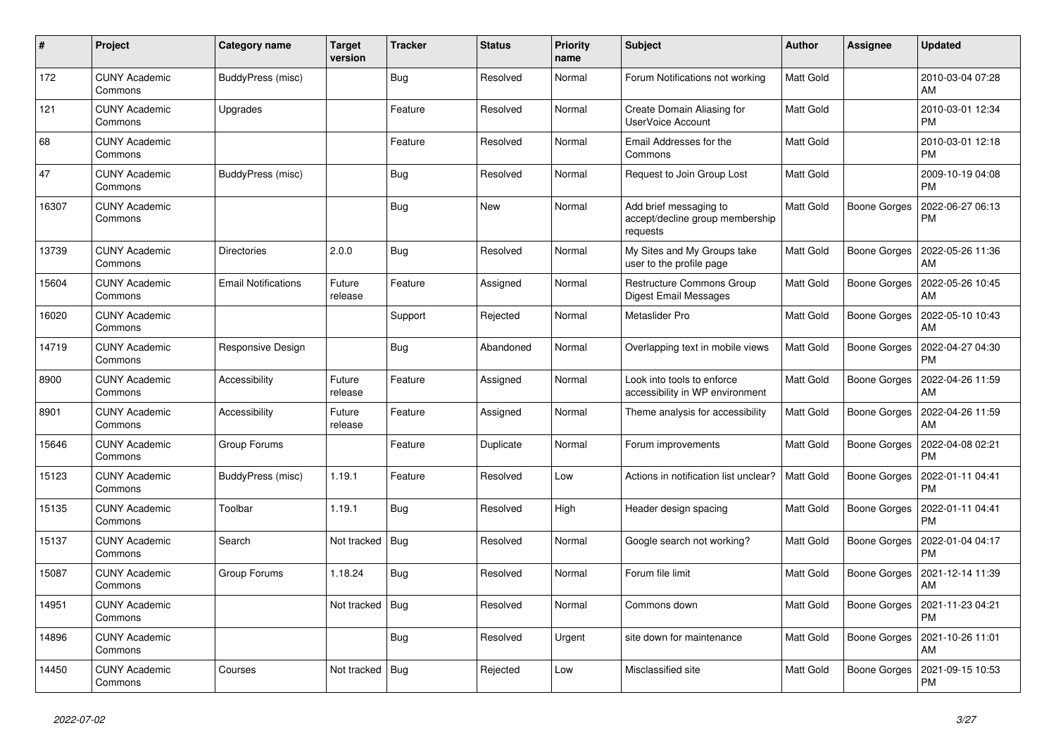| $\pmb{\sharp}$ | Project                         | Category name              | <b>Target</b><br>version | <b>Tracker</b> | <b>Status</b> | <b>Priority</b><br>name | <b>Subject</b>                                                        | <b>Author</b>    | Assignee            | <b>Updated</b>                |
|----------------|---------------------------------|----------------------------|--------------------------|----------------|---------------|-------------------------|-----------------------------------------------------------------------|------------------|---------------------|-------------------------------|
| 172            | <b>CUNY Academic</b><br>Commons | BuddyPress (misc)          |                          | <b>Bug</b>     | Resolved      | Normal                  | Forum Notifications not working                                       | Matt Gold        |                     | 2010-03-04 07:28<br>AM        |
| 121            | <b>CUNY Academic</b><br>Commons | Upgrades                   |                          | Feature        | Resolved      | Normal                  | Create Domain Aliasing for<br><b>UserVoice Account</b>                | <b>Matt Gold</b> |                     | 2010-03-01 12:34<br><b>PM</b> |
| 68             | <b>CUNY Academic</b><br>Commons |                            |                          | Feature        | Resolved      | Normal                  | Email Addresses for the<br>Commons                                    | Matt Gold        |                     | 2010-03-01 12:18<br><b>PM</b> |
| 47             | <b>CUNY Academic</b><br>Commons | BuddyPress (misc)          |                          | <b>Bug</b>     | Resolved      | Normal                  | Request to Join Group Lost                                            | Matt Gold        |                     | 2009-10-19 04:08<br><b>PM</b> |
| 16307          | <b>CUNY Academic</b><br>Commons |                            |                          | Bug            | New           | Normal                  | Add brief messaging to<br>accept/decline group membership<br>requests | <b>Matt Gold</b> | <b>Boone Gorges</b> | 2022-06-27 06:13<br>PM        |
| 13739          | <b>CUNY Academic</b><br>Commons | <b>Directories</b>         | 2.0.0                    | <b>Bug</b>     | Resolved      | Normal                  | My Sites and My Groups take<br>user to the profile page               | Matt Gold        | Boone Gorges        | 2022-05-26 11:36<br>AM        |
| 15604          | <b>CUNY Academic</b><br>Commons | <b>Email Notifications</b> | Future<br>release        | Feature        | Assigned      | Normal                  | <b>Restructure Commons Group</b><br>Digest Email Messages             | <b>Matt Gold</b> | <b>Boone Gorges</b> | 2022-05-26 10:45<br>AM        |
| 16020          | <b>CUNY Academic</b><br>Commons |                            |                          | Support        | Rejected      | Normal                  | Metaslider Pro                                                        | Matt Gold        | Boone Gorges        | 2022-05-10 10:43<br>AM        |
| 14719          | <b>CUNY Academic</b><br>Commons | Responsive Design          |                          | <b>Bug</b>     | Abandoned     | Normal                  | Overlapping text in mobile views                                      | <b>Matt Gold</b> | Boone Gorges        | 2022-04-27 04:30<br><b>PM</b> |
| 8900           | <b>CUNY Academic</b><br>Commons | Accessibility              | Future<br>release        | Feature        | Assigned      | Normal                  | Look into tools to enforce<br>accessibility in WP environment         | <b>Matt Gold</b> | Boone Gorges        | 2022-04-26 11:59<br>AM        |
| 8901           | <b>CUNY Academic</b><br>Commons | Accessibility              | Future<br>release        | Feature        | Assigned      | Normal                  | Theme analysis for accessibility                                      | Matt Gold        | Boone Gorges        | 2022-04-26 11:59<br>AM        |
| 15646          | <b>CUNY Academic</b><br>Commons | Group Forums               |                          | Feature        | Duplicate     | Normal                  | Forum improvements                                                    | Matt Gold        | Boone Gorges        | 2022-04-08 02:21<br><b>PM</b> |
| 15123          | <b>CUNY Academic</b><br>Commons | BuddyPress (misc)          | 1.19.1                   | Feature        | Resolved      | Low                     | Actions in notification list unclear?                                 | <b>Matt Gold</b> | <b>Boone Gorges</b> | 2022-01-11 04:41<br><b>PM</b> |
| 15135          | <b>CUNY Academic</b><br>Commons | Toolbar                    | 1.19.1                   | <b>Bug</b>     | Resolved      | High                    | Header design spacing                                                 | <b>Matt Gold</b> | <b>Boone Gorges</b> | 2022-01-11 04:41<br><b>PM</b> |
| 15137          | <b>CUNY Academic</b><br>Commons | Search                     | Not tracked              | Bug            | Resolved      | Normal                  | Google search not working?                                            | Matt Gold        | Boone Gorges        | 2022-01-04 04:17<br><b>PM</b> |
| 15087          | <b>CUNY Academic</b><br>Commons | Group Forums               | 1.18.24                  | <b>Bug</b>     | Resolved      | Normal                  | Forum file limit                                                      | Matt Gold        | Boone Gorges        | 2021-12-14 11:39<br>AM        |
| 14951          | <b>CUNY Academic</b><br>Commons |                            | Not tracked              | Bug            | Resolved      | Normal                  | Commons down                                                          | <b>Matt Gold</b> | Boone Gorges        | 2021-11-23 04:21<br><b>PM</b> |
| 14896          | <b>CUNY Academic</b><br>Commons |                            |                          | <b>Bug</b>     | Resolved      | Urgent                  | site down for maintenance                                             | <b>Matt Gold</b> | Boone Gorges        | 2021-10-26 11:01<br>AM        |
| 14450          | <b>CUNY Academic</b><br>Commons | Courses                    | Not tracked              | Bug            | Rejected      | Low                     | Misclassified site                                                    | Matt Gold        | Boone Gorges        | 2021-09-15 10:53<br><b>PM</b> |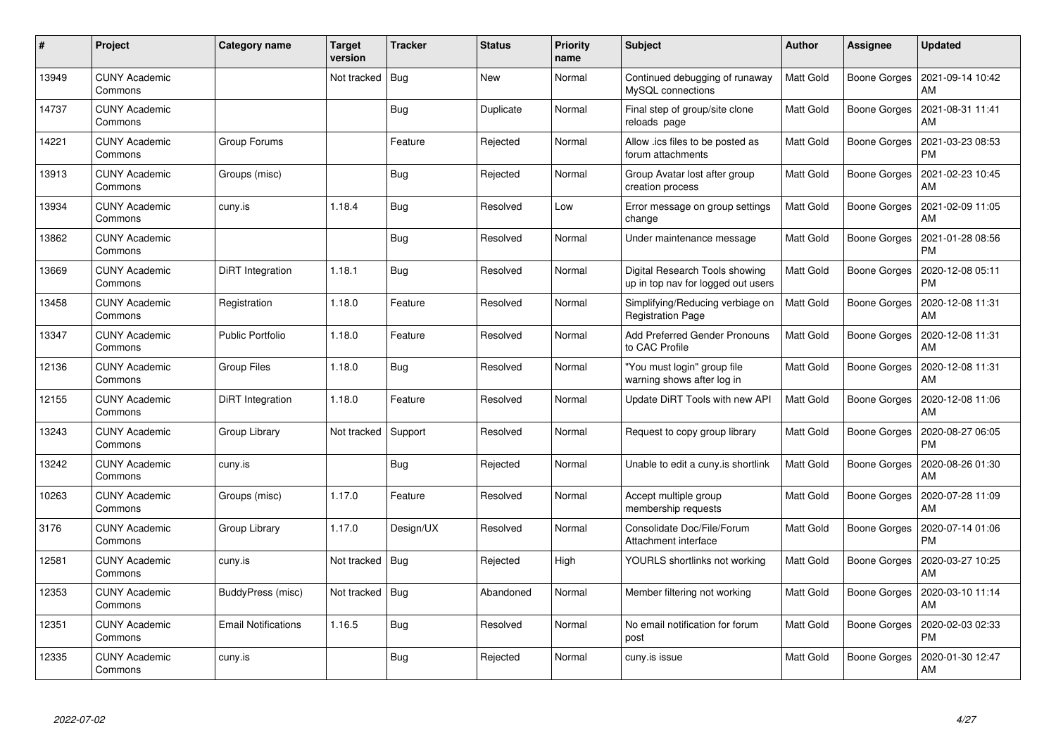| $\pmb{\#}$ | Project                         | Category name              | Target<br>version | <b>Tracker</b> | <b>Status</b> | <b>Priority</b><br>name | <b>Subject</b>                                                       | <b>Author</b>    | Assignee            | <b>Updated</b>                |
|------------|---------------------------------|----------------------------|-------------------|----------------|---------------|-------------------------|----------------------------------------------------------------------|------------------|---------------------|-------------------------------|
| 13949      | <b>CUNY Academic</b><br>Commons |                            | Not tracked       | Bug            | <b>New</b>    | Normal                  | Continued debugging of runaway<br>MySQL connections                  | <b>Matt Gold</b> | <b>Boone Gorges</b> | 2021-09-14 10:42<br>AM        |
| 14737      | CUNY Academic<br>Commons        |                            |                   | Bug            | Duplicate     | Normal                  | Final step of group/site clone<br>reloads page                       | Matt Gold        | <b>Boone Gorges</b> | 2021-08-31 11:41<br>AM        |
| 14221      | <b>CUNY Academic</b><br>Commons | Group Forums               |                   | Feature        | Rejected      | Normal                  | Allow .ics files to be posted as<br>forum attachments                | <b>Matt Gold</b> | <b>Boone Gorges</b> | 2021-03-23 08:53<br><b>PM</b> |
| 13913      | <b>CUNY Academic</b><br>Commons | Groups (misc)              |                   | <b>Bug</b>     | Rejected      | Normal                  | Group Avatar lost after group<br>creation process                    | Matt Gold        | Boone Gorges        | 2021-02-23 10:45<br>AM        |
| 13934      | <b>CUNY Academic</b><br>Commons | cuny.is                    | 1.18.4            | Bug            | Resolved      | Low                     | Error message on group settings<br>change                            | <b>Matt Gold</b> | Boone Gorges        | 2021-02-09 11:05<br>AM        |
| 13862      | <b>CUNY Academic</b><br>Commons |                            |                   | Bug            | Resolved      | Normal                  | Under maintenance message                                            | Matt Gold        | <b>Boone Gorges</b> | 2021-01-28 08:56<br><b>PM</b> |
| 13669      | <b>CUNY Academic</b><br>Commons | DiRT Integration           | 1.18.1            | Bug            | Resolved      | Normal                  | Digital Research Tools showing<br>up in top nav for logged out users | <b>Matt Gold</b> | <b>Boone Gorges</b> | 2020-12-08 05:11<br><b>PM</b> |
| 13458      | <b>CUNY Academic</b><br>Commons | Registration               | 1.18.0            | Feature        | Resolved      | Normal                  | Simplifying/Reducing verbiage on<br><b>Registration Page</b>         | <b>Matt Gold</b> | Boone Gorges        | 2020-12-08 11:31<br>AM        |
| 13347      | <b>CUNY Academic</b><br>Commons | <b>Public Portfolio</b>    | 1.18.0            | Feature        | Resolved      | Normal                  | Add Preferred Gender Pronouns<br>to CAC Profile                      | <b>Matt Gold</b> | <b>Boone Gorges</b> | 2020-12-08 11:31<br>AM        |
| 12136      | <b>CUNY Academic</b><br>Commons | <b>Group Files</b>         | 1.18.0            | Bug            | Resolved      | Normal                  | 'You must login" group file<br>warning shows after log in            | Matt Gold        | <b>Boone Gorges</b> | 2020-12-08 11:31<br>AM        |
| 12155      | <b>CUNY Academic</b><br>Commons | DiRT Integration           | 1.18.0            | Feature        | Resolved      | Normal                  | Update DiRT Tools with new API                                       | Matt Gold        | Boone Gorges        | 2020-12-08 11:06<br>AM        |
| 13243      | <b>CUNY Academic</b><br>Commons | Group Library              | Not tracked       | Support        | Resolved      | Normal                  | Request to copy group library                                        | <b>Matt Gold</b> | <b>Boone Gorges</b> | 2020-08-27 06:05<br><b>PM</b> |
| 13242      | <b>CUNY Academic</b><br>Commons | cuny.is                    |                   | <b>Bug</b>     | Rejected      | Normal                  | Unable to edit a cuny is shortlink                                   | <b>Matt Gold</b> | <b>Boone Gorges</b> | 2020-08-26 01:30<br>AM        |
| 10263      | <b>CUNY Academic</b><br>Commons | Groups (misc)              | 1.17.0            | Feature        | Resolved      | Normal                  | Accept multiple group<br>membership requests                         | <b>Matt Gold</b> | <b>Boone Gorges</b> | 2020-07-28 11:09<br>AM        |
| 3176       | <b>CUNY Academic</b><br>Commons | Group Library              | 1.17.0            | Design/UX      | Resolved      | Normal                  | Consolidate Doc/File/Forum<br>Attachment interface                   | <b>Matt Gold</b> | <b>Boone Gorges</b> | 2020-07-14 01:06<br><b>PM</b> |
| 12581      | <b>CUNY Academic</b><br>Commons | cuny.is                    | Not tracked   Bug |                | Rejected      | High                    | YOURLS shortlinks not working                                        | <b>Matt Gold</b> | Boone Gorges        | 2020-03-27 10:25<br>AM        |
| 12353      | <b>CUNY Academic</b><br>Commons | BuddyPress (misc)          | Not tracked       | Bug            | Abandoned     | Normal                  | Member filtering not working                                         | <b>Matt Gold</b> | Boone Gorges        | 2020-03-10 11:14<br>AM        |
| 12351      | <b>CUNY Academic</b><br>Commons | <b>Email Notifications</b> | 1.16.5            | Bug            | Resolved      | Normal                  | No email notification for forum<br>post                              | Matt Gold        | <b>Boone Gorges</b> | 2020-02-03 02:33<br><b>PM</b> |
| 12335      | <b>CUNY Academic</b><br>Commons | cuny.is                    |                   | <b>Bug</b>     | Rejected      | Normal                  | cuny.is issue                                                        | Matt Gold        | Boone Gorges        | 2020-01-30 12:47<br>AM        |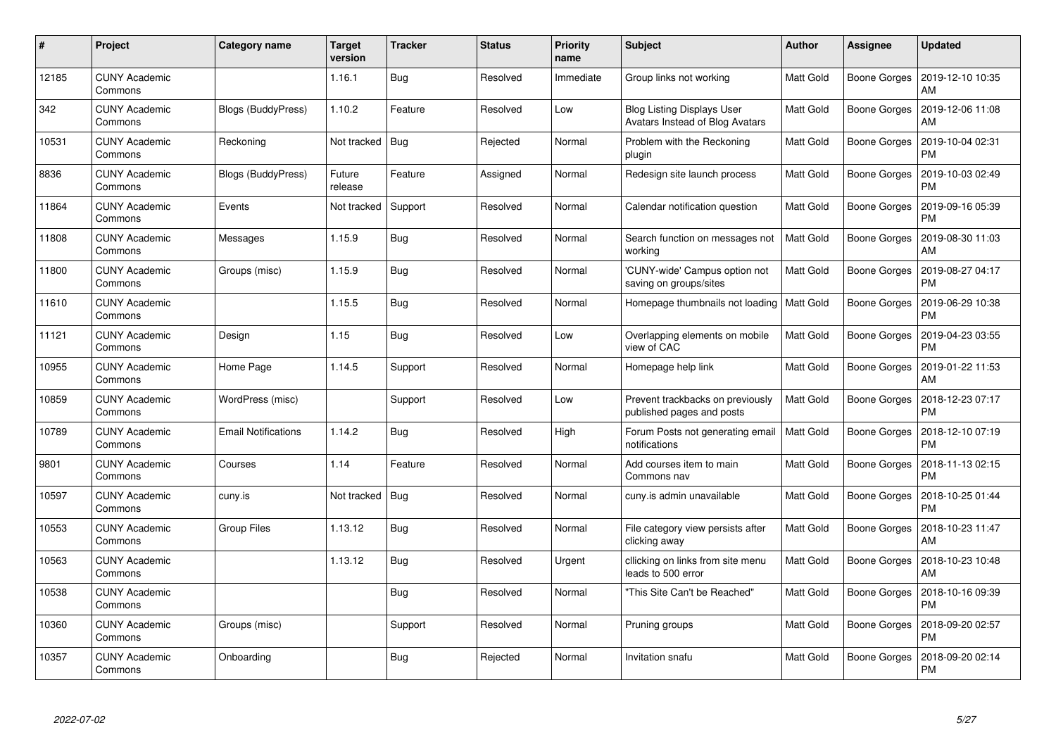| $\#$  | Project                         | Category name              | Target<br>version | <b>Tracker</b> | <b>Status</b> | <b>Priority</b><br>name | <b>Subject</b>                                                       | <b>Author</b>    | Assignee            | <b>Updated</b>                |
|-------|---------------------------------|----------------------------|-------------------|----------------|---------------|-------------------------|----------------------------------------------------------------------|------------------|---------------------|-------------------------------|
| 12185 | <b>CUNY Academic</b><br>Commons |                            | 1.16.1            | <b>Bug</b>     | Resolved      | Immediate               | Group links not working                                              | <b>Matt Gold</b> | <b>Boone Gorges</b> | 2019-12-10 10:35<br>AM        |
| 342   | <b>CUNY Academic</b><br>Commons | Blogs (BuddyPress)         | 1.10.2            | Feature        | Resolved      | Low                     | <b>Blog Listing Displays User</b><br>Avatars Instead of Blog Avatars | <b>Matt Gold</b> | <b>Boone Gorges</b> | 2019-12-06 11:08<br>AM        |
| 10531 | <b>CUNY Academic</b><br>Commons | Reckoning                  | Not tracked       | Bug            | Rejected      | Normal                  | Problem with the Reckoning<br>plugin                                 | Matt Gold        | <b>Boone Gorges</b> | 2019-10-04 02:31<br><b>PM</b> |
| 8836  | <b>CUNY Academic</b><br>Commons | Blogs (BuddyPress)         | Future<br>release | Feature        | Assigned      | Normal                  | Redesign site launch process                                         | Matt Gold        | Boone Gorges        | 2019-10-03 02:49<br><b>PM</b> |
| 11864 | <b>CUNY Academic</b><br>Commons | Events                     | Not tracked       | Support        | Resolved      | Normal                  | Calendar notification question                                       | <b>Matt Gold</b> | <b>Boone Gorges</b> | 2019-09-16 05:39<br><b>PM</b> |
| 11808 | <b>CUNY Academic</b><br>Commons | Messages                   | 1.15.9            | <b>Bug</b>     | Resolved      | Normal                  | Search function on messages not<br>working                           | <b>Matt Gold</b> | Boone Gorges        | 2019-08-30 11:03<br>AM        |
| 11800 | <b>CUNY Academic</b><br>Commons | Groups (misc)              | 1.15.9            | <b>Bug</b>     | Resolved      | Normal                  | 'CUNY-wide' Campus option not<br>saving on groups/sites              | <b>Matt Gold</b> | <b>Boone Gorges</b> | 2019-08-27 04:17<br><b>PM</b> |
| 11610 | <b>CUNY Academic</b><br>Commons |                            | 1.15.5            | Bug            | Resolved      | Normal                  | Homepage thumbnails not loading   Matt Gold                          |                  | Boone Gorges        | 2019-06-29 10:38<br><b>PM</b> |
| 11121 | <b>CUNY Academic</b><br>Commons | Design                     | 1.15              | <b>Bug</b>     | Resolved      | Low                     | Overlapping elements on mobile<br>view of CAC                        | <b>Matt Gold</b> | <b>Boone Gorges</b> | 2019-04-23 03:55<br><b>PM</b> |
| 10955 | <b>CUNY Academic</b><br>Commons | Home Page                  | 1.14.5            | Support        | Resolved      | Normal                  | Homepage help link                                                   | <b>Matt Gold</b> | Boone Gorges        | 2019-01-22 11:53<br>AM        |
| 10859 | <b>CUNY Academic</b><br>Commons | WordPress (misc)           |                   | Support        | Resolved      | Low                     | Prevent trackbacks on previously<br>published pages and posts        | <b>Matt Gold</b> | <b>Boone Gorges</b> | 2018-12-23 07:17<br><b>PM</b> |
| 10789 | <b>CUNY Academic</b><br>Commons | <b>Email Notifications</b> | 1.14.2            | Bug            | Resolved      | High                    | Forum Posts not generating email<br>notifications                    | <b>Matt Gold</b> | Boone Gorges        | 2018-12-10 07:19<br><b>PM</b> |
| 9801  | <b>CUNY Academic</b><br>Commons | Courses                    | 1.14              | Feature        | Resolved      | Normal                  | Add courses item to main<br>Commons nav                              | <b>Matt Gold</b> | Boone Gorges        | 2018-11-13 02:15<br>PM        |
| 10597 | <b>CUNY Academic</b><br>Commons | cuny.is                    | Not tracked       | Bug            | Resolved      | Normal                  | cuny.is admin unavailable                                            | <b>Matt Gold</b> | <b>Boone Gorges</b> | 2018-10-25 01:44<br><b>PM</b> |
| 10553 | <b>CUNY Academic</b><br>Commons | Group Files                | 1.13.12           | Bug            | Resolved      | Normal                  | File category view persists after<br>clicking away                   | Matt Gold        | <b>Boone Gorges</b> | 2018-10-23 11:47<br>AM        |
| 10563 | <b>CUNY Academic</b><br>Commons |                            | 1.13.12           | <b>Bug</b>     | Resolved      | Urgent                  | cllicking on links from site menu<br>leads to 500 error              | Matt Gold        | Boone Gorges        | 2018-10-23 10:48<br>AM        |
| 10538 | <b>CUNY Academic</b><br>Commons |                            |                   | <b>Bug</b>     | Resolved      | Normal                  | "This Site Can't be Reached"                                         | <b>Matt Gold</b> | <b>Boone Gorges</b> | 2018-10-16 09:39<br><b>PM</b> |
| 10360 | <b>CUNY Academic</b><br>Commons | Groups (misc)              |                   | Support        | Resolved      | Normal                  | Pruning groups                                                       | <b>Matt Gold</b> | <b>Boone Gorges</b> | 2018-09-20 02:57<br><b>PM</b> |
| 10357 | <b>CUNY Academic</b><br>Commons | Onboarding                 |                   | <b>Bug</b>     | Rejected      | Normal                  | Invitation snafu                                                     | Matt Gold        | Boone Gorges        | 2018-09-20 02:14<br>PM        |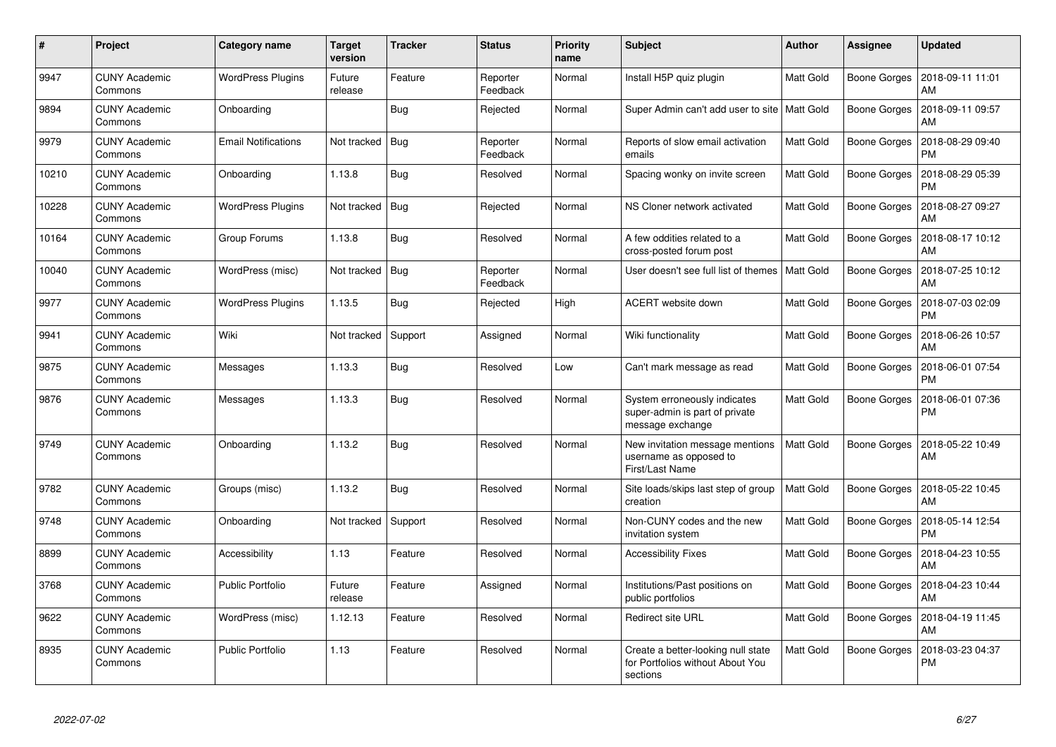| #     | Project                         | Category name              | <b>Target</b><br>version | <b>Tracker</b> | <b>Status</b>        | <b>Priority</b><br>name | <b>Subject</b>                                                                     | <b>Author</b>    | Assignee            | <b>Updated</b>                |
|-------|---------------------------------|----------------------------|--------------------------|----------------|----------------------|-------------------------|------------------------------------------------------------------------------------|------------------|---------------------|-------------------------------|
| 9947  | <b>CUNY Academic</b><br>Commons | <b>WordPress Plugins</b>   | Future<br>release        | Feature        | Reporter<br>Feedback | Normal                  | Install H5P quiz plugin                                                            | Matt Gold        | <b>Boone Gorges</b> | 2018-09-11 11:01<br>AM        |
| 9894  | <b>CUNY Academic</b><br>Commons | Onboarding                 |                          | Bug            | Rejected             | Normal                  | Super Admin can't add user to site   Matt Gold                                     |                  | <b>Boone Gorges</b> | 2018-09-11 09:57<br>AM        |
| 9979  | <b>CUNY Academic</b><br>Commons | <b>Email Notifications</b> | Not tracked              | Bua            | Reporter<br>Feedback | Normal                  | Reports of slow email activation<br>emails                                         | <b>Matt Gold</b> | <b>Boone Gorges</b> | 2018-08-29 09:40<br><b>PM</b> |
| 10210 | <b>CUNY Academic</b><br>Commons | Onboarding                 | 1.13.8                   | Bug            | Resolved             | Normal                  | Spacing wonky on invite screen                                                     | Matt Gold        | <b>Boone Gorges</b> | 2018-08-29 05:39<br><b>PM</b> |
| 10228 | <b>CUNY Academic</b><br>Commons | <b>WordPress Plugins</b>   | Not tracked              | Bug            | Rejected             | Normal                  | NS Cloner network activated                                                        | <b>Matt Gold</b> | <b>Boone Gorges</b> | 2018-08-27 09:27<br>AM        |
| 10164 | <b>CUNY Academic</b><br>Commons | Group Forums               | 1.13.8                   | <b>Bug</b>     | Resolved             | Normal                  | A few oddities related to a<br>cross-posted forum post                             | Matt Gold        | <b>Boone Gorges</b> | 2018-08-17 10:12<br>AM        |
| 10040 | <b>CUNY Academic</b><br>Commons | WordPress (misc)           | Not tracked              | Bug            | Reporter<br>Feedback | Normal                  | User doesn't see full list of themes                                               | Matt Gold        | <b>Boone Gorges</b> | 2018-07-25 10:12<br>AM        |
| 9977  | <b>CUNY Academic</b><br>Commons | <b>WordPress Plugins</b>   | 1.13.5                   | <b>Bug</b>     | Rejected             | High                    | ACERT website down                                                                 | Matt Gold        | <b>Boone Gorges</b> | 2018-07-03 02:09<br><b>PM</b> |
| 9941  | <b>CUNY Academic</b><br>Commons | Wiki                       | Not tracked              | Support        | Assigned             | Normal                  | Wiki functionality                                                                 | Matt Gold        | <b>Boone Gorges</b> | 2018-06-26 10:57<br>AM        |
| 9875  | <b>CUNY Academic</b><br>Commons | Messages                   | 1.13.3                   | <b>Bug</b>     | Resolved             | Low                     | Can't mark message as read                                                         | <b>Matt Gold</b> | <b>Boone Gorges</b> | 2018-06-01 07:54<br><b>PM</b> |
| 9876  | <b>CUNY Academic</b><br>Commons | Messages                   | 1.13.3                   | <b>Bug</b>     | Resolved             | Normal                  | System erroneously indicates<br>super-admin is part of private<br>message exchange | Matt Gold        | <b>Boone Gorges</b> | 2018-06-01 07:36<br><b>PM</b> |
| 9749  | <b>CUNY Academic</b><br>Commons | Onboarding                 | 1.13.2                   | <b>Bug</b>     | Resolved             | Normal                  | New invitation message mentions<br>username as opposed to<br>First/Last Name       | <b>Matt Gold</b> | Boone Gorges        | 2018-05-22 10:49<br>AM        |
| 9782  | <b>CUNY Academic</b><br>Commons | Groups (misc)              | 1.13.2                   | Bug            | Resolved             | Normal                  | Site loads/skips last step of group<br>creation                                    | <b>Matt Gold</b> | <b>Boone Gorges</b> | 2018-05-22 10:45<br>AM        |
| 9748  | <b>CUNY Academic</b><br>Commons | Onboarding                 | Not tracked              | Support        | Resolved             | Normal                  | Non-CUNY codes and the new<br>invitation system                                    | <b>Matt Gold</b> | Boone Gorges        | 2018-05-14 12:54<br><b>PM</b> |
| 8899  | <b>CUNY Academic</b><br>Commons | Accessibility              | 1.13                     | Feature        | Resolved             | Normal                  | <b>Accessibility Fixes</b>                                                         | <b>Matt Gold</b> | Boone Gorges        | 2018-04-23 10:55<br>AM        |
| 3768  | <b>CUNY Academic</b><br>Commons | <b>Public Portfolio</b>    | Future<br>release        | Feature        | Assigned             | Normal                  | Institutions/Past positions on<br>public portfolios                                | <b>Matt Gold</b> | <b>Boone Gorges</b> | 2018-04-23 10:44<br>AM        |
| 9622  | <b>CUNY Academic</b><br>Commons | WordPress (misc)           | 1.12.13                  | Feature        | Resolved             | Normal                  | <b>Redirect site URL</b>                                                           | <b>Matt Gold</b> | <b>Boone Gorges</b> | 2018-04-19 11:45<br>AM        |
| 8935  | <b>CUNY Academic</b><br>Commons | <b>Public Portfolio</b>    | 1.13                     | Feature        | Resolved             | Normal                  | Create a better-looking null state<br>for Portfolios without About You<br>sections | Matt Gold        | <b>Boone Gorges</b> | 2018-03-23 04:37<br><b>PM</b> |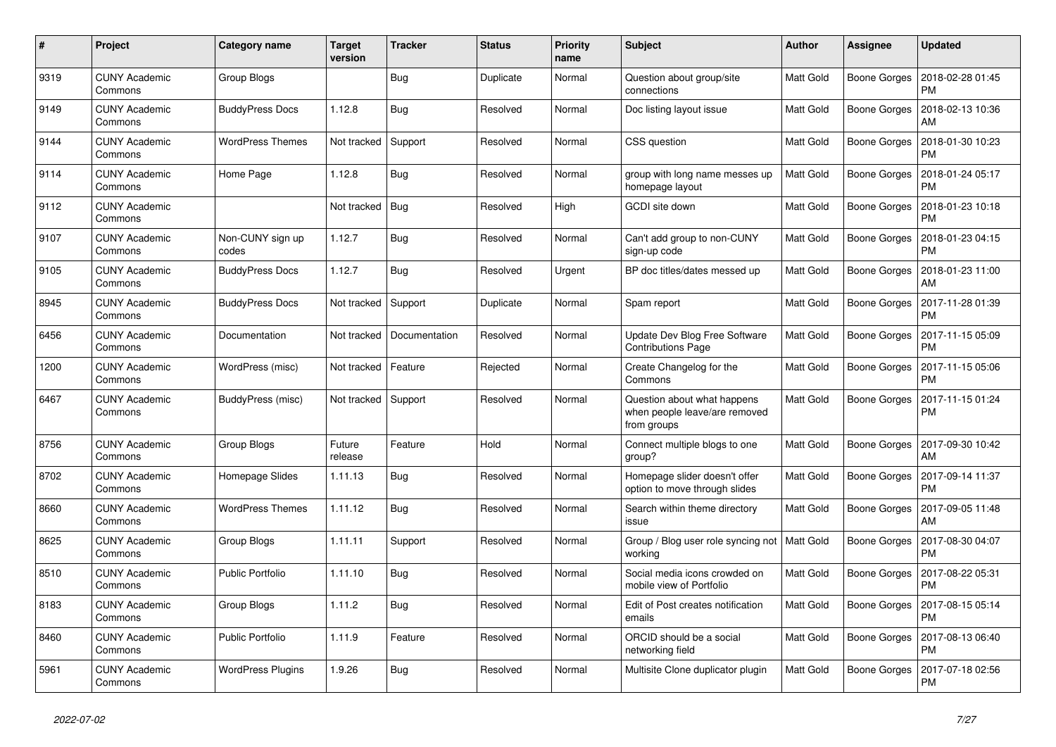| #    | Project                         | Category name             | <b>Target</b><br>version | <b>Tracker</b> | <b>Status</b> | <b>Priority</b><br>name | <b>Subject</b>                                                              | <b>Author</b>    | Assignee            | <b>Updated</b>                |
|------|---------------------------------|---------------------------|--------------------------|----------------|---------------|-------------------------|-----------------------------------------------------------------------------|------------------|---------------------|-------------------------------|
| 9319 | <b>CUNY Academic</b><br>Commons | Group Blogs               |                          | Bug            | Duplicate     | Normal                  | Question about group/site<br>connections                                    | <b>Matt Gold</b> | <b>Boone Gorges</b> | 2018-02-28 01:45<br><b>PM</b> |
| 9149 | <b>CUNY Academic</b><br>Commons | <b>BuddyPress Docs</b>    | 1.12.8                   | Bug            | Resolved      | Normal                  | Doc listing layout issue                                                    | <b>Matt Gold</b> | <b>Boone Gorges</b> | 2018-02-13 10:36<br>AM        |
| 9144 | <b>CUNY Academic</b><br>Commons | WordPress Themes          | Not tracked              | Support        | Resolved      | Normal                  | CSS question                                                                | Matt Gold        | Boone Gorges        | 2018-01-30 10:23<br><b>PM</b> |
| 9114 | <b>CUNY Academic</b><br>Commons | Home Page                 | 1.12.8                   | <b>Bug</b>     | Resolved      | Normal                  | group with long name messes up<br>homepage layout                           | <b>Matt Gold</b> | <b>Boone Gorges</b> | 2018-01-24 05:17<br><b>PM</b> |
| 9112 | <b>CUNY Academic</b><br>Commons |                           | Not tracked              | Bug            | Resolved      | High                    | <b>GCDI</b> site down                                                       | Matt Gold        | <b>Boone Gorges</b> | 2018-01-23 10:18<br><b>PM</b> |
| 9107 | <b>CUNY Academic</b><br>Commons | Non-CUNY sign up<br>codes | 1.12.7                   | Bug            | Resolved      | Normal                  | Can't add group to non-CUNY<br>sign-up code                                 | <b>Matt Gold</b> | <b>Boone Gorges</b> | 2018-01-23 04:15<br><b>PM</b> |
| 9105 | <b>CUNY Academic</b><br>Commons | <b>BuddyPress Docs</b>    | 1.12.7                   | Bug            | Resolved      | Urgent                  | BP doc titles/dates messed up                                               | Matt Gold        | <b>Boone Gorges</b> | 2018-01-23 11:00<br>AM        |
| 8945 | <b>CUNY Academic</b><br>Commons | <b>BuddyPress Docs</b>    | Not tracked              | Support        | Duplicate     | Normal                  | Spam report                                                                 | Matt Gold        | <b>Boone Gorges</b> | 2017-11-28 01:39<br><b>PM</b> |
| 6456 | <b>CUNY Academic</b><br>Commons | Documentation             | Not tracked              | Documentation  | Resolved      | Normal                  | Update Dev Blog Free Software<br><b>Contributions Page</b>                  | <b>Matt Gold</b> | <b>Boone Gorges</b> | 2017-11-15 05:09<br><b>PM</b> |
| 1200 | <b>CUNY Academic</b><br>Commons | WordPress (misc)          | Not tracked              | Feature        | Rejected      | Normal                  | Create Changelog for the<br>Commons                                         | <b>Matt Gold</b> | Boone Gorges        | 2017-11-15 05:06<br><b>PM</b> |
| 6467 | <b>CUNY Academic</b><br>Commons | BuddyPress (misc)         | Not tracked              | Support        | Resolved      | Normal                  | Question about what happens<br>when people leave/are removed<br>from groups | Matt Gold        | <b>Boone Gorges</b> | 2017-11-15 01:24<br><b>PM</b> |
| 8756 | <b>CUNY Academic</b><br>Commons | Group Blogs               | Future<br>release        | Feature        | Hold          | Normal                  | Connect multiple blogs to one<br>group?                                     | Matt Gold        | <b>Boone Gorges</b> | 2017-09-30 10:42<br>AM        |
| 8702 | <b>CUNY Academic</b><br>Commons | Homepage Slides           | 1.11.13                  | <b>Bug</b>     | Resolved      | Normal                  | Homepage slider doesn't offer<br>option to move through slides              | Matt Gold        | <b>Boone Gorges</b> | 2017-09-14 11:37<br><b>PM</b> |
| 8660 | <b>CUNY Academic</b><br>Commons | <b>WordPress Themes</b>   | 1.11.12                  | Bug            | Resolved      | Normal                  | Search within theme directory<br>issue                                      | Matt Gold        | <b>Boone Gorges</b> | 2017-09-05 11:48<br>AM        |
| 8625 | <b>CUNY Academic</b><br>Commons | Group Blogs               | 1.11.11                  | Support        | Resolved      | Normal                  | Group / Blog user role syncing not<br>working                               | <b>Matt Gold</b> | <b>Boone Gorges</b> | 2017-08-30 04:07<br>PM        |
| 8510 | <b>CUNY Academic</b><br>Commons | <b>Public Portfolio</b>   | 1.11.10                  | <b>Bug</b>     | Resolved      | Normal                  | Social media icons crowded on<br>mobile view of Portfolio                   | Matt Gold        | <b>Boone Gorges</b> | 2017-08-22 05:31<br><b>PM</b> |
| 8183 | <b>CUNY Academic</b><br>Commons | Group Blogs               | 1.11.2                   | Bug            | Resolved      | Normal                  | Edit of Post creates notification<br>emails                                 | <b>Matt Gold</b> | <b>Boone Gorges</b> | 2017-08-15 05:14<br><b>PM</b> |
| 8460 | <b>CUNY Academic</b><br>Commons | <b>Public Portfolio</b>   | 1.11.9                   | Feature        | Resolved      | Normal                  | ORCID should be a social<br>networking field                                | <b>Matt Gold</b> | <b>Boone Gorges</b> | 2017-08-13 06:40<br><b>PM</b> |
| 5961 | <b>CUNY Academic</b><br>Commons | <b>WordPress Plugins</b>  | 1.9.26                   | Bug            | Resolved      | Normal                  | Multisite Clone duplicator plugin                                           | Matt Gold        | <b>Boone Gorges</b> | 2017-07-18 02:56<br><b>PM</b> |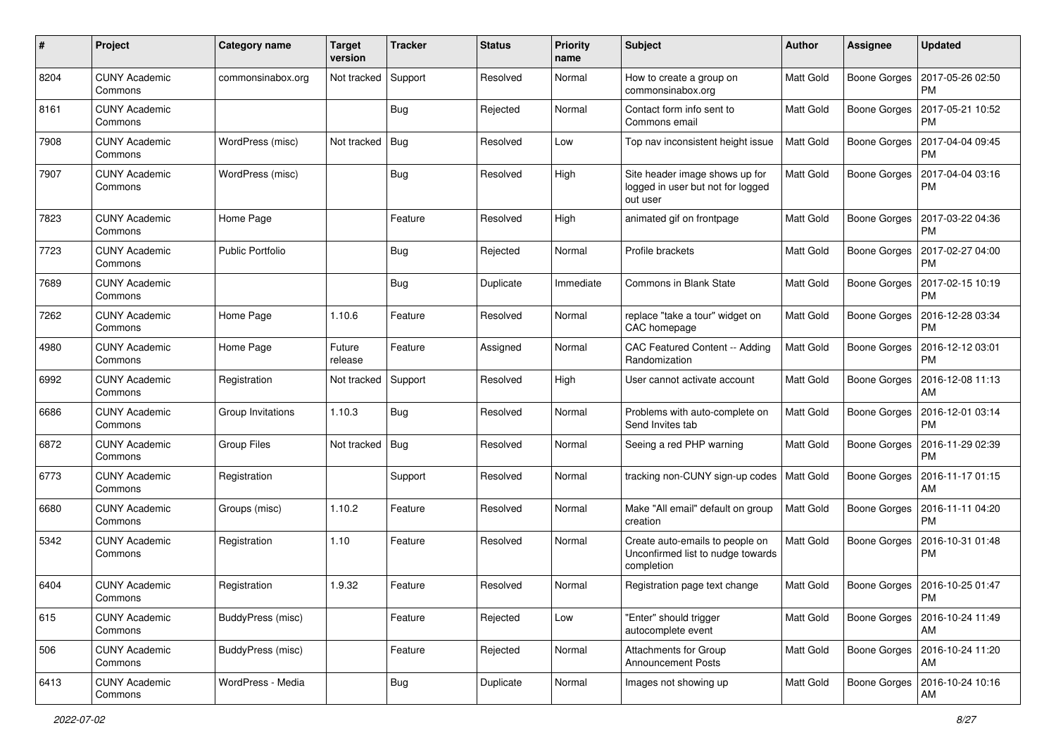| #    | Project                         | <b>Category name</b>    | <b>Target</b><br>version | <b>Tracker</b> | <b>Status</b> | <b>Priority</b><br>name | <b>Subject</b>                                                                     | <b>Author</b>    | <b>Assignee</b>     | <b>Updated</b>                |
|------|---------------------------------|-------------------------|--------------------------|----------------|---------------|-------------------------|------------------------------------------------------------------------------------|------------------|---------------------|-------------------------------|
| 8204 | <b>CUNY Academic</b><br>Commons | commonsinabox.org       | Not tracked              | Support        | Resolved      | Normal                  | How to create a group on<br>commonsinabox.org                                      | <b>Matt Gold</b> | <b>Boone Gorges</b> | 2017-05-26 02:50<br><b>PM</b> |
| 8161 | <b>CUNY Academic</b><br>Commons |                         |                          | Bug            | Rejected      | Normal                  | Contact form info sent to<br>Commons email                                         | <b>Matt Gold</b> | <b>Boone Gorges</b> | 2017-05-21 10:52<br><b>PM</b> |
| 7908 | <b>CUNY Academic</b><br>Commons | WordPress (misc)        | Not tracked              | Bug            | Resolved      | Low                     | Top nav inconsistent height issue                                                  | <b>Matt Gold</b> | <b>Boone Gorges</b> | 2017-04-04 09:45<br><b>PM</b> |
| 7907 | <b>CUNY Academic</b><br>Commons | WordPress (misc)        |                          | Bug            | Resolved      | High                    | Site header image shows up for<br>logged in user but not for logged<br>out user    | <b>Matt Gold</b> | <b>Boone Gorges</b> | 2017-04-04 03:16<br>PM        |
| 7823 | <b>CUNY Academic</b><br>Commons | Home Page               |                          | Feature        | Resolved      | High                    | animated gif on frontpage                                                          | <b>Matt Gold</b> | <b>Boone Gorges</b> | 2017-03-22 04:36<br>PM        |
| 7723 | <b>CUNY Academic</b><br>Commons | <b>Public Portfolio</b> |                          | Bug            | Rejected      | Normal                  | Profile brackets                                                                   | <b>Matt Gold</b> | <b>Boone Gorges</b> | 2017-02-27 04:00<br><b>PM</b> |
| 7689 | <b>CUNY Academic</b><br>Commons |                         |                          | Bug            | Duplicate     | Immediate               | <b>Commons in Blank State</b>                                                      | Matt Gold        | <b>Boone Gorges</b> | 2017-02-15 10:19<br><b>PM</b> |
| 7262 | <b>CUNY Academic</b><br>Commons | Home Page               | 1.10.6                   | Feature        | Resolved      | Normal                  | replace "take a tour" widget on<br>CAC homepage                                    | Matt Gold        | Boone Gorges        | 2016-12-28 03:34<br><b>PM</b> |
| 4980 | <b>CUNY Academic</b><br>Commons | Home Page               | Future<br>release        | Feature        | Assigned      | Normal                  | CAC Featured Content -- Adding<br>Randomization                                    | <b>Matt Gold</b> | <b>Boone Gorges</b> | 2016-12-12 03:01<br><b>PM</b> |
| 6992 | <b>CUNY Academic</b><br>Commons | Registration            | Not tracked              | Support        | Resolved      | High                    | User cannot activate account                                                       | <b>Matt Gold</b> | <b>Boone Gorges</b> | 2016-12-08 11:13<br>AM        |
| 6686 | <b>CUNY Academic</b><br>Commons | Group Invitations       | 1.10.3                   | Bug            | Resolved      | Normal                  | Problems with auto-complete on<br>Send Invites tab                                 | Matt Gold        | <b>Boone Gorges</b> | 2016-12-01 03:14<br><b>PM</b> |
| 6872 | <b>CUNY Academic</b><br>Commons | <b>Group Files</b>      | Not tracked              | Bug            | Resolved      | Normal                  | Seeing a red PHP warning                                                           | <b>Matt Gold</b> | <b>Boone Gorges</b> | 2016-11-29 02:39<br><b>PM</b> |
| 6773 | <b>CUNY Academic</b><br>Commons | Registration            |                          | Support        | Resolved      | Normal                  | tracking non-CUNY sign-up codes   Matt Gold                                        |                  | Boone Gorges        | 2016-11-17 01:15<br>AM        |
| 6680 | <b>CUNY Academic</b><br>Commons | Groups (misc)           | 1.10.2                   | Feature        | Resolved      | Normal                  | Make "All email" default on group<br>creation                                      | <b>Matt Gold</b> | Boone Gorges        | 2016-11-11 04:20<br><b>PM</b> |
| 5342 | <b>CUNY Academic</b><br>Commons | Registration            | 1.10                     | Feature        | Resolved      | Normal                  | Create auto-emails to people on<br>Unconfirmed list to nudge towards<br>completion | Matt Gold        | <b>Boone Gorges</b> | 2016-10-31 01:48<br><b>PM</b> |
| 6404 | <b>CUNY Academic</b><br>Commons | Registration            | 1.9.32                   | Feature        | Resolved      | Normal                  | Registration page text change                                                      | Matt Gold        | Boone Gorges        | 2016-10-25 01:47<br>PM        |
| 615  | <b>CUNY Academic</b><br>Commons | BuddyPress (misc)       |                          | Feature        | Rejected      | Low                     | "Enter" should trigger<br>autocomplete event                                       | <b>Matt Gold</b> | <b>Boone Gorges</b> | 2016-10-24 11:49<br>AM        |
| 506  | <b>CUNY Academic</b><br>Commons | BuddyPress (misc)       |                          | Feature        | Rejected      | Normal                  | <b>Attachments for Group</b><br><b>Announcement Posts</b>                          | <b>Matt Gold</b> | Boone Gorges        | 2016-10-24 11:20<br>AM        |
| 6413 | <b>CUNY Academic</b><br>Commons | WordPress - Media       |                          | <b>Bug</b>     | Duplicate     | Normal                  | Images not showing up                                                              | Matt Gold        | <b>Boone Gorges</b> | 2016-10-24 10:16<br>AM        |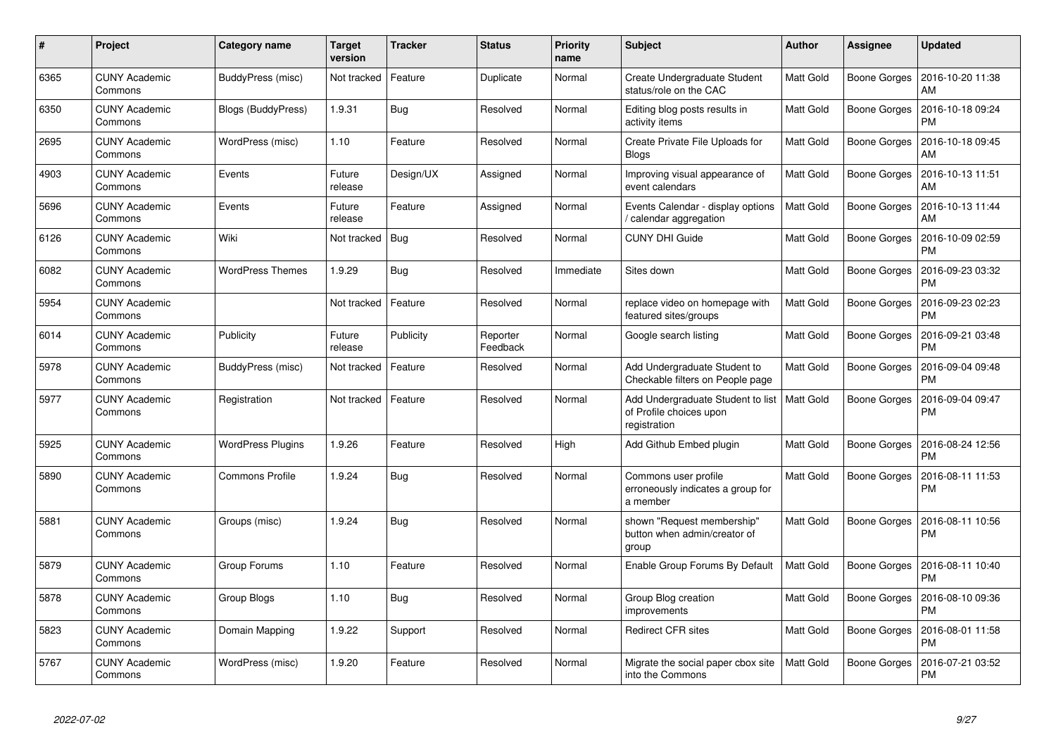| #    | Project                         | Category name            | Target<br>version | <b>Tracker</b> | <b>Status</b>        | <b>Priority</b><br>name | <b>Subject</b>                                                               | <b>Author</b>    | Assignee            | <b>Updated</b>                |
|------|---------------------------------|--------------------------|-------------------|----------------|----------------------|-------------------------|------------------------------------------------------------------------------|------------------|---------------------|-------------------------------|
| 6365 | <b>CUNY Academic</b><br>Commons | BuddyPress (misc)        | Not tracked       | Feature        | Duplicate            | Normal                  | Create Undergraduate Student<br>status/role on the CAC                       | <b>Matt Gold</b> | Boone Gorges        | 2016-10-20 11:38<br>AM        |
| 6350 | <b>CUNY Academic</b><br>Commons | Blogs (BuddyPress)       | 1.9.31            | <b>Bug</b>     | Resolved             | Normal                  | Editing blog posts results in<br>activity items                              | <b>Matt Gold</b> | <b>Boone Gorges</b> | 2016-10-18 09:24<br><b>PM</b> |
| 2695 | <b>CUNY Academic</b><br>Commons | WordPress (misc)         | 1.10              | Feature        | Resolved             | Normal                  | Create Private File Uploads for<br><b>Blogs</b>                              | <b>Matt Gold</b> | <b>Boone Gorges</b> | 2016-10-18 09:45<br>AM        |
| 4903 | <b>CUNY Academic</b><br>Commons | Events                   | Future<br>release | Design/UX      | Assigned             | Normal                  | Improving visual appearance of<br>event calendars                            | <b>Matt Gold</b> | Boone Gorges        | 2016-10-13 11:51<br>AM        |
| 5696 | <b>CUNY Academic</b><br>Commons | Events                   | Future<br>release | Feature        | Assigned             | Normal                  | Events Calendar - display options<br>/ calendar aggregation                  | <b>Matt Gold</b> | Boone Gorges        | 2016-10-13 11:44<br>AM        |
| 6126 | <b>CUNY Academic</b><br>Commons | Wiki                     | Not tracked       | Bug            | Resolved             | Normal                  | <b>CUNY DHI Guide</b>                                                        | <b>Matt Gold</b> | Boone Gorges        | 2016-10-09 02:59<br><b>PM</b> |
| 6082 | <b>CUNY Academic</b><br>Commons | <b>WordPress Themes</b>  | 1.9.29            | <b>Bug</b>     | Resolved             | Immediate               | Sites down                                                                   | Matt Gold        | Boone Gorges        | 2016-09-23 03:32<br><b>PM</b> |
| 5954 | <b>CUNY Academic</b><br>Commons |                          | Not tracked       | Feature        | Resolved             | Normal                  | replace video on homepage with<br>featured sites/groups                      | <b>Matt Gold</b> | Boone Gorges        | 2016-09-23 02:23<br><b>PM</b> |
| 6014 | <b>CUNY Academic</b><br>Commons | Publicity                | Future<br>release | Publicity      | Reporter<br>Feedback | Normal                  | Google search listing                                                        | Matt Gold        | Boone Gorges        | 2016-09-21 03:48<br><b>PM</b> |
| 5978 | <b>CUNY Academic</b><br>Commons | BuddyPress (misc)        | Not tracked       | Feature        | Resolved             | Normal                  | Add Undergraduate Student to<br>Checkable filters on People page             | Matt Gold        | <b>Boone Gorges</b> | 2016-09-04 09:48<br><b>PM</b> |
| 5977 | <b>CUNY Academic</b><br>Commons | Registration             | Not tracked       | Feature        | Resolved             | Normal                  | Add Undergraduate Student to list<br>of Profile choices upon<br>registration | Matt Gold        | Boone Gorges        | 2016-09-04 09:47<br><b>PM</b> |
| 5925 | <b>CUNY Academic</b><br>Commons | <b>WordPress Plugins</b> | 1.9.26            | Feature        | Resolved             | High                    | Add Github Embed plugin                                                      | <b>Matt Gold</b> | Boone Gorges        | 2016-08-24 12:56<br><b>PM</b> |
| 5890 | <b>CUNY Academic</b><br>Commons | <b>Commons Profile</b>   | 1.9.24            | Bug            | Resolved             | Normal                  | Commons user profile<br>erroneously indicates a group for<br>a member        | <b>Matt Gold</b> | Boone Gorges        | 2016-08-11 11:53<br>PM        |
| 5881 | <b>CUNY Academic</b><br>Commons | Groups (misc)            | 1.9.24            | Bug            | Resolved             | Normal                  | shown "Request membership"<br>button when admin/creator of<br>group          | <b>Matt Gold</b> | Boone Gorges        | 2016-08-11 10:56<br><b>PM</b> |
| 5879 | <b>CUNY Academic</b><br>Commons | Group Forums             | 1.10              | Feature        | Resolved             | Normal                  | Enable Group Forums By Default                                               | <b>Matt Gold</b> | Boone Gorges        | 2016-08-11 10:40<br><b>PM</b> |
| 5878 | <b>CUNY Academic</b><br>Commons | Group Blogs              | 1.10              | <b>Bug</b>     | Resolved             | Normal                  | Group Blog creation<br>improvements                                          | Matt Gold        | Boone Gorges        | 2016-08-10 09:36<br><b>PM</b> |
| 5823 | <b>CUNY Academic</b><br>Commons | Domain Mapping           | 1.9.22            | Support        | Resolved             | Normal                  | <b>Redirect CFR sites</b>                                                    | <b>Matt Gold</b> | Boone Gorges        | 2016-08-01 11:58<br><b>PM</b> |
| 5767 | <b>CUNY Academic</b><br>Commons | WordPress (misc)         | 1.9.20            | Feature        | Resolved             | Normal                  | Migrate the social paper cbox site<br>into the Commons                       | Matt Gold        | <b>Boone Gorges</b> | 2016-07-21 03:52<br><b>PM</b> |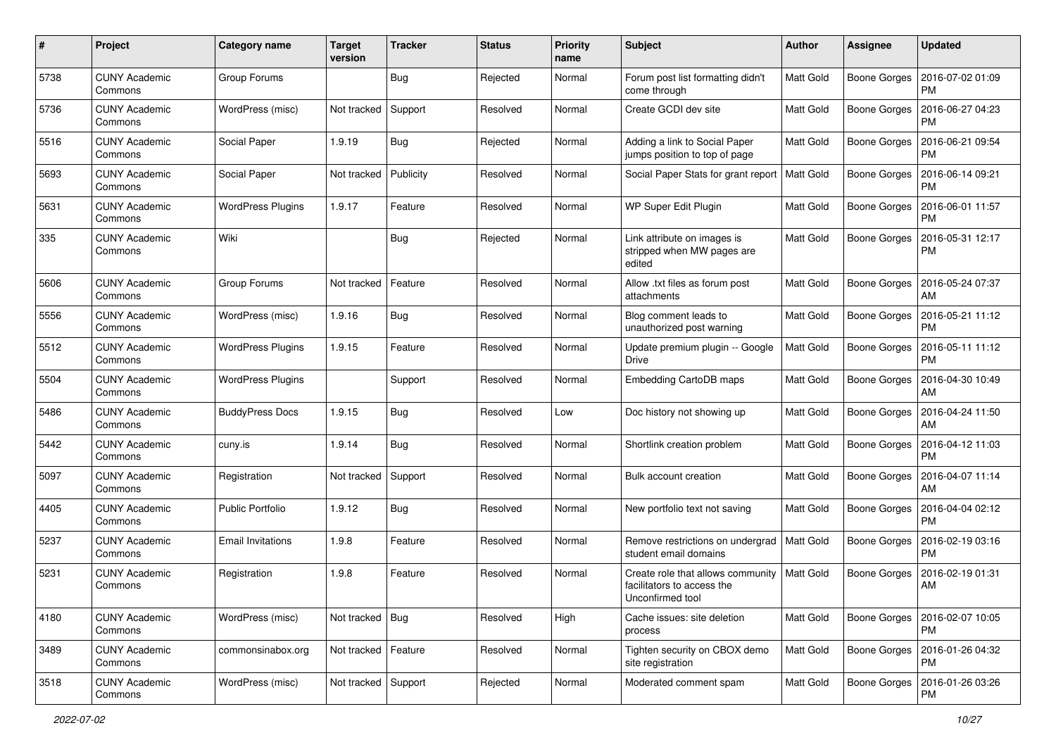| #    | Project                         | <b>Category name</b>     | <b>Target</b><br>version | <b>Tracker</b> | <b>Status</b> | <b>Priority</b><br>name | Subject                                                                             | <b>Author</b>    | <b>Assignee</b>     | <b>Updated</b>                |
|------|---------------------------------|--------------------------|--------------------------|----------------|---------------|-------------------------|-------------------------------------------------------------------------------------|------------------|---------------------|-------------------------------|
| 5738 | <b>CUNY Academic</b><br>Commons | Group Forums             |                          | Bug            | Rejected      | Normal                  | Forum post list formatting didn't<br>come through                                   | Matt Gold        | <b>Boone Gorges</b> | 2016-07-02 01:09<br><b>PM</b> |
| 5736 | <b>CUNY Academic</b><br>Commons | WordPress (misc)         | Not tracked              | Support        | Resolved      | Normal                  | Create GCDI dev site                                                                | Matt Gold        | <b>Boone Gorges</b> | 2016-06-27 04:23<br><b>PM</b> |
| 5516 | CUNY Academic<br>Commons        | Social Paper             | 1.9.19                   | <b>Bug</b>     | Rejected      | Normal                  | Adding a link to Social Paper<br>jumps position to top of page                      | <b>Matt Gold</b> | <b>Boone Gorges</b> | 2016-06-21 09:54<br><b>PM</b> |
| 5693 | <b>CUNY Academic</b><br>Commons | Social Paper             | Not tracked              | Publicity      | Resolved      | Normal                  | Social Paper Stats for grant report   Matt Gold                                     |                  | <b>Boone Gorges</b> | 2016-06-14 09:21<br><b>PM</b> |
| 5631 | <b>CUNY Academic</b><br>Commons | <b>WordPress Plugins</b> | 1.9.17                   | Feature        | Resolved      | Normal                  | WP Super Edit Plugin                                                                | <b>Matt Gold</b> | <b>Boone Gorges</b> | 2016-06-01 11:57<br><b>PM</b> |
| 335  | <b>CUNY Academic</b><br>Commons | Wiki                     |                          | Bug            | Rejected      | Normal                  | Link attribute on images is<br>stripped when MW pages are<br>edited                 | Matt Gold        | <b>Boone Gorges</b> | 2016-05-31 12:17<br><b>PM</b> |
| 5606 | <b>CUNY Academic</b><br>Commons | Group Forums             | Not tracked              | Feature        | Resolved      | Normal                  | Allow .txt files as forum post<br>attachments                                       | <b>Matt Gold</b> | <b>Boone Gorges</b> | 2016-05-24 07:37<br>AM        |
| 5556 | <b>CUNY Academic</b><br>Commons | WordPress (misc)         | 1.9.16                   | Bug            | Resolved      | Normal                  | Blog comment leads to<br>unauthorized post warning                                  | Matt Gold        | <b>Boone Gorges</b> | 2016-05-21 11:12<br><b>PM</b> |
| 5512 | <b>CUNY Academic</b><br>Commons | <b>WordPress Plugins</b> | 1.9.15                   | Feature        | Resolved      | Normal                  | Update premium plugin -- Google<br><b>Drive</b>                                     | Matt Gold        | <b>Boone Gorges</b> | 2016-05-11 11:12<br>PM        |
| 5504 | <b>CUNY Academic</b><br>Commons | <b>WordPress Plugins</b> |                          | Support        | Resolved      | Normal                  | Embedding CartoDB maps                                                              | <b>Matt Gold</b> | Boone Gorges        | 2016-04-30 10:49<br>AM        |
| 5486 | <b>CUNY Academic</b><br>Commons | <b>BuddyPress Docs</b>   | 1.9.15                   | Bug            | Resolved      | Low                     | Doc history not showing up                                                          | Matt Gold        | <b>Boone Gorges</b> | 2016-04-24 11:50<br>AM        |
| 5442 | <b>CUNY Academic</b><br>Commons | cuny.is                  | 1.9.14                   | Bug            | Resolved      | Normal                  | Shortlink creation problem                                                          | <b>Matt Gold</b> | <b>Boone Gorges</b> | 2016-04-12 11:03<br><b>PM</b> |
| 5097 | <b>CUNY Academic</b><br>Commons | Registration             | Not tracked              | Support        | Resolved      | Normal                  | Bulk account creation                                                               | <b>Matt Gold</b> | <b>Boone Gorges</b> | 2016-04-07 11:14<br>AM        |
| 4405 | <b>CUNY Academic</b><br>Commons | <b>Public Portfolio</b>  | 1.9.12                   | Bug            | Resolved      | Normal                  | New portfolio text not saving                                                       | <b>Matt Gold</b> | <b>Boone Gorges</b> | 2016-04-04 02:12<br><b>PM</b> |
| 5237 | <b>CUNY Academic</b><br>Commons | Email Invitations        | 1.9.8                    | Feature        | Resolved      | Normal                  | Remove restrictions on undergrad   Matt Gold<br>student email domains               |                  | Boone Gorges        | 2016-02-19 03:16<br><b>PM</b> |
| 5231 | <b>CUNY Academic</b><br>Commons | Registration             | 1.9.8                    | Feature        | Resolved      | Normal                  | Create role that allows community<br>facilitators to access the<br>Unconfirmed tool | Matt Gold        | <b>Boone Gorges</b> | 2016-02-19 01:31<br>AM        |
| 4180 | <b>CUNY Academic</b><br>Commons | WordPress (misc)         | Not tracked   Bug        |                | Resolved      | High                    | Cache issues: site deletion<br>process                                              | <b>Matt Gold</b> | <b>Boone Gorges</b> | 2016-02-07 10:05<br><b>PM</b> |
| 3489 | <b>CUNY Academic</b><br>Commons | commonsinabox.org        | Not tracked   Feature    |                | Resolved      | Normal                  | Tighten security on CBOX demo<br>site registration                                  | <b>Matt Gold</b> | <b>Boone Gorges</b> | 2016-01-26 04:32<br><b>PM</b> |
| 3518 | <b>CUNY Academic</b><br>Commons | WordPress (misc)         | Not tracked Support      |                | Rejected      | Normal                  | Moderated comment spam                                                              | Matt Gold        | <b>Boone Gorges</b> | 2016-01-26 03:26<br>PM        |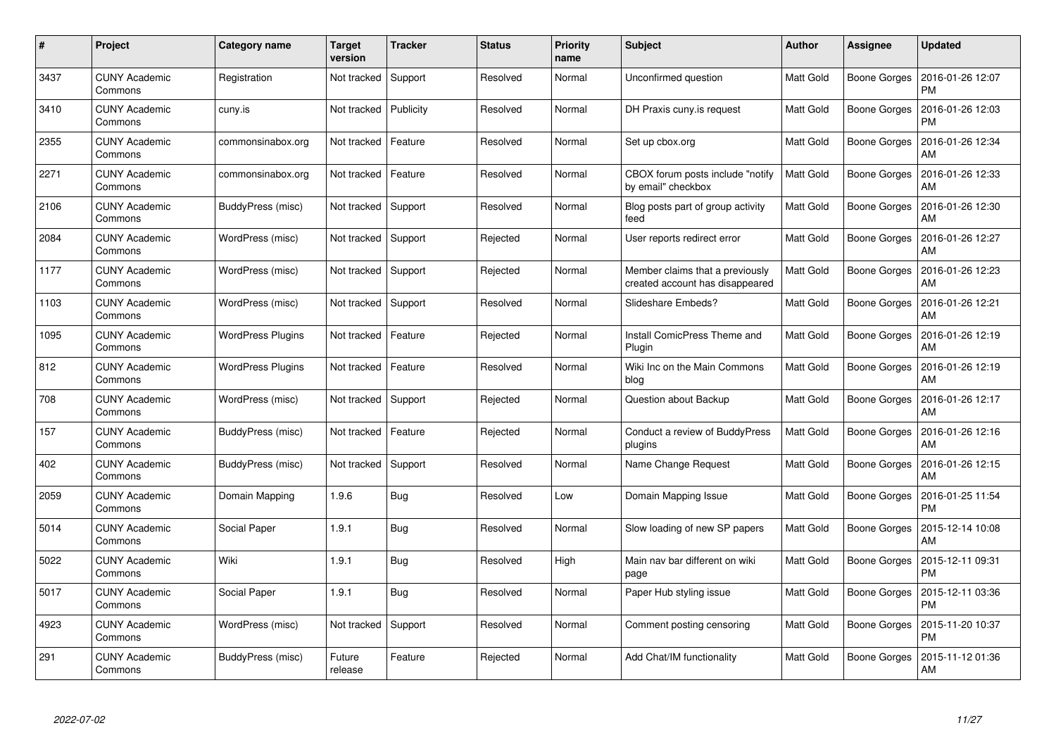| #    | Project                         | Category name            | Target<br>version | <b>Tracker</b> | <b>Status</b> | <b>Priority</b><br>name | <b>Subject</b>                                                     | <b>Author</b>    | Assignee            | <b>Updated</b>                |
|------|---------------------------------|--------------------------|-------------------|----------------|---------------|-------------------------|--------------------------------------------------------------------|------------------|---------------------|-------------------------------|
| 3437 | <b>CUNY Academic</b><br>Commons | Registration             | Not tracked       | Support        | Resolved      | Normal                  | Unconfirmed question                                               | <b>Matt Gold</b> | <b>Boone Gorges</b> | 2016-01-26 12:07<br><b>PM</b> |
| 3410 | <b>CUNY Academic</b><br>Commons | cuny.is                  | Not tracked       | Publicity      | Resolved      | Normal                  | DH Praxis cuny is request                                          | <b>Matt Gold</b> | <b>Boone Gorges</b> | 2016-01-26 12:03<br><b>PM</b> |
| 2355 | <b>CUNY Academic</b><br>Commons | commonsinabox.org        | Not tracked       | Feature        | Resolved      | Normal                  | Set up cbox.org                                                    | <b>Matt Gold</b> | <b>Boone Gorges</b> | 2016-01-26 12:34<br>AM        |
| 2271 | <b>CUNY Academic</b><br>Commons | commonsinabox.org        | Not tracked       | Feature        | Resolved      | Normal                  | CBOX forum posts include "notify<br>by email" checkbox             | Matt Gold        | Boone Gorges        | 2016-01-26 12:33<br>AM        |
| 2106 | <b>CUNY Academic</b><br>Commons | BuddyPress (misc)        | Not tracked       | Support        | Resolved      | Normal                  | Blog posts part of group activity<br>feed                          | Matt Gold        | <b>Boone Gorges</b> | 2016-01-26 12:30<br>AM        |
| 2084 | <b>CUNY Academic</b><br>Commons | WordPress (misc)         | Not tracked       | Support        | Rejected      | Normal                  | User reports redirect error                                        | Matt Gold        | <b>Boone Gorges</b> | 2016-01-26 12:27<br>AM        |
| 1177 | <b>CUNY Academic</b><br>Commons | WordPress (misc)         | Not tracked       | Support        | Rejected      | Normal                  | Member claims that a previously<br>created account has disappeared | <b>Matt Gold</b> | <b>Boone Gorges</b> | 2016-01-26 12:23<br>AM        |
| 1103 | <b>CUNY Academic</b><br>Commons | WordPress (misc)         | Not tracked       | Support        | Resolved      | Normal                  | Slideshare Embeds?                                                 | Matt Gold        | Boone Gorges        | 2016-01-26 12:21<br>AM        |
| 1095 | <b>CUNY Academic</b><br>Commons | <b>WordPress Plugins</b> | Not tracked       | Feature        | Rejected      | Normal                  | Install ComicPress Theme and<br>Plugin                             | <b>Matt Gold</b> | <b>Boone Gorges</b> | 2016-01-26 12:19<br>AM        |
| 812  | <b>CUNY Academic</b><br>Commons | WordPress Plugins        | Not tracked       | Feature        | Resolved      | Normal                  | Wiki Inc on the Main Commons<br>blog                               | <b>Matt Gold</b> | <b>Boone Gorges</b> | 2016-01-26 12:19<br>AM        |
| 708  | <b>CUNY Academic</b><br>Commons | WordPress (misc)         | Not tracked       | Support        | Rejected      | Normal                  | Question about Backup                                              | Matt Gold        | <b>Boone Gorges</b> | 2016-01-26 12:17<br>AM        |
| 157  | <b>CUNY Academic</b><br>Commons | BuddyPress (misc)        | Not tracked       | Feature        | Rejected      | Normal                  | Conduct a review of BuddyPress<br>plugins                          | Matt Gold        | Boone Gorges        | 2016-01-26 12:16<br>AM        |
| 402  | <b>CUNY Academic</b><br>Commons | BuddyPress (misc)        | Not tracked       | Support        | Resolved      | Normal                  | Name Change Request                                                | <b>Matt Gold</b> | <b>Boone Gorges</b> | 2016-01-26 12:15<br>AM        |
| 2059 | <b>CUNY Academic</b><br>Commons | Domain Mapping           | 1.9.6             | Bug            | Resolved      | Low                     | Domain Mapping Issue                                               | Matt Gold        | <b>Boone Gorges</b> | 2016-01-25 11:54<br><b>PM</b> |
| 5014 | <b>CUNY Academic</b><br>Commons | Social Paper             | 1.9.1             | <b>Bug</b>     | Resolved      | Normal                  | Slow loading of new SP papers                                      | Matt Gold        | <b>Boone Gorges</b> | 2015-12-14 10:08<br>AM        |
| 5022 | <b>CUNY Academic</b><br>Commons | Wiki                     | 1.9.1             | Bug            | Resolved      | High                    | Main nav bar different on wiki<br>page                             | Matt Gold        | <b>Boone Gorges</b> | 2015-12-11 09:31<br><b>PM</b> |
| 5017 | <b>CUNY Academic</b><br>Commons | Social Paper             | 1.9.1             | Bug            | Resolved      | Normal                  | Paper Hub styling issue                                            | Matt Gold        | Boone Gorges        | 2015-12-11 03:36<br><b>PM</b> |
| 4923 | <b>CUNY Academic</b><br>Commons | WordPress (misc)         | Not tracked       | Support        | Resolved      | Normal                  | Comment posting censoring                                          | Matt Gold        | <b>Boone Gorges</b> | 2015-11-20 10:37<br><b>PM</b> |
| 291  | CUNY Academic<br>Commons        | BuddyPress (misc)        | Future<br>release | Feature        | Rejected      | Normal                  | Add Chat/IM functionality                                          | Matt Gold        | Boone Gorges        | 2015-11-12 01:36<br>AM        |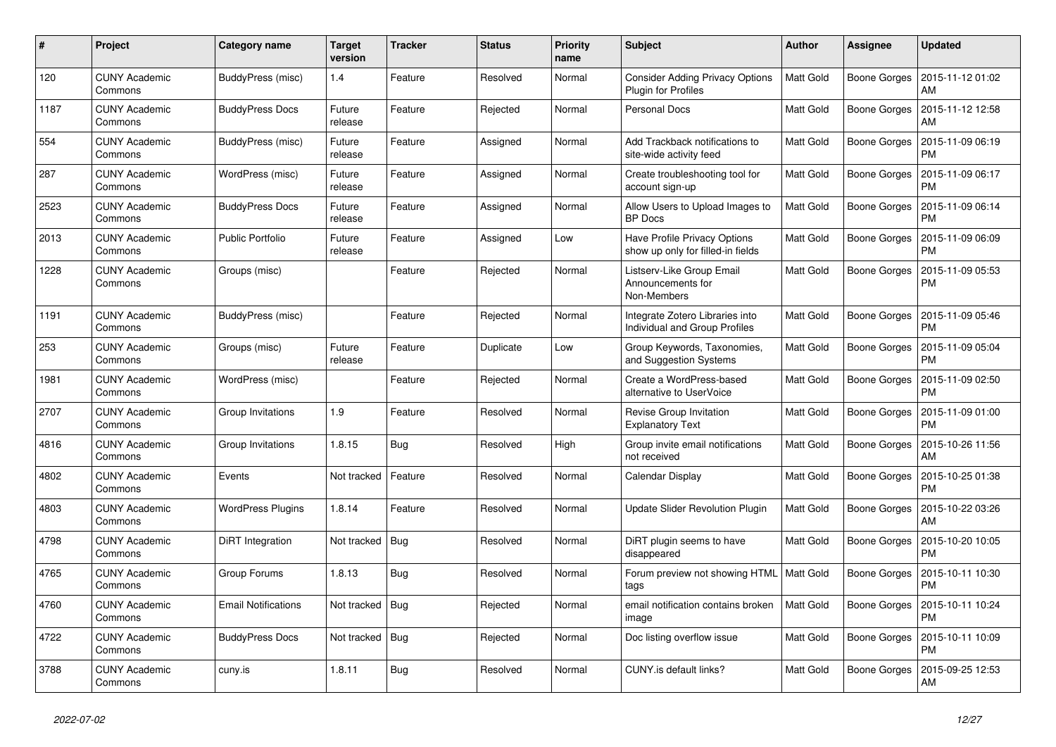| #    | Project                         | Category name              | <b>Target</b><br>version | <b>Tracker</b> | <b>Status</b> | <b>Priority</b><br>name | <b>Subject</b>                                                           | <b>Author</b>    | <b>Assignee</b>     | <b>Updated</b>                |
|------|---------------------------------|----------------------------|--------------------------|----------------|---------------|-------------------------|--------------------------------------------------------------------------|------------------|---------------------|-------------------------------|
| 120  | <b>CUNY Academic</b><br>Commons | BuddyPress (misc)          | 1.4                      | Feature        | Resolved      | Normal                  | <b>Consider Adding Privacy Options</b><br>Plugin for Profiles            | <b>Matt Gold</b> | Boone Gorges        | 2015-11-12 01:02<br>AM        |
| 1187 | <b>CUNY Academic</b><br>Commons | <b>BuddyPress Docs</b>     | Future<br>release        | Feature        | Rejected      | Normal                  | <b>Personal Docs</b>                                                     | Matt Gold        | <b>Boone Gorges</b> | 2015-11-12 12:58<br>AM        |
| 554  | <b>CUNY Academic</b><br>Commons | BuddyPress (misc)          | Future<br>release        | Feature        | Assigned      | Normal                  | Add Trackback notifications to<br>site-wide activity feed                | <b>Matt Gold</b> | <b>Boone Gorges</b> | 2015-11-09 06:19<br><b>PM</b> |
| 287  | <b>CUNY Academic</b><br>Commons | WordPress (misc)           | Future<br>release        | Feature        | Assigned      | Normal                  | Create troubleshooting tool for<br>account sign-up                       | Matt Gold        | Boone Gorges        | 2015-11-09 06:17<br><b>PM</b> |
| 2523 | <b>CUNY Academic</b><br>Commons | <b>BuddyPress Docs</b>     | Future<br>release        | Feature        | Assigned      | Normal                  | Allow Users to Upload Images to<br><b>BP</b> Docs                        | <b>Matt Gold</b> | <b>Boone Gorges</b> | 2015-11-09 06:14<br><b>PM</b> |
| 2013 | <b>CUNY Academic</b><br>Commons | <b>Public Portfolio</b>    | Future<br>release        | Feature        | Assigned      | Low                     | <b>Have Profile Privacy Options</b><br>show up only for filled-in fields | Matt Gold        | <b>Boone Gorges</b> | 2015-11-09 06:09<br><b>PM</b> |
| 1228 | <b>CUNY Academic</b><br>Commons | Groups (misc)              |                          | Feature        | Rejected      | Normal                  | Listserv-Like Group Email<br>Announcements for<br>Non-Members            | Matt Gold        | Boone Gorges        | 2015-11-09 05:53<br><b>PM</b> |
| 1191 | <b>CUNY Academic</b><br>Commons | BuddyPress (misc)          |                          | Feature        | Rejected      | Normal                  | Integrate Zotero Libraries into<br>Individual and Group Profiles         | <b>Matt Gold</b> | Boone Gorges        | 2015-11-09 05:46<br><b>PM</b> |
| 253  | <b>CUNY Academic</b><br>Commons | Groups (misc)              | Future<br>release        | Feature        | Duplicate     | Low                     | Group Keywords, Taxonomies,<br>and Suggestion Systems                    | <b>Matt Gold</b> | <b>Boone Gorges</b> | 2015-11-09 05:04<br><b>PM</b> |
| 1981 | <b>CUNY Academic</b><br>Commons | WordPress (misc)           |                          | Feature        | Rejected      | Normal                  | Create a WordPress-based<br>alternative to UserVoice                     | <b>Matt Gold</b> | <b>Boone Gorges</b> | 2015-11-09 02:50<br><b>PM</b> |
| 2707 | <b>CUNY Academic</b><br>Commons | Group Invitations          | 1.9                      | Feature        | Resolved      | Normal                  | Revise Group Invitation<br><b>Explanatory Text</b>                       | Matt Gold        | Boone Gorges        | 2015-11-09 01:00<br><b>PM</b> |
| 4816 | <b>CUNY Academic</b><br>Commons | Group Invitations          | 1.8.15                   | <b>Bug</b>     | Resolved      | High                    | Group invite email notifications<br>not received                         | Matt Gold        | <b>Boone Gorges</b> | 2015-10-26 11:56<br>AM        |
| 4802 | <b>CUNY Academic</b><br>Commons | Events                     | Not tracked              | Feature        | Resolved      | Normal                  | Calendar Display                                                         | <b>Matt Gold</b> | <b>Boone Gorges</b> | 2015-10-25 01:38<br><b>PM</b> |
| 4803 | <b>CUNY Academic</b><br>Commons | <b>WordPress Plugins</b>   | 1.8.14                   | Feature        | Resolved      | Normal                  | Update Slider Revolution Plugin                                          | <b>Matt Gold</b> | Boone Gorges        | 2015-10-22 03:26<br>AM        |
| 4798 | <b>CUNY Academic</b><br>Commons | DiRT Integration           | Not tracked              | Bug            | Resolved      | Normal                  | DiRT plugin seems to have<br>disappeared                                 | <b>Matt Gold</b> | Boone Gorges        | 2015-10-20 10:05<br><b>PM</b> |
| 4765 | <b>CUNY Academic</b><br>Commons | Group Forums               | 1.8.13                   | Bug            | Resolved      | Normal                  | Forum preview not showing HTML<br>tags                                   | <b>Matt Gold</b> | <b>Boone Gorges</b> | 2015-10-11 10:30<br><b>PM</b> |
| 4760 | <b>CUNY Academic</b><br>Commons | <b>Email Notifications</b> | Not tracked              | Bug            | Rejected      | Normal                  | email notification contains broken<br>image                              | <b>Matt Gold</b> | <b>Boone Gorges</b> | 2015-10-11 10:24<br><b>PM</b> |
| 4722 | <b>CUNY Academic</b><br>Commons | <b>BuddyPress Docs</b>     | Not tracked              | Bug            | Rejected      | Normal                  | Doc listing overflow issue                                               | <b>Matt Gold</b> | Boone Gorges        | 2015-10-11 10:09<br><b>PM</b> |
| 3788 | <b>CUNY Academic</b><br>Commons | cuny.is                    | 1.8.11                   | Bug            | Resolved      | Normal                  | CUNY.is default links?                                                   | Matt Gold        | <b>Boone Gorges</b> | 2015-09-25 12:53<br>AM        |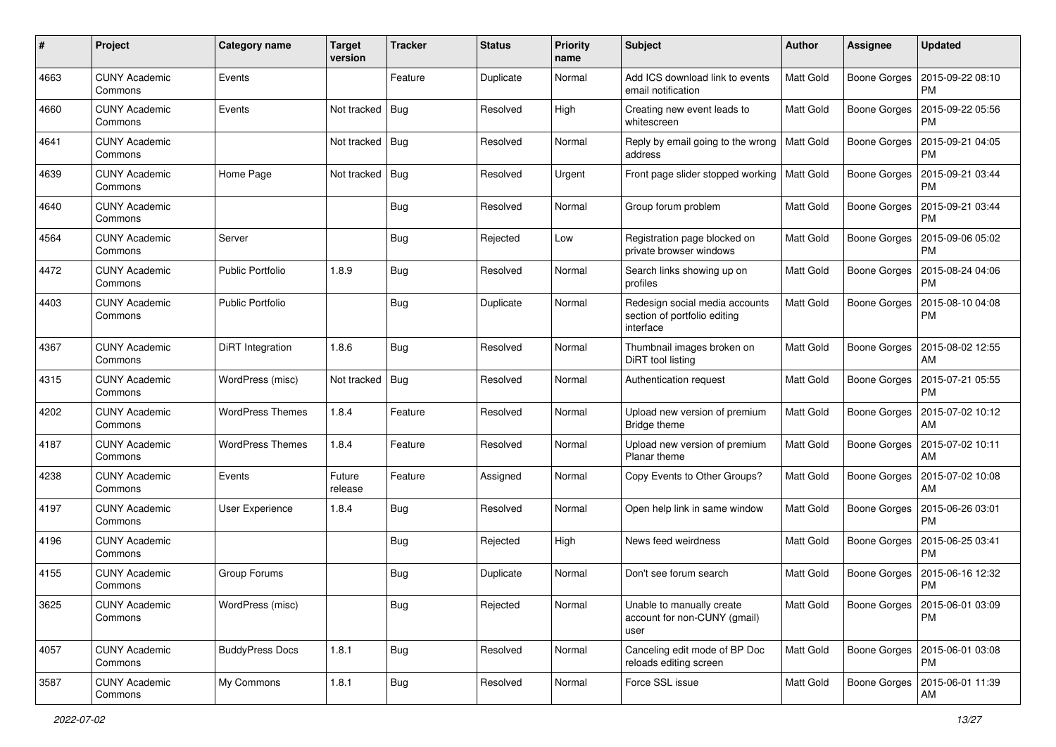| #    | Project                         | Category name           | <b>Target</b><br>version | <b>Tracker</b> | <b>Status</b> | Priority<br>name | Subject                                                                     | Author           | <b>Assignee</b>     | <b>Updated</b>                               |
|------|---------------------------------|-------------------------|--------------------------|----------------|---------------|------------------|-----------------------------------------------------------------------------|------------------|---------------------|----------------------------------------------|
| 4663 | <b>CUNY Academic</b><br>Commons | Events                  |                          | Feature        | Duplicate     | Normal           | Add ICS download link to events<br>email notification                       | Matt Gold        | Boone Gorges        | 2015-09-22 08:10<br><b>PM</b>                |
| 4660 | <b>CUNY Academic</b><br>Commons | Events                  | Not tracked              | <b>Bug</b>     | Resolved      | High             | Creating new event leads to<br>whitescreen                                  | Matt Gold        | Boone Gorges        | 2015-09-22 05:56<br><b>PM</b>                |
| 4641 | <b>CUNY Academic</b><br>Commons |                         | Not tracked              | <b>Bug</b>     | Resolved      | Normal           | Reply by email going to the wrong<br>address                                | Matt Gold        | Boone Gorges        | 2015-09-21 04:05<br><b>PM</b>                |
| 4639 | <b>CUNY Academic</b><br>Commons | Home Page               | Not tracked              | Bug            | Resolved      | Urgent           | Front page slider stopped working                                           | <b>Matt Gold</b> | <b>Boone Gorges</b> | 2015-09-21 03:44<br><b>PM</b>                |
| 4640 | <b>CUNY Academic</b><br>Commons |                         |                          | <b>Bug</b>     | Resolved      | Normal           | Group forum problem                                                         | <b>Matt Gold</b> | Boone Gorges        | 2015-09-21 03:44<br><b>PM</b>                |
| 4564 | <b>CUNY Academic</b><br>Commons | Server                  |                          | Bug            | Rejected      | Low              | Registration page blocked on<br>private browser windows                     | Matt Gold        | Boone Gorges        | 2015-09-06 05:02<br><b>PM</b>                |
| 4472 | <b>CUNY Academic</b><br>Commons | <b>Public Portfolio</b> | 1.8.9                    | Bug            | Resolved      | Normal           | Search links showing up on<br>profiles                                      | Matt Gold        | Boone Gorges        | 2015-08-24 04:06<br>PM                       |
| 4403 | <b>CUNY Academic</b><br>Commons | <b>Public Portfolio</b> |                          | Bug            | Duplicate     | Normal           | Redesign social media accounts<br>section of portfolio editing<br>interface | Matt Gold        | Boone Gorges        | 2015-08-10 04:08<br><b>PM</b>                |
| 4367 | <b>CUNY Academic</b><br>Commons | DiRT Integration        | 1.8.6                    | Bug            | Resolved      | Normal           | Thumbnail images broken on<br>DiRT tool listing                             | <b>Matt Gold</b> | Boone Gorges        | 2015-08-02 12:55<br>AM                       |
| 4315 | <b>CUNY Academic</b><br>Commons | WordPress (misc)        | Not tracked              | <b>Bug</b>     | Resolved      | Normal           | Authentication request                                                      | <b>Matt Gold</b> | Boone Gorges        | 2015-07-21 05:55<br><b>PM</b>                |
| 4202 | <b>CUNY Academic</b><br>Commons | <b>WordPress Themes</b> | 1.8.4                    | Feature        | Resolved      | Normal           | Upload new version of premium<br>Bridge theme                               | Matt Gold        | <b>Boone Gorges</b> | 2015-07-02 10:12<br>AM                       |
| 4187 | <b>CUNY Academic</b><br>Commons | <b>WordPress Themes</b> | 1.8.4                    | Feature        | Resolved      | Normal           | Upload new version of premium<br>Planar theme                               | Matt Gold        | Boone Gorges        | 2015-07-02 10:11<br>AM                       |
| 4238 | <b>CUNY Academic</b><br>Commons | Events                  | Future<br>release        | Feature        | Assigned      | Normal           | Copy Events to Other Groups?                                                | Matt Gold        | Boone Gorges        | 2015-07-02 10:08<br>AM                       |
| 4197 | <b>CUNY Academic</b><br>Commons | User Experience         | 1.8.4                    | <b>Bug</b>     | Resolved      | Normal           | Open help link in same window                                               | <b>Matt Gold</b> |                     | Boone Gorges   2015-06-26 03:01<br><b>PM</b> |
| 4196 | <b>CUNY Academic</b><br>Commons |                         |                          | Bug            | Rejected      | High             | News feed weirdness                                                         | Matt Gold        | Boone Gorges        | 2015-06-25 03:41<br><b>PM</b>                |
| 4155 | <b>CUNY Academic</b><br>Commons | Group Forums            |                          | <b>Bug</b>     | Duplicate     | Normal           | Don't see forum search                                                      | <b>Matt Gold</b> | Boone Gorges        | 2015-06-16 12:32<br><b>PM</b>                |
| 3625 | <b>CUNY Academic</b><br>Commons | WordPress (misc)        |                          | <b>Bug</b>     | Rejected      | Normal           | Unable to manually create<br>account for non-CUNY (gmail)<br>user           | Matt Gold        |                     | Boone Gorges   2015-06-01 03:09<br><b>PM</b> |
| 4057 | <b>CUNY Academic</b><br>Commons | <b>BuddyPress Docs</b>  | 1.8.1                    | <b>Bug</b>     | Resolved      | Normal           | Canceling edit mode of BP Doc<br>reloads editing screen                     | Matt Gold        |                     | Boone Gorges   2015-06-01 03:08<br>PM        |
| 3587 | <b>CUNY Academic</b><br>Commons | My Commons              | 1.8.1                    | <b>Bug</b>     | Resolved      | Normal           | Force SSL issue                                                             | Matt Gold        |                     | Boone Gorges   2015-06-01 11:39<br>AM        |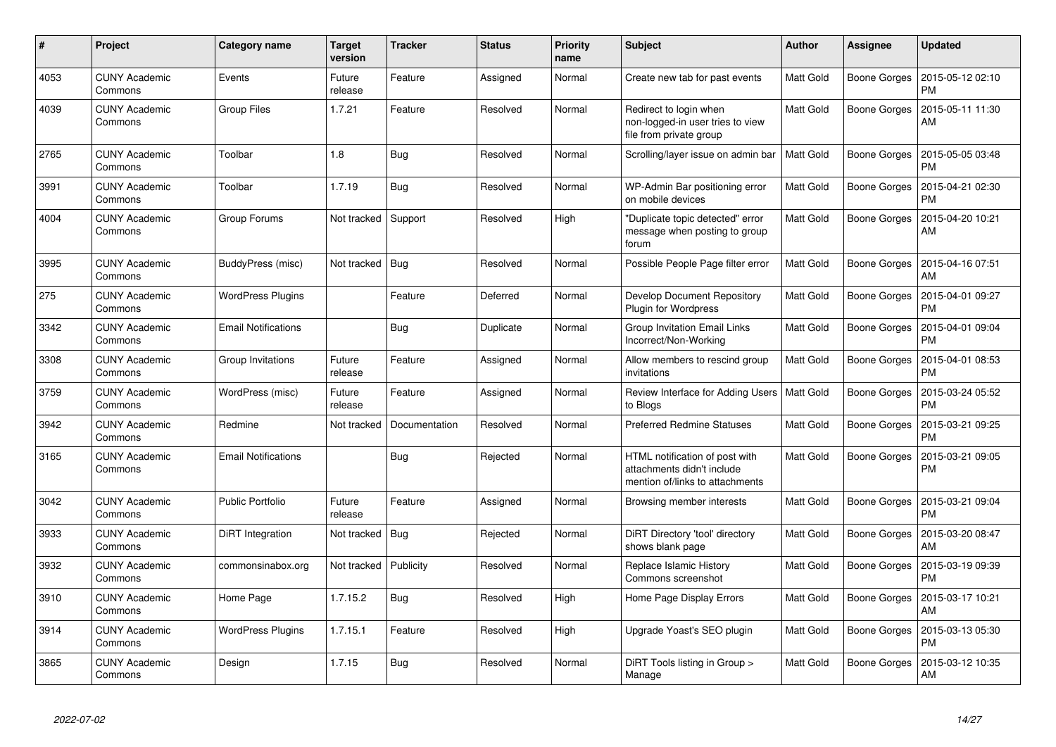| #    | Project                         | Category name              | <b>Target</b><br>version | <b>Tracker</b> | <b>Status</b> | <b>Priority</b><br>name | <b>Subject</b>                                                                                  | <b>Author</b>    | Assignee            | <b>Updated</b>                |
|------|---------------------------------|----------------------------|--------------------------|----------------|---------------|-------------------------|-------------------------------------------------------------------------------------------------|------------------|---------------------|-------------------------------|
| 4053 | <b>CUNY Academic</b><br>Commons | Events                     | Future<br>release        | Feature        | Assigned      | Normal                  | Create new tab for past events                                                                  | Matt Gold        | Boone Gorges        | 2015-05-12 02:10<br><b>PM</b> |
| 4039 | <b>CUNY Academic</b><br>Commons | <b>Group Files</b>         | 1.7.21                   | Feature        | Resolved      | Normal                  | Redirect to login when<br>non-logged-in user tries to view<br>file from private group           | <b>Matt Gold</b> | Boone Gorges        | 2015-05-11 11:30<br>AM        |
| 2765 | <b>CUNY Academic</b><br>Commons | Toolbar                    | 1.8                      | Bug            | Resolved      | Normal                  | Scrolling/layer issue on admin bar                                                              | <b>Matt Gold</b> | Boone Gorges        | 2015-05-05 03:48<br><b>PM</b> |
| 3991 | <b>CUNY Academic</b><br>Commons | Toolbar                    | 1.7.19                   | Bug            | Resolved      | Normal                  | WP-Admin Bar positioning error<br>on mobile devices                                             | Matt Gold        | <b>Boone Gorges</b> | 2015-04-21 02:30<br><b>PM</b> |
| 4004 | <b>CUNY Academic</b><br>Commons | Group Forums               | Not tracked              | Support        | Resolved      | High                    | "Duplicate topic detected" error<br>message when posting to group<br>forum                      | <b>Matt Gold</b> | Boone Gorges        | 2015-04-20 10:21<br>AM        |
| 3995 | <b>CUNY Academic</b><br>Commons | BuddyPress (misc)          | Not tracked              | Bug            | Resolved      | Normal                  | Possible People Page filter error                                                               | Matt Gold        | <b>Boone Gorges</b> | 2015-04-16 07:51<br>AM        |
| 275  | <b>CUNY Academic</b><br>Commons | <b>WordPress Plugins</b>   |                          | Feature        | Deferred      | Normal                  | Develop Document Repository<br><b>Plugin for Wordpress</b>                                      | Matt Gold        | Boone Gorges        | 2015-04-01 09:27<br><b>PM</b> |
| 3342 | <b>CUNY Academic</b><br>Commons | <b>Email Notifications</b> |                          | <b>Bug</b>     | Duplicate     | Normal                  | Group Invitation Email Links<br>Incorrect/Non-Working                                           | Matt Gold        | Boone Gorges        | 2015-04-01 09:04<br><b>PM</b> |
| 3308 | <b>CUNY Academic</b><br>Commons | Group Invitations          | Future<br>release        | Feature        | Assigned      | Normal                  | Allow members to rescind group<br>invitations                                                   | <b>Matt Gold</b> | Boone Gorges        | 2015-04-01 08:53<br><b>PM</b> |
| 3759 | <b>CUNY Academic</b><br>Commons | WordPress (misc)           | Future<br>release        | Feature        | Assigned      | Normal                  | Review Interface for Adding Users<br>to Blogs                                                   | <b>Matt Gold</b> | Boone Gorges        | 2015-03-24 05:52<br><b>PM</b> |
| 3942 | <b>CUNY Academic</b><br>Commons | Redmine                    | Not tracked              | Documentation  | Resolved      | Normal                  | <b>Preferred Redmine Statuses</b>                                                               | <b>Matt Gold</b> | Boone Gorges        | 2015-03-21 09:25<br><b>PM</b> |
| 3165 | <b>CUNY Academic</b><br>Commons | <b>Email Notifications</b> |                          | <b>Bug</b>     | Rejected      | Normal                  | HTML notification of post with<br>attachments didn't include<br>mention of/links to attachments | <b>Matt Gold</b> | Boone Gorges        | 2015-03-21 09:05<br><b>PM</b> |
| 3042 | <b>CUNY Academic</b><br>Commons | <b>Public Portfolio</b>    | Future<br>release        | Feature        | Assigned      | Normal                  | Browsing member interests                                                                       | Matt Gold        | Boone Gorges        | 2015-03-21 09:04<br><b>PM</b> |
| 3933 | <b>CUNY Academic</b><br>Commons | DiRT Integration           | Not tracked              | Bug            | Rejected      | Normal                  | DiRT Directory 'tool' directory<br>shows blank page                                             | Matt Gold        | Boone Gorges        | 2015-03-20 08:47<br>AM        |
| 3932 | <b>CUNY Academic</b><br>Commons | commonsinabox.org          | Not tracked              | Publicity      | Resolved      | Normal                  | Replace Islamic History<br>Commons screenshot                                                   | <b>Matt Gold</b> | Boone Gorges        | 2015-03-19 09:39<br><b>PM</b> |
| 3910 | <b>CUNY Academic</b><br>Commons | Home Page                  | 1.7.15.2                 | <b>Bug</b>     | Resolved      | High                    | Home Page Display Errors                                                                        | Matt Gold        | Boone Gorges        | 2015-03-17 10:21<br>AM        |
| 3914 | <b>CUNY Academic</b><br>Commons | <b>WordPress Plugins</b>   | 1.7.15.1                 | Feature        | Resolved      | High                    | Upgrade Yoast's SEO plugin                                                                      | Matt Gold        | Boone Gorges        | 2015-03-13 05:30<br><b>PM</b> |
| 3865 | <b>CUNY Academic</b><br>Commons | Design                     | 1.7.15                   | <b>Bug</b>     | Resolved      | Normal                  | DiRT Tools listing in Group ><br>Manage                                                         | Matt Gold        | Boone Gorges        | 2015-03-12 10:35<br>AM        |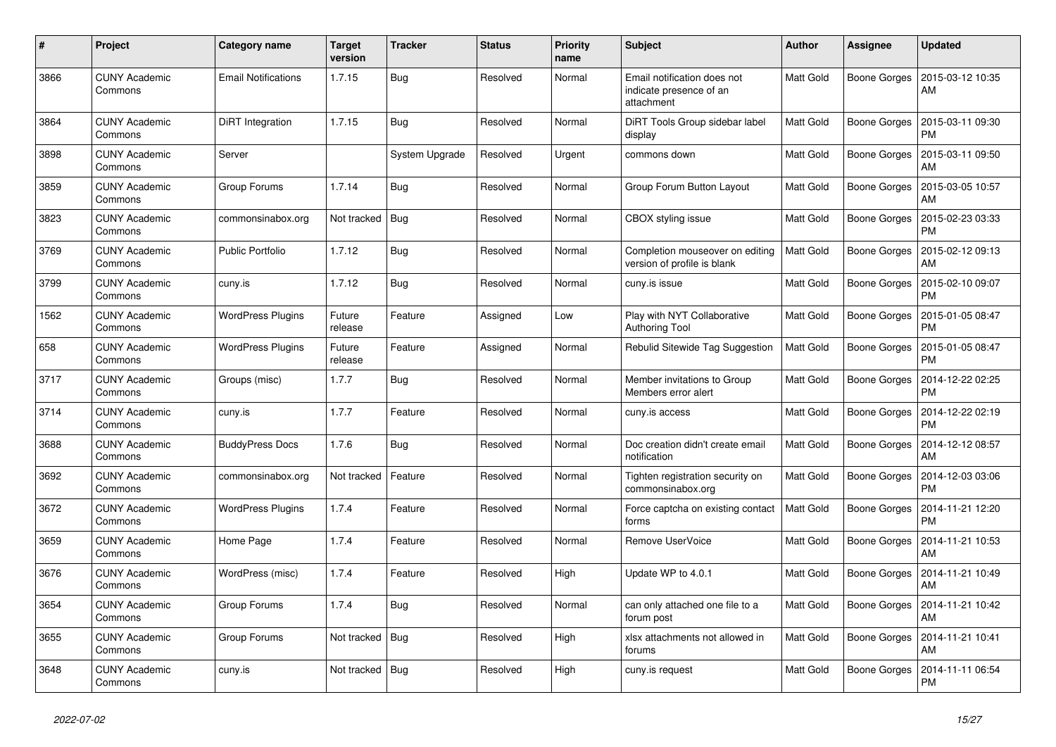| $\pmb{\#}$ | Project                         | <b>Category name</b>       | <b>Target</b><br>version | <b>Tracker</b> | <b>Status</b> | <b>Priority</b><br>name | <b>Subject</b>                                                       | <b>Author</b>    | Assignee            | <b>Updated</b>                |
|------------|---------------------------------|----------------------------|--------------------------|----------------|---------------|-------------------------|----------------------------------------------------------------------|------------------|---------------------|-------------------------------|
| 3866       | <b>CUNY Academic</b><br>Commons | <b>Email Notifications</b> | 1.7.15                   | <b>Bug</b>     | Resolved      | Normal                  | Email notification does not<br>indicate presence of an<br>attachment | Matt Gold        | Boone Gorges        | 2015-03-12 10:35<br>AM        |
| 3864       | <b>CUNY Academic</b><br>Commons | DiRT Integration           | 1.7.15                   | Bug            | Resolved      | Normal                  | DiRT Tools Group sidebar label<br>display                            | <b>Matt Gold</b> | Boone Gorges        | 2015-03-11 09:30<br><b>PM</b> |
| 3898       | <b>CUNY Academic</b><br>Commons | Server                     |                          | System Upgrade | Resolved      | Urgent                  | commons down                                                         | Matt Gold        | Boone Gorges        | 2015-03-11 09:50<br>AM        |
| 3859       | <b>CUNY Academic</b><br>Commons | Group Forums               | 1.7.14                   | <b>Bug</b>     | Resolved      | Normal                  | Group Forum Button Layout                                            | Matt Gold        | Boone Gorges        | 2015-03-05 10:57<br>AM        |
| 3823       | <b>CUNY Academic</b><br>Commons | commonsinabox.org          | Not tracked              | Bug            | Resolved      | Normal                  | CBOX styling issue                                                   | Matt Gold        | Boone Gorges        | 2015-02-23 03:33<br><b>PM</b> |
| 3769       | <b>CUNY Academic</b><br>Commons | <b>Public Portfolio</b>    | 1.7.12                   | <b>Bug</b>     | Resolved      | Normal                  | Completion mouseover on editing<br>version of profile is blank       | <b>Matt Gold</b> | Boone Gorges        | 2015-02-12 09:13<br>AM        |
| 3799       | <b>CUNY Academic</b><br>Commons | cuny.is                    | 1.7.12                   | <b>Bug</b>     | Resolved      | Normal                  | cuny.is issue                                                        | Matt Gold        | <b>Boone Gorges</b> | 2015-02-10 09:07<br><b>PM</b> |
| 1562       | <b>CUNY Academic</b><br>Commons | <b>WordPress Plugins</b>   | Future<br>release        | Feature        | Assigned      | Low                     | Play with NYT Collaborative<br><b>Authoring Tool</b>                 | Matt Gold        | Boone Gorges        | 2015-01-05 08:47<br><b>PM</b> |
| 658        | <b>CUNY Academic</b><br>Commons | <b>WordPress Plugins</b>   | Future<br>release        | Feature        | Assigned      | Normal                  | Rebulid Sitewide Tag Suggestion                                      | <b>Matt Gold</b> | Boone Gorges        | 2015-01-05 08:47<br><b>PM</b> |
| 3717       | <b>CUNY Academic</b><br>Commons | Groups (misc)              | 1.7.7                    | Bug            | Resolved      | Normal                  | Member invitations to Group<br>Members error alert                   | Matt Gold        | <b>Boone Gorges</b> | 2014-12-22 02:25<br><b>PM</b> |
| 3714       | <b>CUNY Academic</b><br>Commons | cuny.is                    | 1.7.7                    | Feature        | Resolved      | Normal                  | cuny.is access                                                       | Matt Gold        | Boone Gorges        | 2014-12-22 02:19<br><b>PM</b> |
| 3688       | <b>CUNY Academic</b><br>Commons | <b>BuddyPress Docs</b>     | 1.7.6                    | Bug            | Resolved      | Normal                  | Doc creation didn't create email<br>notification                     | <b>Matt Gold</b> | Boone Gorges        | 2014-12-12 08:57<br>AM        |
| 3692       | <b>CUNY Academic</b><br>Commons | commonsinabox.org          | Not tracked              | Feature        | Resolved      | Normal                  | Tighten registration security on<br>commonsinabox.org                | Matt Gold        | Boone Gorges        | 2014-12-03 03:06<br><b>PM</b> |
| 3672       | <b>CUNY Academic</b><br>Commons | <b>WordPress Plugins</b>   | 1.7.4                    | Feature        | Resolved      | Normal                  | Force captcha on existing contact<br>forms                           | Matt Gold        | Boone Gorges        | 2014-11-21 12:20<br><b>PM</b> |
| 3659       | <b>CUNY Academic</b><br>Commons | Home Page                  | 1.7.4                    | Feature        | Resolved      | Normal                  | Remove UserVoice                                                     | <b>Matt Gold</b> | Boone Gorges        | 2014-11-21 10:53<br>AM        |
| 3676       | <b>CUNY Academic</b><br>Commons | WordPress (misc)           | 1.7.4                    | Feature        | Resolved      | High                    | Update WP to 4.0.1                                                   | Matt Gold        | Boone Gorges        | 2014-11-21 10:49<br>AM        |
| 3654       | <b>CUNY Academic</b><br>Commons | Group Forums               | 1.7.4                    | <b>Bug</b>     | Resolved      | Normal                  | can only attached one file to a<br>forum post                        | <b>Matt Gold</b> | Boone Gorges        | 2014-11-21 10:42<br>AM        |
| 3655       | <b>CUNY Academic</b><br>Commons | Group Forums               | Not tracked              | Bug            | Resolved      | High                    | xlsx attachments not allowed in<br>forums                            | <b>Matt Gold</b> | Boone Gorges        | 2014-11-21 10:41<br>AM        |
| 3648       | <b>CUNY Academic</b><br>Commons | cuny.is                    | Not tracked   Bug        |                | Resolved      | High                    | cuny.is request                                                      | <b>Matt Gold</b> | Boone Gorges        | 2014-11-11 06:54<br><b>PM</b> |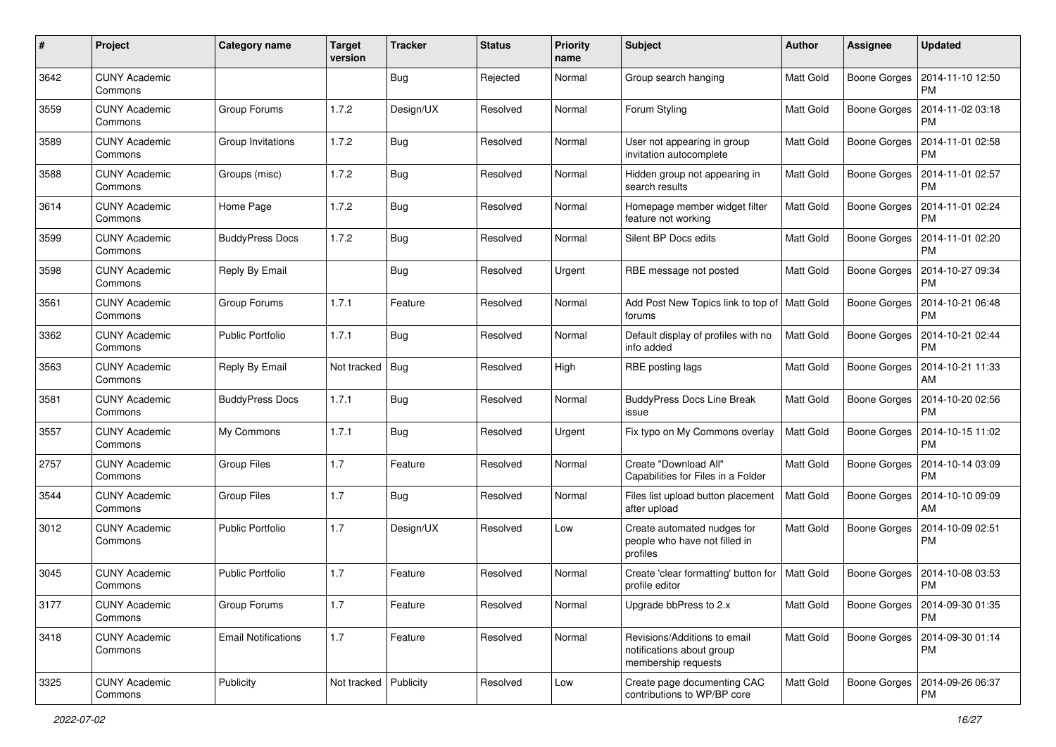| #    | Project                         | <b>Category name</b>       | <b>Target</b><br>version | <b>Tracker</b> | <b>Status</b> | <b>Priority</b><br>name | Subject                                                                          | <b>Author</b>    | <b>Assignee</b>     | <b>Updated</b>                               |
|------|---------------------------------|----------------------------|--------------------------|----------------|---------------|-------------------------|----------------------------------------------------------------------------------|------------------|---------------------|----------------------------------------------|
| 3642 | <b>CUNY Academic</b><br>Commons |                            |                          | <b>Bug</b>     | Rejected      | Normal                  | Group search hanging                                                             | Matt Gold        | <b>Boone Gorges</b> | 2014-11-10 12:50<br><b>PM</b>                |
| 3559 | <b>CUNY Academic</b><br>Commons | Group Forums               | 1.7.2                    | Design/UX      | Resolved      | Normal                  | Forum Styling                                                                    | Matt Gold        | <b>Boone Gorges</b> | 2014-11-02 03:18<br><b>PM</b>                |
| 3589 | <b>CUNY Academic</b><br>Commons | Group Invitations          | 1.7.2                    | Bug            | Resolved      | Normal                  | User not appearing in group<br>invitation autocomplete                           | Matt Gold        | <b>Boone Gorges</b> | 2014-11-01 02:58<br><b>PM</b>                |
| 3588 | <b>CUNY Academic</b><br>Commons | Groups (misc)              | 1.7.2                    | <b>Bug</b>     | Resolved      | Normal                  | Hidden group not appearing in<br>search results                                  | <b>Matt Gold</b> | <b>Boone Gorges</b> | 2014-11-01 02:57<br><b>PM</b>                |
| 3614 | <b>CUNY Academic</b><br>Commons | Home Page                  | 1.7.2                    | <b>Bug</b>     | Resolved      | Normal                  | Homepage member widget filter<br>feature not working                             | <b>Matt Gold</b> | <b>Boone Gorges</b> | 2014-11-01 02:24<br>PM                       |
| 3599 | <b>CUNY Academic</b><br>Commons | <b>BuddyPress Docs</b>     | 1.7.2                    | <b>Bug</b>     | Resolved      | Normal                  | Silent BP Docs edits                                                             | Matt Gold        | Boone Gorges        | 2014-11-01 02:20<br><b>PM</b>                |
| 3598 | <b>CUNY Academic</b><br>Commons | Reply By Email             |                          | <b>Bug</b>     | Resolved      | Urgent                  | RBE message not posted                                                           | Matt Gold        | Boone Gorges        | 2014-10-27 09:34<br><b>PM</b>                |
| 3561 | <b>CUNY Academic</b><br>Commons | Group Forums               | 1.7.1                    | Feature        | Resolved      | Normal                  | Add Post New Topics link to top of   Matt Gold<br>forums                         |                  | <b>Boone Gorges</b> | 2014-10-21 06:48<br>PM                       |
| 3362 | <b>CUNY Academic</b><br>Commons | <b>Public Portfolio</b>    | 1.7.1                    | <b>Bug</b>     | Resolved      | Normal                  | Default display of profiles with no<br>info added                                | Matt Gold        | <b>Boone Gorges</b> | 2014-10-21 02:44<br><b>PM</b>                |
| 3563 | <b>CUNY Academic</b><br>Commons | Reply By Email             | Not tracked              | <b>Bug</b>     | Resolved      | High                    | RBE posting lags                                                                 | Matt Gold        | <b>Boone Gorges</b> | 2014-10-21 11:33<br>AM                       |
| 3581 | <b>CUNY Academic</b><br>Commons | <b>BuddyPress Docs</b>     | 1.7.1                    | <b>Bug</b>     | Resolved      | Normal                  | <b>BuddyPress Docs Line Break</b><br>issue                                       | <b>Matt Gold</b> | <b>Boone Gorges</b> | 2014-10-20 02:56<br><b>PM</b>                |
| 3557 | <b>CUNY Academic</b><br>Commons | My Commons                 | 1.7.1                    | <b>Bug</b>     | Resolved      | Urgent                  | Fix typo on My Commons overlay                                                   | <b>Matt Gold</b> | <b>Boone Gorges</b> | 2014-10-15 11:02<br><b>PM</b>                |
| 2757 | <b>CUNY Academic</b><br>Commons | Group Files                | 1.7                      | Feature        | Resolved      | Normal                  | Create "Download All"<br>Capabilities for Files in a Folder                      | <b>Matt Gold</b> | Boone Gorges        | 2014-10-14 03:09<br><b>PM</b>                |
| 3544 | <b>CUNY Academic</b><br>Commons | Group Files                | 1.7                      | <b>Bug</b>     | Resolved      | Normal                  | Files list upload button placement<br>after upload                               | <b>Matt Gold</b> | Boone Gorges        | 2014-10-10 09:09<br>AM                       |
| 3012 | <b>CUNY Academic</b><br>Commons | <b>Public Portfolio</b>    | 1.7                      | Design/UX      | Resolved      | Low                     | Create automated nudges for<br>people who have not filled in<br>profiles         | Matt Gold        | <b>Boone Gorges</b> | 2014-10-09 02:51<br><b>PM</b>                |
| 3045 | <b>CUNY Academic</b><br>Commons | <b>Public Portfolio</b>    | 1.7                      | Feature        | Resolved      | Normal                  | Create 'clear formatting' button for<br>profile editor                           | <b>Matt Gold</b> | <b>Boone Gorges</b> | 2014-10-08 03:53<br><b>PM</b>                |
| 3177 | <b>CUNY Academic</b><br>Commons | <b>Group Forums</b>        | 1.7                      | Feature        | Resolved      | Normal                  | Upgrade bbPress to 2.x                                                           | <b>Matt Gold</b> |                     | Boone Gorges   2014-09-30 01:35<br><b>PM</b> |
| 3418 | <b>CUNY Academic</b><br>Commons | <b>Email Notifications</b> | 1.7                      | Feature        | Resolved      | Normal                  | Revisions/Additions to email<br>notifications about group<br>membership requests | Matt Gold        | <b>Boone Gorges</b> | 2014-09-30 01:14<br><b>PM</b>                |
| 3325 | <b>CUNY Academic</b><br>Commons | Publicity                  | Not tracked Publicity    |                | Resolved      | Low                     | Create page documenting CAC<br>contributions to WP/BP core                       | Matt Gold        | <b>Boone Gorges</b> | 2014-09-26 06:37<br>PM                       |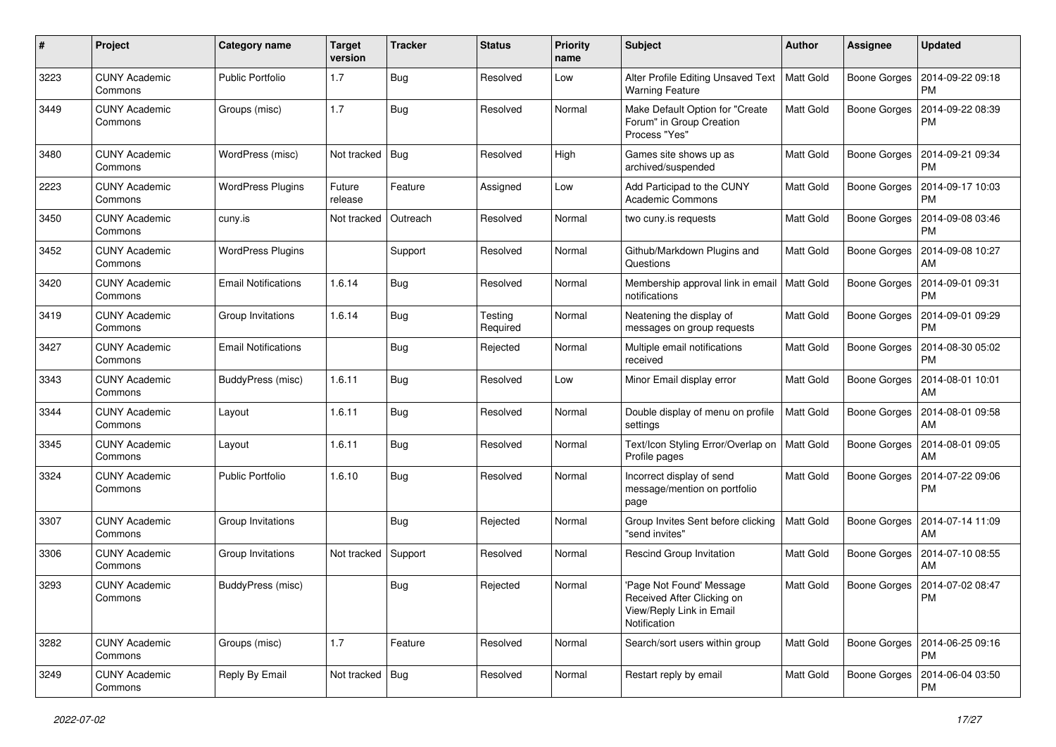| #    | Project                         | Category name              | <b>Target</b><br>version | <b>Tracker</b> | <b>Status</b>       | <b>Priority</b><br>name | Subject                                                                                            | <b>Author</b>    | <b>Assignee</b>     | <b>Updated</b>                               |
|------|---------------------------------|----------------------------|--------------------------|----------------|---------------------|-------------------------|----------------------------------------------------------------------------------------------------|------------------|---------------------|----------------------------------------------|
| 3223 | <b>CUNY Academic</b><br>Commons | <b>Public Portfolio</b>    | 1.7                      | Bug            | Resolved            | Low                     | Alter Profile Editing Unsaved Text<br><b>Warning Feature</b>                                       | Matt Gold        | <b>Boone Gorges</b> | 2014-09-22 09:18<br><b>PM</b>                |
| 3449 | <b>CUNY Academic</b><br>Commons | Groups (misc)              | 1.7                      | Bug            | Resolved            | Normal                  | Make Default Option for "Create<br>Forum" in Group Creation<br>Process "Yes"                       | <b>Matt Gold</b> | <b>Boone Gorges</b> | 2014-09-22 08:39<br>PM                       |
| 3480 | <b>CUNY Academic</b><br>Commons | WordPress (misc)           | Not tracked              | Bug            | Resolved            | High                    | Games site shows up as<br>archived/suspended                                                       | <b>Matt Gold</b> | Boone Gorges        | 2014-09-21 09:34<br><b>PM</b>                |
| 2223 | <b>CUNY Academic</b><br>Commons | <b>WordPress Plugins</b>   | Future<br>release        | Feature        | Assigned            | Low                     | Add Participad to the CUNY<br><b>Academic Commons</b>                                              | Matt Gold        | <b>Boone Gorges</b> | 2014-09-17 10:03<br><b>PM</b>                |
| 3450 | <b>CUNY Academic</b><br>Commons | cuny.is                    | Not tracked              | Outreach       | Resolved            | Normal                  | two cuny.is requests                                                                               | Matt Gold        | <b>Boone Gorges</b> | 2014-09-08 03:46<br><b>PM</b>                |
| 3452 | <b>CUNY Academic</b><br>Commons | <b>WordPress Plugins</b>   |                          | Support        | Resolved            | Normal                  | Github/Markdown Plugins and<br>Questions                                                           | <b>Matt Gold</b> | Boone Gorges        | 2014-09-08 10:27<br>AM                       |
| 3420 | <b>CUNY Academic</b><br>Commons | <b>Email Notifications</b> | 1.6.14                   | Bug            | Resolved            | Normal                  | Membership approval link in email<br>notifications                                                 | Matt Gold        | Boone Gorges        | 2014-09-01 09:31<br><b>PM</b>                |
| 3419 | <b>CUNY Academic</b><br>Commons | Group Invitations          | 1.6.14                   | Bug            | Testing<br>Required | Normal                  | Neatening the display of<br>messages on group requests                                             | Matt Gold        | Boone Gorges        | 2014-09-01 09:29<br><b>PM</b>                |
| 3427 | <b>CUNY Academic</b><br>Commons | <b>Email Notifications</b> |                          | Bug            | Rejected            | Normal                  | Multiple email notifications<br>received                                                           | Matt Gold        | <b>Boone Gorges</b> | 2014-08-30 05:02<br><b>PM</b>                |
| 3343 | <b>CUNY Academic</b><br>Commons | BuddyPress (misc)          | 1.6.11                   | Bug            | Resolved            | Low                     | Minor Email display error                                                                          | Matt Gold        | Boone Gorges        | 2014-08-01 10:01<br>AM                       |
| 3344 | <b>CUNY Academic</b><br>Commons | Layout                     | 1.6.11                   | Bug            | Resolved            | Normal                  | Double display of menu on profile<br>settings                                                      | Matt Gold        | Boone Gorges        | 2014-08-01 09:58<br>AM                       |
| 3345 | <b>CUNY Academic</b><br>Commons | Layout                     | 1.6.11                   | Bug            | Resolved            | Normal                  | Text/Icon Styling Error/Overlap on<br>Profile pages                                                | Matt Gold        | Boone Gorges        | 2014-08-01 09:05<br>AM                       |
| 3324 | <b>CUNY Academic</b><br>Commons | <b>Public Portfolio</b>    | 1.6.10                   | Bug            | Resolved            | Normal                  | Incorrect display of send<br>message/mention on portfolio<br>page                                  | <b>Matt Gold</b> | Boone Gorges        | 2014-07-22 09:06<br><b>PM</b>                |
| 3307 | <b>CUNY Academic</b><br>Commons | Group Invitations          |                          | Bug            | Rejected            | Normal                  | Group Invites Sent before clicking<br>"send invites"                                               | <b>Matt Gold</b> | Boone Gorges        | 2014-07-14 11:09<br>AM                       |
| 3306 | <b>CUNY Academic</b><br>Commons | Group Invitations          | Not tracked              | Support        | Resolved            | Normal                  | <b>Rescind Group Invitation</b>                                                                    | Matt Gold        | Boone Gorges        | 2014-07-10 08:55<br>AM                       |
| 3293 | <b>CUNY Academic</b><br>Commons | BuddyPress (misc)          |                          | Bug            | Rejected            | Normal                  | 'Page Not Found' Message<br>Received After Clicking on<br>View/Reply Link in Email<br>Notification | Matt Gold        |                     | Boone Gorges   2014-07-02 08:47<br>PM        |
| 3282 | <b>CUNY Academic</b><br>Commons | Groups (misc)              | 1.7                      | Feature        | Resolved            | Normal                  | Search/sort users within group                                                                     | Matt Gold        |                     | Boone Gorges   2014-06-25 09:16<br><b>PM</b> |
| 3249 | <b>CUNY Academic</b><br>Commons | Reply By Email             | Not tracked   Bug        |                | Resolved            | Normal                  | Restart reply by email                                                                             | Matt Gold        | Boone Gorges        | 2014-06-04 03:50<br>PM                       |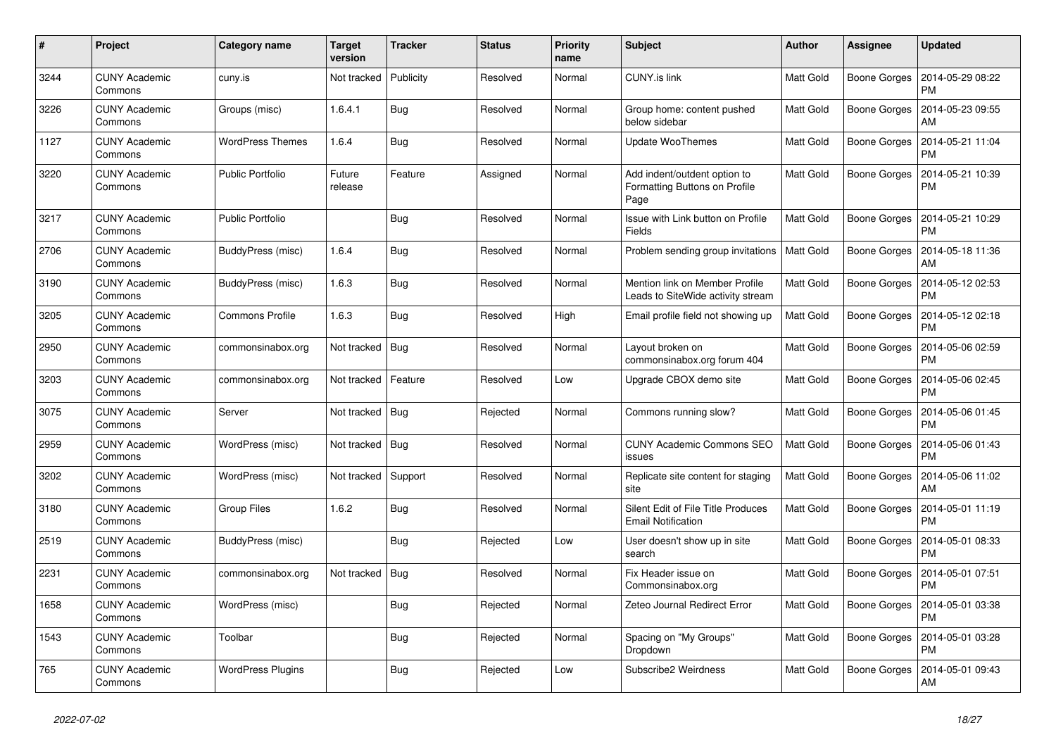| #    | Project                         | Category name            | Target<br>version | <b>Tracker</b> | <b>Status</b> | <b>Priority</b><br>name | <b>Subject</b>                                                        | <b>Author</b>    | Assignee            | <b>Updated</b>                |
|------|---------------------------------|--------------------------|-------------------|----------------|---------------|-------------------------|-----------------------------------------------------------------------|------------------|---------------------|-------------------------------|
| 3244 | <b>CUNY Academic</b><br>Commons | cuny.is                  | Not tracked       | Publicity      | Resolved      | Normal                  | <b>CUNY.is link</b>                                                   | <b>Matt Gold</b> | <b>Boone Gorges</b> | 2014-05-29 08:22<br><b>PM</b> |
| 3226 | <b>CUNY Academic</b><br>Commons | Groups (misc)            | 1.6.4.1           | <b>Bug</b>     | Resolved      | Normal                  | Group home: content pushed<br>below sidebar                           | <b>Matt Gold</b> | <b>Boone Gorges</b> | 2014-05-23 09:55<br>AM        |
| 1127 | <b>CUNY Academic</b><br>Commons | WordPress Themes         | 1.6.4             | Bug            | Resolved      | Normal                  | <b>Update WooThemes</b>                                               | <b>Matt Gold</b> | <b>Boone Gorges</b> | 2014-05-21 11:04<br><b>PM</b> |
| 3220 | <b>CUNY Academic</b><br>Commons | <b>Public Portfolio</b>  | Future<br>release | Feature        | Assigned      | Normal                  | Add indent/outdent option to<br>Formatting Buttons on Profile<br>Page | <b>Matt Gold</b> | <b>Boone Gorges</b> | 2014-05-21 10:39<br><b>PM</b> |
| 3217 | <b>CUNY Academic</b><br>Commons | <b>Public Portfolio</b>  |                   | Bug            | Resolved      | Normal                  | Issue with Link button on Profile<br>Fields                           | Matt Gold        | <b>Boone Gorges</b> | 2014-05-21 10:29<br><b>PM</b> |
| 2706 | <b>CUNY Academic</b><br>Commons | BuddyPress (misc)        | 1.6.4             | Bug            | Resolved      | Normal                  | Problem sending group invitations   Matt Gold                         |                  | <b>Boone Gorges</b> | 2014-05-18 11:36<br>AM        |
| 3190 | <b>CUNY Academic</b><br>Commons | BuddyPress (misc)        | 1.6.3             | Bug            | Resolved      | Normal                  | Mention link on Member Profile<br>Leads to SiteWide activity stream   | <b>Matt Gold</b> | <b>Boone Gorges</b> | 2014-05-12 02:53<br><b>PM</b> |
| 3205 | <b>CUNY Academic</b><br>Commons | <b>Commons Profile</b>   | 1.6.3             | Bug            | Resolved      | High                    | Email profile field not showing up                                    | <b>Matt Gold</b> | <b>Boone Gorges</b> | 2014-05-12 02:18<br><b>PM</b> |
| 2950 | <b>CUNY Academic</b><br>Commons | commonsinabox.org        | Not tracked       | Bug            | Resolved      | Normal                  | Layout broken on<br>commonsinabox.org forum 404                       | <b>Matt Gold</b> | <b>Boone Gorges</b> | 2014-05-06 02:59<br><b>PM</b> |
| 3203 | <b>CUNY Academic</b><br>Commons | commonsinabox.org        | Not tracked       | Feature        | Resolved      | Low                     | Upgrade CBOX demo site                                                | Matt Gold        | <b>Boone Gorges</b> | 2014-05-06 02:45<br><b>PM</b> |
| 3075 | <b>CUNY Academic</b><br>Commons | Server                   | Not tracked       | Bua            | Rejected      | Normal                  | Commons running slow?                                                 | <b>Matt Gold</b> | <b>Boone Gorges</b> | 2014-05-06 01:45<br><b>PM</b> |
| 2959 | <b>CUNY Academic</b><br>Commons | WordPress (misc)         | Not tracked       | Bug            | Resolved      | Normal                  | <b>CUNY Academic Commons SEO</b><br>issues                            | Matt Gold        | <b>Boone Gorges</b> | 2014-05-06 01:43<br><b>PM</b> |
| 3202 | <b>CUNY Academic</b><br>Commons | WordPress (misc)         | Not tracked       | Support        | Resolved      | Normal                  | Replicate site content for staging<br>site                            | Matt Gold        | <b>Boone Gorges</b> | 2014-05-06 11:02<br>AM        |
| 3180 | <b>CUNY Academic</b><br>Commons | Group Files              | 1.6.2             | Bug            | Resolved      | Normal                  | Silent Edit of File Title Produces<br><b>Email Notification</b>       | Matt Gold        | <b>Boone Gorges</b> | 2014-05-01 11:19<br><b>PM</b> |
| 2519 | <b>CUNY Academic</b><br>Commons | BuddyPress (misc)        |                   | <b>Bug</b>     | Rejected      | Low                     | User doesn't show up in site<br>search                                | <b>Matt Gold</b> | <b>Boone Gorges</b> | 2014-05-01 08:33<br><b>PM</b> |
| 2231 | <b>CUNY Academic</b><br>Commons | commonsinabox.org        | Not tracked       | <b>Bug</b>     | Resolved      | Normal                  | Fix Header issue on<br>Commonsinabox.org                              | Matt Gold        | <b>Boone Gorges</b> | 2014-05-01 07:51<br><b>PM</b> |
| 1658 | <b>CUNY Academic</b><br>Commons | WordPress (misc)         |                   | Bug            | Rejected      | Normal                  | Zeteo Journal Redirect Error                                          | Matt Gold        | <b>Boone Gorges</b> | 2014-05-01 03:38<br><b>PM</b> |
| 1543 | <b>CUNY Academic</b><br>Commons | Toolbar                  |                   | <b>Bug</b>     | Rejected      | Normal                  | Spacing on "My Groups"<br>Dropdown                                    | Matt Gold        | <b>Boone Gorges</b> | 2014-05-01 03:28<br><b>PM</b> |
| 765  | <b>CUNY Academic</b><br>Commons | <b>WordPress Plugins</b> |                   | Bug            | Rejected      | Low                     | Subscribe2 Weirdness                                                  | Matt Gold        | <b>Boone Gorges</b> | 2014-05-01 09:43<br>AM        |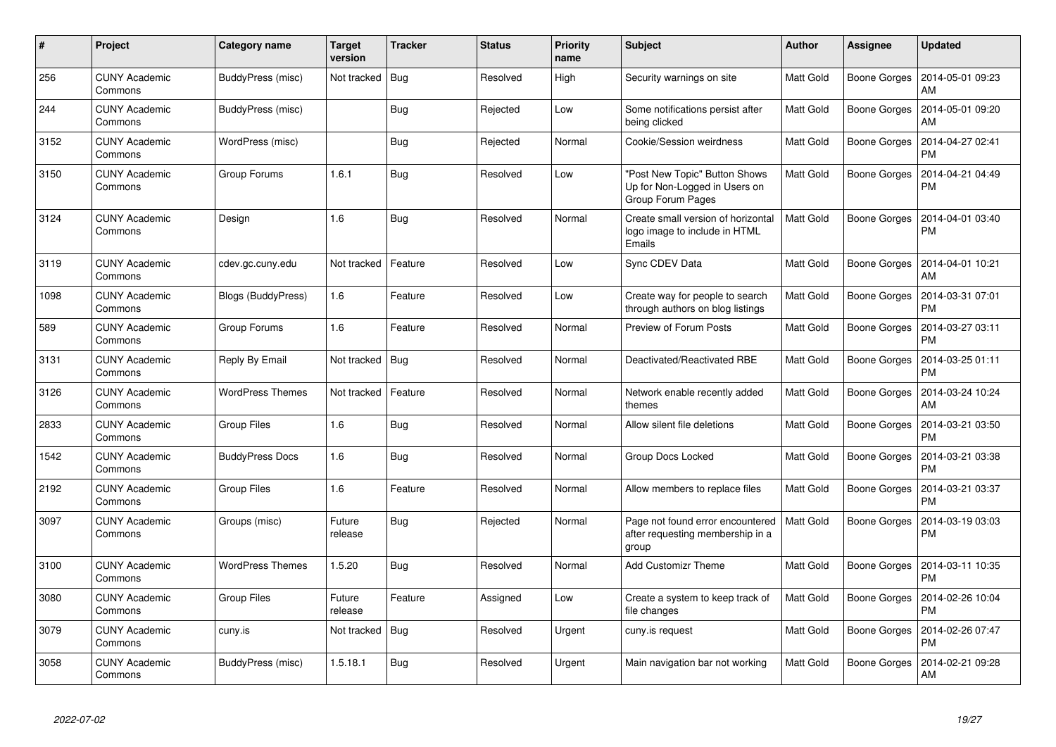| #    | <b>Project</b>                  | Category name           | Target<br>version | <b>Tracker</b> | <b>Status</b> | <b>Priority</b><br>name | <b>Subject</b>                                                                      | <b>Author</b>    | <b>Assignee</b>     | <b>Updated</b>                |
|------|---------------------------------|-------------------------|-------------------|----------------|---------------|-------------------------|-------------------------------------------------------------------------------------|------------------|---------------------|-------------------------------|
| 256  | <b>CUNY Academic</b><br>Commons | BuddyPress (misc)       | Not tracked       | Bug            | Resolved      | High                    | Security warnings on site                                                           | <b>Matt Gold</b> | Boone Gorges        | 2014-05-01 09:23<br>AM        |
| 244  | <b>CUNY Academic</b><br>Commons | BuddyPress (misc)       |                   | Bug            | Rejected      | Low                     | Some notifications persist after<br>being clicked                                   | <b>Matt Gold</b> | <b>Boone Gorges</b> | 2014-05-01 09:20<br>AM        |
| 3152 | <b>CUNY Academic</b><br>Commons | WordPress (misc)        |                   | <b>Bug</b>     | Rejected      | Normal                  | Cookie/Session weirdness                                                            | <b>Matt Gold</b> | Boone Gorges        | 2014-04-27 02:41<br><b>PM</b> |
| 3150 | <b>CUNY Academic</b><br>Commons | Group Forums            | 1.6.1             | Bug            | Resolved      | Low                     | 'Post New Topic" Button Shows<br>Up for Non-Logged in Users on<br>Group Forum Pages | <b>Matt Gold</b> | Boone Gorges        | 2014-04-21 04:49<br><b>PM</b> |
| 3124 | <b>CUNY Academic</b><br>Commons | Design                  | 1.6               | <b>Bug</b>     | Resolved      | Normal                  | Create small version of horizontal<br>logo image to include in HTML<br>Emails       | <b>Matt Gold</b> | Boone Gorges        | 2014-04-01 03:40<br><b>PM</b> |
| 3119 | <b>CUNY Academic</b><br>Commons | cdev.gc.cuny.edu        | Not tracked       | Feature        | Resolved      | Low                     | Sync CDEV Data                                                                      | <b>Matt Gold</b> | Boone Gorges        | 2014-04-01 10:21<br>AM        |
| 1098 | <b>CUNY Academic</b><br>Commons | Blogs (BuddyPress)      | 1.6               | Feature        | Resolved      | Low                     | Create way for people to search<br>through authors on blog listings                 | Matt Gold        | Boone Gorges        | 2014-03-31 07:01<br><b>PM</b> |
| 589  | <b>CUNY Academic</b><br>Commons | Group Forums            | 1.6               | Feature        | Resolved      | Normal                  | Preview of Forum Posts                                                              | <b>Matt Gold</b> | Boone Gorges        | 2014-03-27 03:11<br><b>PM</b> |
| 3131 | <b>CUNY Academic</b><br>Commons | Reply By Email          | Not tracked       | Bug            | Resolved      | Normal                  | Deactivated/Reactivated RBE                                                         | <b>Matt Gold</b> | Boone Gorges        | 2014-03-25 01:11<br><b>PM</b> |
| 3126 | <b>CUNY Academic</b><br>Commons | <b>WordPress Themes</b> | Not tracked       | Feature        | Resolved      | Normal                  | Network enable recently added<br>themes                                             | Matt Gold        | Boone Gorges        | 2014-03-24 10:24<br>AM        |
| 2833 | <b>CUNY Academic</b><br>Commons | <b>Group Files</b>      | 1.6               | <b>Bug</b>     | Resolved      | Normal                  | Allow silent file deletions                                                         | <b>Matt Gold</b> | Boone Gorges        | 2014-03-21 03:50<br><b>PM</b> |
| 1542 | <b>CUNY Academic</b><br>Commons | <b>BuddyPress Docs</b>  | 1.6               | Bug            | Resolved      | Normal                  | <b>Group Docs Locked</b>                                                            | Matt Gold        | Boone Gorges        | 2014-03-21 03:38<br><b>PM</b> |
| 2192 | <b>CUNY Academic</b><br>Commons | Group Files             | 1.6               | Feature        | Resolved      | Normal                  | Allow members to replace files                                                      | <b>Matt Gold</b> | <b>Boone Gorges</b> | 2014-03-21 03:37<br><b>PM</b> |
| 3097 | <b>CUNY Academic</b><br>Commons | Groups (misc)           | Future<br>release | Bug            | Rejected      | Normal                  | Page not found error encountered<br>after requesting membership in a<br>group       | <b>Matt Gold</b> | <b>Boone Gorges</b> | 2014-03-19 03:03<br><b>PM</b> |
| 3100 | <b>CUNY Academic</b><br>Commons | <b>WordPress Themes</b> | 1.5.20            | <b>Bug</b>     | Resolved      | Normal                  | <b>Add Customizr Theme</b>                                                          | <b>Matt Gold</b> | Boone Gorges        | 2014-03-11 10:35<br><b>PM</b> |
| 3080 | <b>CUNY Academic</b><br>Commons | <b>Group Files</b>      | Future<br>release | Feature        | Assigned      | Low                     | Create a system to keep track of<br>file changes                                    | Matt Gold        | Boone Gorges        | 2014-02-26 10:04<br><b>PM</b> |
| 3079 | <b>CUNY Academic</b><br>Commons | cuny.is                 | Not tracked       | <b>Bug</b>     | Resolved      | Urgent                  | cuny.is request                                                                     | Matt Gold        | Boone Gorges        | 2014-02-26 07:47<br><b>PM</b> |
| 3058 | <b>CUNY Academic</b><br>Commons | BuddyPress (misc)       | 1.5.18.1          | Bug            | Resolved      | Urgent                  | Main navigation bar not working                                                     | <b>Matt Gold</b> | Boone Gorges        | 2014-02-21 09:28<br><b>AM</b> |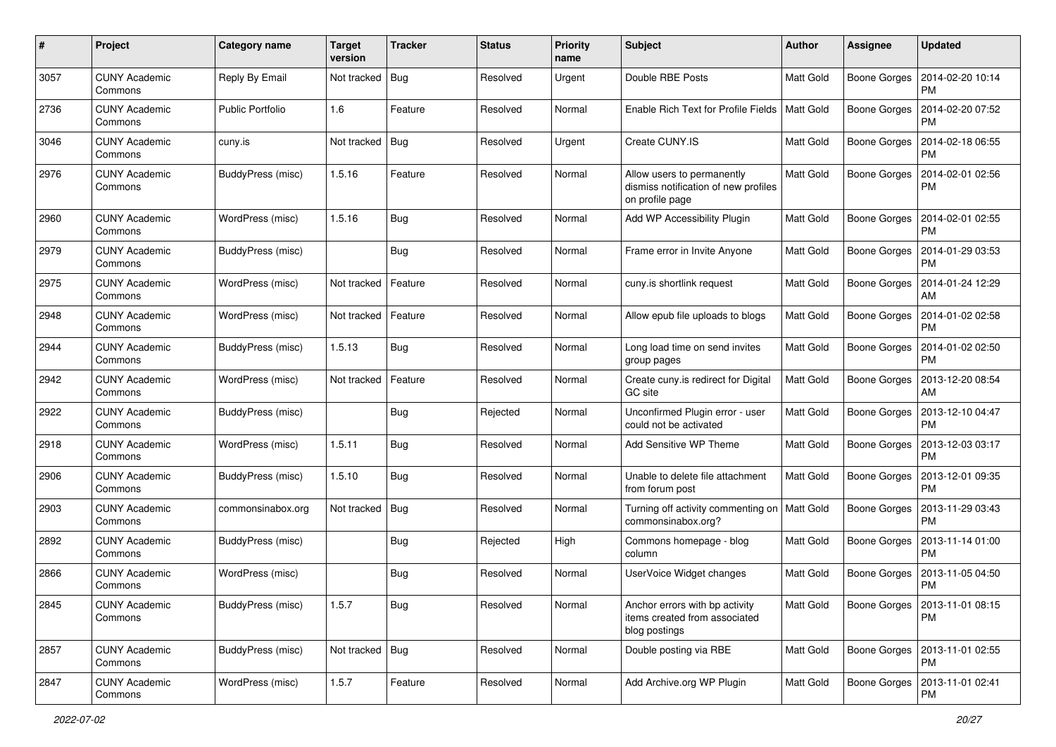| #    | Project                         | Category name           | <b>Target</b><br>version | <b>Tracker</b> | <b>Status</b> | Priority<br>name | Subject                                                                               | <b>Author</b>    | <b>Assignee</b>     | <b>Updated</b>                               |
|------|---------------------------------|-------------------------|--------------------------|----------------|---------------|------------------|---------------------------------------------------------------------------------------|------------------|---------------------|----------------------------------------------|
| 3057 | <b>CUNY Academic</b><br>Commons | Reply By Email          | Not tracked              | Bug            | Resolved      | Urgent           | Double RBE Posts                                                                      | Matt Gold        | <b>Boone Gorges</b> | 2014-02-20 10:14<br>PM                       |
| 2736 | <b>CUNY Academic</b><br>Commons | <b>Public Portfolio</b> | 1.6                      | Feature        | Resolved      | Normal           | Enable Rich Text for Profile Fields                                                   | <b>Matt Gold</b> | <b>Boone Gorges</b> | 2014-02-20 07:52<br><b>PM</b>                |
| 3046 | <b>CUNY Academic</b><br>Commons | cuny.is                 | Not tracked              | <b>Bug</b>     | Resolved      | Urgent           | Create CUNY.IS                                                                        | Matt Gold        | <b>Boone Gorges</b> | 2014-02-18 06:55<br><b>PM</b>                |
| 2976 | <b>CUNY Academic</b><br>Commons | BuddyPress (misc)       | 1.5.16                   | Feature        | Resolved      | Normal           | Allow users to permanently<br>dismiss notification of new profiles<br>on profile page | <b>Matt Gold</b> | <b>Boone Gorges</b> | 2014-02-01 02:56<br><b>PM</b>                |
| 2960 | <b>CUNY Academic</b><br>Commons | WordPress (misc)        | 1.5.16                   | Bug            | Resolved      | Normal           | Add WP Accessibility Plugin                                                           | <b>Matt Gold</b> | <b>Boone Gorges</b> | 2014-02-01 02:55<br><b>PM</b>                |
| 2979 | <b>CUNY Academic</b><br>Commons | BuddyPress (misc)       |                          | Bug            | Resolved      | Normal           | Frame error in Invite Anyone                                                          | <b>Matt Gold</b> | <b>Boone Gorges</b> | 2014-01-29 03:53<br><b>PM</b>                |
| 2975 | <b>CUNY Academic</b><br>Commons | WordPress (misc)        | Not tracked              | Feature        | Resolved      | Normal           | cuny.is shortlink request                                                             | <b>Matt Gold</b> | <b>Boone Gorges</b> | 2014-01-24 12:29<br>AM                       |
| 2948 | <b>CUNY Academic</b><br>Commons | WordPress (misc)        | Not tracked              | Feature        | Resolved      | Normal           | Allow epub file uploads to blogs                                                      | <b>Matt Gold</b> | <b>Boone Gorges</b> | 2014-01-02 02:58<br><b>PM</b>                |
| 2944 | <b>CUNY Academic</b><br>Commons | BuddyPress (misc)       | 1.5.13                   | Bug            | Resolved      | Normal           | Long load time on send invites<br>group pages                                         | Matt Gold        | <b>Boone Gorges</b> | 2014-01-02 02:50<br>PM                       |
| 2942 | <b>CUNY Academic</b><br>Commons | WordPress (misc)        | Not tracked              | Feature        | Resolved      | Normal           | Create cuny.is redirect for Digital<br>GC site                                        | <b>Matt Gold</b> | <b>Boone Gorges</b> | 2013-12-20 08:54<br>AM                       |
| 2922 | <b>CUNY Academic</b><br>Commons | BuddyPress (misc)       |                          | Bug            | Rejected      | Normal           | Unconfirmed Plugin error - user<br>could not be activated                             | Matt Gold        | Boone Gorges        | 2013-12-10 04:47<br><b>PM</b>                |
| 2918 | <b>CUNY Academic</b><br>Commons | WordPress (misc)        | 1.5.11                   | Bug            | Resolved      | Normal           | Add Sensitive WP Theme                                                                | <b>Matt Gold</b> | <b>Boone Gorges</b> | 2013-12-03 03:17<br><b>PM</b>                |
| 2906 | <b>CUNY Academic</b><br>Commons | BuddyPress (misc)       | 1.5.10                   | Bug            | Resolved      | Normal           | Unable to delete file attachment<br>from forum post                                   | <b>Matt Gold</b> | <b>Boone Gorges</b> | 2013-12-01 09:35<br>PM                       |
| 2903 | <b>CUNY Academic</b><br>Commons | commonsinabox.org       | Not tracked              | Bug            | Resolved      | Normal           | Turning off activity commenting on   Matt Gold<br>commonsinabox.org?                  |                  | <b>Boone Gorges</b> | 2013-11-29 03:43<br><b>PM</b>                |
| 2892 | <b>CUNY Academic</b><br>Commons | BuddyPress (misc)       |                          | <b>Bug</b>     | Rejected      | High             | Commons homepage - blog<br>column                                                     | <b>Matt Gold</b> | <b>Boone Gorges</b> | 2013-11-14 01:00<br><b>PM</b>                |
| 2866 | <b>CUNY Academic</b><br>Commons | WordPress (misc)        |                          | <b>Bug</b>     | Resolved      | Normal           | UserVoice Widget changes                                                              | <b>Matt Gold</b> | <b>Boone Gorges</b> | 2013-11-05 04:50<br><b>PM</b>                |
| 2845 | <b>CUNY Academic</b><br>Commons | BuddyPress (misc)       | 1.5.7                    | Bug            | Resolved      | Normal           | Anchor errors with bp activity<br>items created from associated<br>blog postings      | <b>Matt Gold</b> |                     | Boone Gorges   2013-11-01 08:15<br><b>PM</b> |
| 2857 | <b>CUNY Academic</b><br>Commons | BuddyPress (misc)       | Not tracked Bug          |                | Resolved      | Normal           | Double posting via RBE                                                                | <b>Matt Gold</b> | Boone Gorges        | 2013-11-01 02:55<br><b>PM</b>                |
| 2847 | <b>CUNY Academic</b><br>Commons | WordPress (misc)        | 1.5.7                    | Feature        | Resolved      | Normal           | Add Archive.org WP Plugin                                                             | Matt Gold        | <b>Boone Gorges</b> | 2013-11-01 02:41<br>PM                       |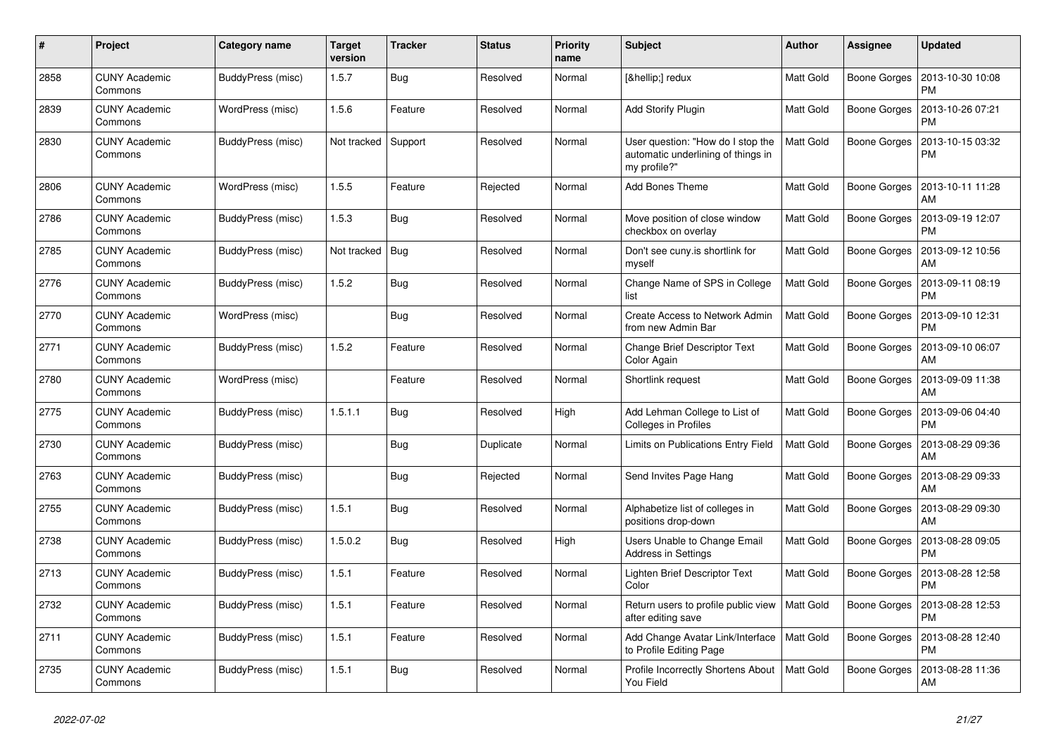| #    | Project                         | Category name     | Target<br>version | <b>Tracker</b> | <b>Status</b> | <b>Priority</b><br>name | <b>Subject</b>                                                                          | <b>Author</b>    | Assignee            | <b>Updated</b>                |
|------|---------------------------------|-------------------|-------------------|----------------|---------------|-------------------------|-----------------------------------------------------------------------------------------|------------------|---------------------|-------------------------------|
| 2858 | <b>CUNY Academic</b><br>Commons | BuddyPress (misc) | 1.5.7             | Bug            | Resolved      | Normal                  | […] redux                                                                               | <b>Matt Gold</b> | <b>Boone Gorges</b> | 2013-10-30 10:08<br><b>PM</b> |
| 2839 | <b>CUNY Academic</b><br>Commons | WordPress (misc)  | 1.5.6             | Feature        | Resolved      | Normal                  | <b>Add Storify Plugin</b>                                                               | Matt Gold        | <b>Boone Gorges</b> | 2013-10-26 07:21<br><b>PM</b> |
| 2830 | <b>CUNY Academic</b><br>Commons | BuddyPress (misc) | Not tracked       | Support        | Resolved      | Normal                  | User question: "How do I stop the<br>automatic underlining of things in<br>my profile?" | <b>Matt Gold</b> | <b>Boone Gorges</b> | 2013-10-15 03:32<br><b>PM</b> |
| 2806 | <b>CUNY Academic</b><br>Commons | WordPress (misc)  | 1.5.5             | Feature        | Rejected      | Normal                  | <b>Add Bones Theme</b>                                                                  | <b>Matt Gold</b> | <b>Boone Gorges</b> | 2013-10-11 11:28<br>AM        |
| 2786 | <b>CUNY Academic</b><br>Commons | BuddyPress (misc) | 1.5.3             | <b>Bug</b>     | Resolved      | Normal                  | Move position of close window<br>checkbox on overlay                                    | <b>Matt Gold</b> | <b>Boone Gorges</b> | 2013-09-19 12:07<br><b>PM</b> |
| 2785 | <b>CUNY Academic</b><br>Commons | BuddyPress (misc) | Not tracked       | Bug            | Resolved      | Normal                  | Don't see cuny.is shortlink for<br>myself                                               | Matt Gold        | <b>Boone Gorges</b> | 2013-09-12 10:56<br>AM        |
| 2776 | <b>CUNY Academic</b><br>Commons | BuddyPress (misc) | 1.5.2             | Bug            | Resolved      | Normal                  | Change Name of SPS in College<br>list                                                   | Matt Gold        | <b>Boone Gorges</b> | 2013-09-11 08:19<br><b>PM</b> |
| 2770 | <b>CUNY Academic</b><br>Commons | WordPress (misc)  |                   | Bug            | Resolved      | Normal                  | Create Access to Network Admin<br>from new Admin Bar                                    | <b>Matt Gold</b> | <b>Boone Gorges</b> | 2013-09-10 12:31<br><b>PM</b> |
| 2771 | <b>CUNY Academic</b><br>Commons | BuddyPress (misc) | 1.5.2             | Feature        | Resolved      | Normal                  | <b>Change Brief Descriptor Text</b><br>Color Again                                      | <b>Matt Gold</b> | <b>Boone Gorges</b> | 2013-09-10 06:07<br>AM        |
| 2780 | <b>CUNY Academic</b><br>Commons | WordPress (misc)  |                   | Feature        | Resolved      | Normal                  | Shortlink request                                                                       | <b>Matt Gold</b> | <b>Boone Gorges</b> | 2013-09-09 11:38<br>AM        |
| 2775 | <b>CUNY Academic</b><br>Commons | BuddyPress (misc) | 1.5.1.1           | Bug            | Resolved      | High                    | Add Lehman College to List of<br>Colleges in Profiles                                   | <b>Matt Gold</b> | <b>Boone Gorges</b> | 2013-09-06 04:40<br><b>PM</b> |
| 2730 | <b>CUNY Academic</b><br>Commons | BuddyPress (misc) |                   | <b>Bug</b>     | Duplicate     | Normal                  | Limits on Publications Entry Field                                                      | <b>Matt Gold</b> | <b>Boone Gorges</b> | 2013-08-29 09:36<br>AM        |
| 2763 | <b>CUNY Academic</b><br>Commons | BuddyPress (misc) |                   | Bug            | Rejected      | Normal                  | Send Invites Page Hang                                                                  | Matt Gold        | <b>Boone Gorges</b> | 2013-08-29 09:33<br>AM        |
| 2755 | <b>CUNY Academic</b><br>Commons | BuddyPress (misc) | 1.5.1             | <b>Bug</b>     | Resolved      | Normal                  | Alphabetize list of colleges in<br>positions drop-down                                  | Matt Gold        | Boone Gorges        | 2013-08-29 09:30<br>AM        |
| 2738 | <b>CUNY Academic</b><br>Commons | BuddyPress (misc) | 1.5.0.2           | Bug            | Resolved      | High                    | Users Unable to Change Email<br><b>Address in Settings</b>                              | Matt Gold        | <b>Boone Gorges</b> | 2013-08-28 09:05<br><b>PM</b> |
| 2713 | <b>CUNY Academic</b><br>Commons | BuddyPress (misc) | 1.5.1             | Feature        | Resolved      | Normal                  | Lighten Brief Descriptor Text<br>Color                                                  | Matt Gold        | <b>Boone Gorges</b> | 2013-08-28 12:58<br><b>PM</b> |
| 2732 | <b>CUNY Academic</b><br>Commons | BuddyPress (misc) | 1.5.1             | Feature        | Resolved      | Normal                  | Return users to profile public view<br>after editing save                               | <b>Matt Gold</b> | <b>Boone Gorges</b> | 2013-08-28 12:53<br><b>PM</b> |
| 2711 | <b>CUNY Academic</b><br>Commons | BuddyPress (misc) | 1.5.1             | Feature        | Resolved      | Normal                  | Add Change Avatar Link/Interface<br>to Profile Editing Page                             | <b>Matt Gold</b> | Boone Gorges        | 2013-08-28 12:40<br><b>PM</b> |
| 2735 | <b>CUNY Academic</b><br>Commons | BuddyPress (misc) | 1.5.1             | Bug            | Resolved      | Normal                  | Profile Incorrectly Shortens About<br>You Field                                         | <b>Matt Gold</b> | Boone Gorges        | 2013-08-28 11:36<br>AM        |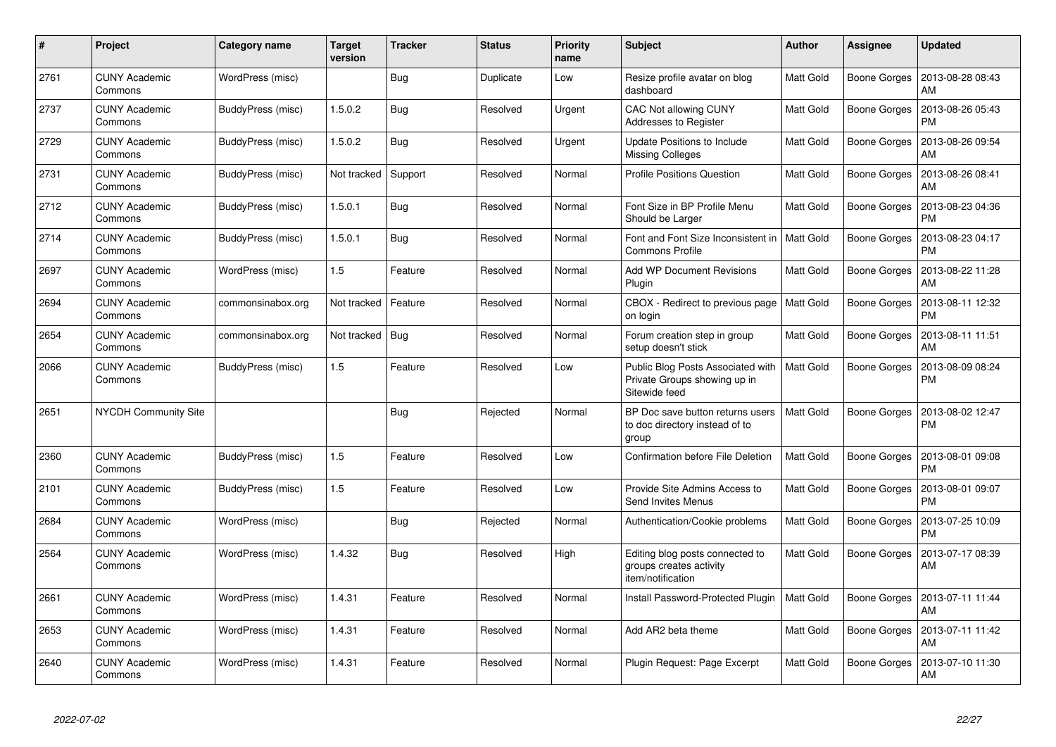| #    | Project                         | Category name     | <b>Target</b><br>version | <b>Tracker</b> | <b>Status</b> | <b>Priority</b><br>name | <b>Subject</b>                                                                     | <b>Author</b>    | Assignee            | <b>Updated</b>                |
|------|---------------------------------|-------------------|--------------------------|----------------|---------------|-------------------------|------------------------------------------------------------------------------------|------------------|---------------------|-------------------------------|
| 2761 | <b>CUNY Academic</b><br>Commons | WordPress (misc)  |                          | Bug            | Duplicate     | Low                     | Resize profile avatar on blog<br>dashboard                                         | <b>Matt Gold</b> | Boone Gorges        | 2013-08-28 08:43<br>AM        |
| 2737 | <b>CUNY Academic</b><br>Commons | BuddyPress (misc) | 1.5.0.2                  | Bug            | Resolved      | Urgent                  | <b>CAC Not allowing CUNY</b><br>Addresses to Register                              | <b>Matt Gold</b> | Boone Gorges        | 2013-08-26 05:43<br><b>PM</b> |
| 2729 | <b>CUNY Academic</b><br>Commons | BuddyPress (misc) | 1.5.0.2                  | Bug            | Resolved      | Urgent                  | Update Positions to Include<br><b>Missing Colleges</b>                             | <b>Matt Gold</b> | Boone Gorges        | 2013-08-26 09:54<br>AM        |
| 2731 | <b>CUNY Academic</b><br>Commons | BuddyPress (misc) | Not tracked              | Support        | Resolved      | Normal                  | <b>Profile Positions Question</b>                                                  | <b>Matt Gold</b> | Boone Gorges        | 2013-08-26 08:41<br>AM        |
| 2712 | <b>CUNY Academic</b><br>Commons | BuddyPress (misc) | 1.5.0.1                  | Bug            | Resolved      | Normal                  | Font Size in BP Profile Menu<br>Should be Larger                                   | <b>Matt Gold</b> | Boone Gorges        | 2013-08-23 04:36<br><b>PM</b> |
| 2714 | <b>CUNY Academic</b><br>Commons | BuddyPress (misc) | 1.5.0.1                  | Bug            | Resolved      | Normal                  | Font and Font Size Inconsistent in<br><b>Commons Profile</b>                       | Matt Gold        | <b>Boone Gorges</b> | 2013-08-23 04:17<br><b>PM</b> |
| 2697 | <b>CUNY Academic</b><br>Commons | WordPress (misc)  | 1.5                      | Feature        | Resolved      | Normal                  | <b>Add WP Document Revisions</b><br>Plugin                                         | <b>Matt Gold</b> | Boone Gorges        | 2013-08-22 11:28<br>AM        |
| 2694 | <b>CUNY Academic</b><br>Commons | commonsinabox.org | Not tracked              | Feature        | Resolved      | Normal                  | CBOX - Redirect to previous page<br>on login                                       | Matt Gold        | Boone Gorges        | 2013-08-11 12:32<br><b>PM</b> |
| 2654 | <b>CUNY Academic</b><br>Commons | commonsinabox.org | Not tracked              | Bug            | Resolved      | Normal                  | Forum creation step in group<br>setup doesn't stick                                | Matt Gold        | Boone Gorges        | 2013-08-11 11:51<br>AM        |
| 2066 | <b>CUNY Academic</b><br>Commons | BuddyPress (misc) | 1.5                      | Feature        | Resolved      | Low                     | Public Blog Posts Associated with<br>Private Groups showing up in<br>Sitewide feed | <b>Matt Gold</b> | Boone Gorges        | 2013-08-09 08:24<br>PM        |
| 2651 | <b>NYCDH Community Site</b>     |                   |                          | Bug            | Rejected      | Normal                  | BP Doc save button returns users<br>to doc directory instead of to<br>group        | <b>Matt Gold</b> | Boone Gorges        | 2013-08-02 12:47<br><b>PM</b> |
| 2360 | <b>CUNY Academic</b><br>Commons | BuddyPress (misc) | 1.5                      | Feature        | Resolved      | Low                     | Confirmation before File Deletion                                                  | <b>Matt Gold</b> | Boone Gorges        | 2013-08-01 09:08<br><b>PM</b> |
| 2101 | <b>CUNY Academic</b><br>Commons | BuddyPress (misc) | 1.5                      | Feature        | Resolved      | Low                     | Provide Site Admins Access to<br>Send Invites Menus                                | <b>Matt Gold</b> | Boone Gorges        | 2013-08-01 09:07<br><b>PM</b> |
| 2684 | <b>CUNY Academic</b><br>Commons | WordPress (misc)  |                          | Bug            | Rejected      | Normal                  | Authentication/Cookie problems                                                     | <b>Matt Gold</b> | Boone Gorges        | 2013-07-25 10:09<br><b>PM</b> |
| 2564 | <b>CUNY Academic</b><br>Commons | WordPress (misc)  | 1.4.32                   | Bug            | Resolved      | High                    | Editing blog posts connected to<br>groups creates activity<br>item/notification    | <b>Matt Gold</b> | Boone Gorges        | 2013-07-17 08:39<br>AM        |
| 2661 | <b>CUNY Academic</b><br>Commons | WordPress (misc)  | 1.4.31                   | Feature        | Resolved      | Normal                  | Install Password-Protected Plugin                                                  | Matt Gold        | Boone Gorges        | 2013-07-11 11:44<br>AM        |
| 2653 | <b>CUNY Academic</b><br>Commons | WordPress (misc)  | 1.4.31                   | Feature        | Resolved      | Normal                  | Add AR2 beta theme                                                                 | Matt Gold        | Boone Gorges        | 2013-07-11 11:42<br>AM        |
| 2640 | <b>CUNY Academic</b><br>Commons | WordPress (misc)  | 1.4.31                   | Feature        | Resolved      | Normal                  | Plugin Request: Page Excerpt                                                       | <b>Matt Gold</b> | Boone Gorges        | 2013-07-10 11:30<br><b>AM</b> |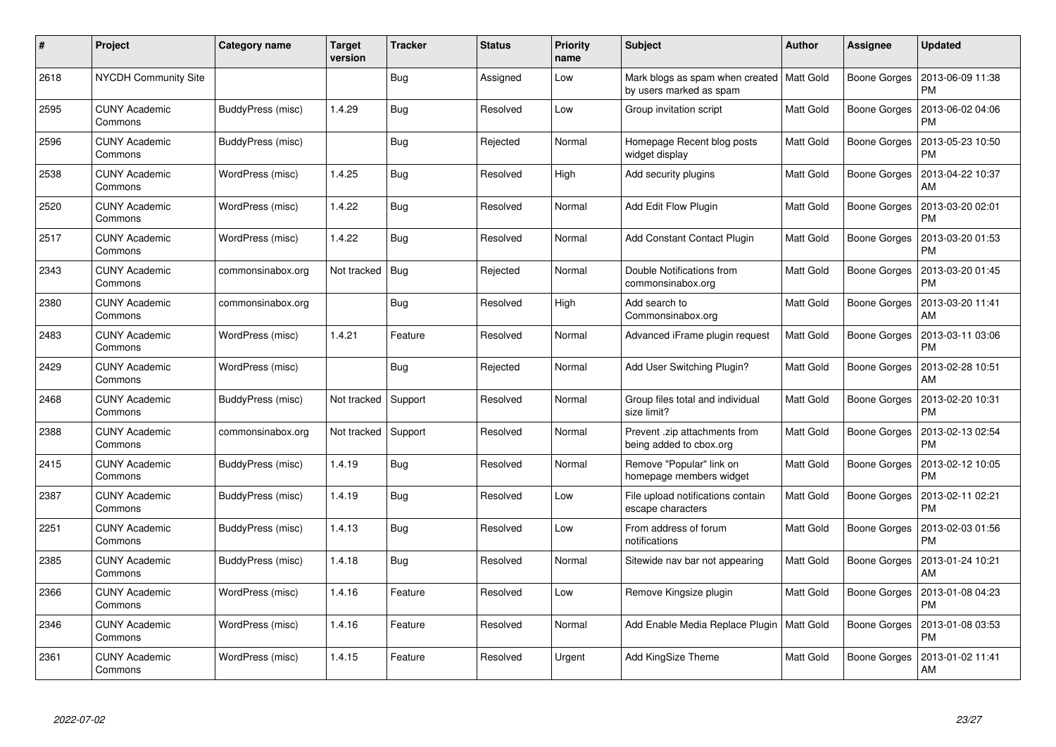| #    | Project                         | Category name     | <b>Target</b><br>version | <b>Tracker</b> | <b>Status</b> | <b>Priority</b><br>name | <b>Subject</b>                                                         | <b>Author</b>    | Assignee            | <b>Updated</b>                |
|------|---------------------------------|-------------------|--------------------------|----------------|---------------|-------------------------|------------------------------------------------------------------------|------------------|---------------------|-------------------------------|
| 2618 | <b>NYCDH Community Site</b>     |                   |                          | Bug            | Assigned      | Low                     | Mark blogs as spam when created   Matt Gold<br>by users marked as spam |                  | Boone Gorges        | 2013-06-09 11:38<br><b>PM</b> |
| 2595 | <b>CUNY Academic</b><br>Commons | BuddyPress (misc) | 1.4.29                   | Bug            | Resolved      | Low                     | Group invitation script                                                | Matt Gold        | Boone Gorges        | 2013-06-02 04:06<br><b>PM</b> |
| 2596 | <b>CUNY Academic</b><br>Commons | BuddyPress (misc) |                          | Bug            | Rejected      | Normal                  | Homepage Recent blog posts<br>widget display                           | <b>Matt Gold</b> | <b>Boone Gorges</b> | 2013-05-23 10:50<br><b>PM</b> |
| 2538 | <b>CUNY Academic</b><br>Commons | WordPress (misc)  | 1.4.25                   | <b>Bug</b>     | Resolved      | High                    | Add security plugins                                                   | Matt Gold        | <b>Boone Gorges</b> | 2013-04-22 10:37<br>AM        |
| 2520 | <b>CUNY Academic</b><br>Commons | WordPress (misc)  | 1.4.22                   | Bug            | Resolved      | Normal                  | Add Edit Flow Plugin                                                   | <b>Matt Gold</b> | <b>Boone Gorges</b> | 2013-03-20 02:01<br><b>PM</b> |
| 2517 | <b>CUNY Academic</b><br>Commons | WordPress (misc)  | 1.4.22                   | Bug            | Resolved      | Normal                  | <b>Add Constant Contact Plugin</b>                                     | <b>Matt Gold</b> | <b>Boone Gorges</b> | 2013-03-20 01:53<br>PM        |
| 2343 | <b>CUNY Academic</b><br>Commons | commonsinabox.org | Not tracked              | Bug            | Rejected      | Normal                  | Double Notifications from<br>commonsinabox.org                         | <b>Matt Gold</b> | <b>Boone Gorges</b> | 2013-03-20 01:45<br><b>PM</b> |
| 2380 | <b>CUNY Academic</b><br>Commons | commonsinabox.org |                          | Bug            | Resolved      | High                    | Add search to<br>Commonsinabox.org                                     | Matt Gold        | <b>Boone Gorges</b> | 2013-03-20 11:41<br>AM        |
| 2483 | <b>CUNY Academic</b><br>Commons | WordPress (misc)  | 1.4.21                   | Feature        | Resolved      | Normal                  | Advanced iFrame plugin request                                         | <b>Matt Gold</b> | <b>Boone Gorges</b> | 2013-03-11 03:06<br><b>PM</b> |
| 2429 | <b>CUNY Academic</b><br>Commons | WordPress (misc)  |                          | <b>Bug</b>     | Rejected      | Normal                  | Add User Switching Plugin?                                             | Matt Gold        | <b>Boone Gorges</b> | 2013-02-28 10:51<br>AM        |
| 2468 | <b>CUNY Academic</b><br>Commons | BuddyPress (misc) | Not tracked              | Support        | Resolved      | Normal                  | Group files total and individual<br>size limit?                        | <b>Matt Gold</b> | <b>Boone Gorges</b> | 2013-02-20 10:31<br><b>PM</b> |
| 2388 | <b>CUNY Academic</b><br>Commons | commonsinabox.org | Not tracked              | Support        | Resolved      | Normal                  | Prevent .zip attachments from<br>being added to cbox.org               | Matt Gold        | <b>Boone Gorges</b> | 2013-02-13 02:54<br><b>PM</b> |
| 2415 | <b>CUNY Academic</b><br>Commons | BuddyPress (misc) | 1.4.19                   | <b>Bug</b>     | Resolved      | Normal                  | Remove "Popular" link on<br>homepage members widget                    | <b>Matt Gold</b> | Boone Gorges        | 2013-02-12 10:05<br>РM        |
| 2387 | <b>CUNY Academic</b><br>Commons | BuddyPress (misc) | 1.4.19                   | Bug            | Resolved      | Low                     | File upload notifications contain<br>escape characters                 | <b>Matt Gold</b> | <b>Boone Gorges</b> | 2013-02-11 02:21<br><b>PM</b> |
| 2251 | <b>CUNY Academic</b><br>Commons | BuddyPress (misc) | 1.4.13                   | <b>Bug</b>     | Resolved      | Low                     | From address of forum<br>notifications                                 | Matt Gold        | <b>Boone Gorges</b> | 2013-02-03 01:56<br><b>PM</b> |
| 2385 | <b>CUNY Academic</b><br>Commons | BuddyPress (misc) | 1.4.18                   | <b>Bug</b>     | Resolved      | Normal                  | Sitewide nav bar not appearing                                         | <b>Matt Gold</b> | <b>Boone Gorges</b> | 2013-01-24 10:21<br>AM        |
| 2366 | <b>CUNY Academic</b><br>Commons | WordPress (misc)  | 1.4.16                   | Feature        | Resolved      | Low                     | Remove Kingsize plugin                                                 | <b>Matt Gold</b> | Boone Gorges        | 2013-01-08 04:23<br><b>PM</b> |
| 2346 | <b>CUNY Academic</b><br>Commons | WordPress (misc)  | 1.4.16                   | Feature        | Resolved      | Normal                  | Add Enable Media Replace Plugin                                        | Matt Gold        | <b>Boone Gorges</b> | 2013-01-08 03:53<br><b>PM</b> |
| 2361 | CUNY Academic<br>Commons        | WordPress (misc)  | 1.4.15                   | Feature        | Resolved      | Urgent                  | Add KingSize Theme                                                     | <b>Matt Gold</b> | Boone Gorges        | 2013-01-02 11:41<br>AM        |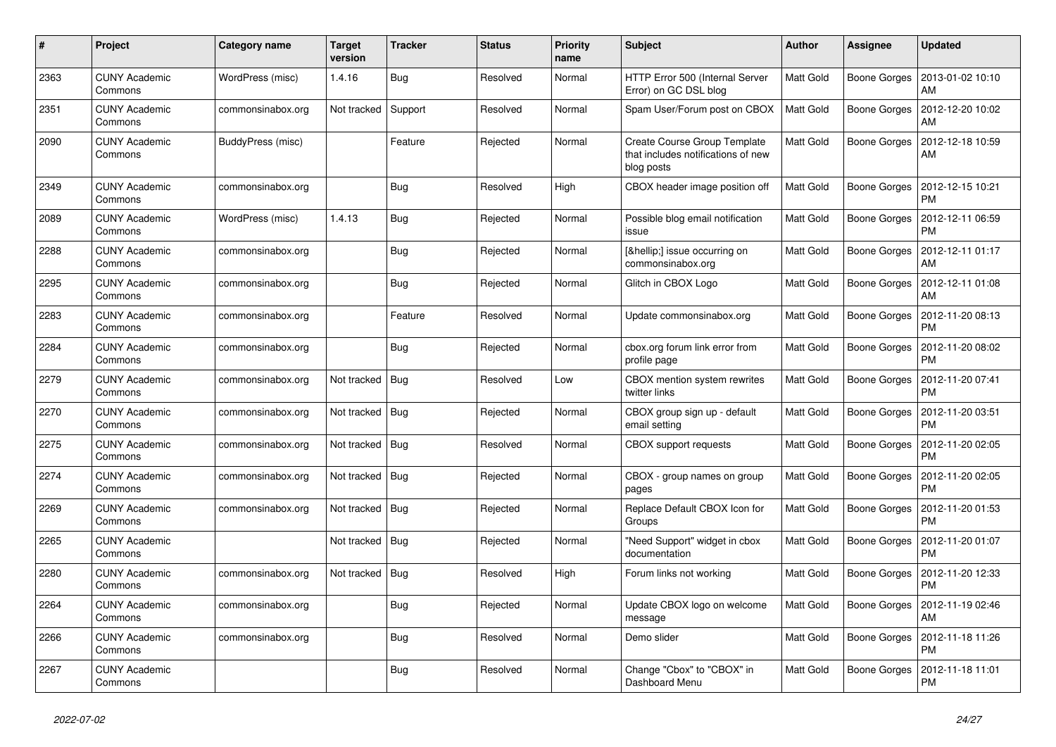| #    | Project                         | Category name     | Target<br>version | <b>Tracker</b> | <b>Status</b> | <b>Priority</b><br>name | <b>Subject</b>                                                                   | <b>Author</b>    | Assignee            | <b>Updated</b>                |
|------|---------------------------------|-------------------|-------------------|----------------|---------------|-------------------------|----------------------------------------------------------------------------------|------------------|---------------------|-------------------------------|
| 2363 | <b>CUNY Academic</b><br>Commons | WordPress (misc)  | 1.4.16            | Bug            | Resolved      | Normal                  | HTTP Error 500 (Internal Server<br>Error) on GC DSL blog                         | <b>Matt Gold</b> | <b>Boone Gorges</b> | 2013-01-02 10:10<br>AM        |
| 2351 | <b>CUNY Academic</b><br>Commons | commonsinabox.org | Not tracked       | Support        | Resolved      | Normal                  | Spam User/Forum post on CBOX                                                     | <b>Matt Gold</b> | <b>Boone Gorges</b> | 2012-12-20 10:02<br>AM        |
| 2090 | <b>CUNY Academic</b><br>Commons | BuddyPress (misc) |                   | Feature        | Rejected      | Normal                  | Create Course Group Template<br>that includes notifications of new<br>blog posts | <b>Matt Gold</b> | <b>Boone Gorges</b> | 2012-12-18 10:59<br>AM        |
| 2349 | <b>CUNY Academic</b><br>Commons | commonsinabox.org |                   | Bug            | Resolved      | High                    | CBOX header image position off                                                   | <b>Matt Gold</b> | <b>Boone Gorges</b> | 2012-12-15 10:21<br><b>PM</b> |
| 2089 | <b>CUNY Academic</b><br>Commons | WordPress (misc)  | 1.4.13            | Bug            | Rejected      | Normal                  | Possible blog email notification<br>issue                                        | <b>Matt Gold</b> | <b>Boone Gorges</b> | 2012-12-11 06:59<br><b>PM</b> |
| 2288 | <b>CUNY Academic</b><br>Commons | commonsinabox.org |                   | Bug            | Rejected      | Normal                  | […] issue occurring on<br>commonsinabox.org                                      | Matt Gold        | Boone Gorges        | 2012-12-11 01:17<br>AM        |
| 2295 | <b>CUNY Academic</b><br>Commons | commonsinabox.org |                   | <b>Bug</b>     | Rejected      | Normal                  | Glitch in CBOX Logo                                                              | Matt Gold        | <b>Boone Gorges</b> | 2012-12-11 01:08<br>AM        |
| 2283 | <b>CUNY Academic</b><br>Commons | commonsinabox.org |                   | Feature        | Resolved      | Normal                  | Update commonsinabox.org                                                         | <b>Matt Gold</b> | <b>Boone Gorges</b> | 2012-11-20 08:13<br><b>PM</b> |
| 2284 | <b>CUNY Academic</b><br>Commons | commonsinabox.org |                   | Bug            | Rejected      | Normal                  | cbox.org forum link error from<br>profile page                                   | <b>Matt Gold</b> | <b>Boone Gorges</b> | 2012-11-20 08:02<br><b>PM</b> |
| 2279 | <b>CUNY Academic</b><br>Commons | commonsinabox.org | Not tracked       | Bug            | Resolved      | Low                     | CBOX mention system rewrites<br>twitter links                                    | Matt Gold        | <b>Boone Gorges</b> | 2012-11-20 07:41<br><b>PM</b> |
| 2270 | <b>CUNY Academic</b><br>Commons | commonsinabox.org | Not tracked       | Bua            | Rejected      | Normal                  | CBOX group sign up - default<br>email setting                                    | Matt Gold        | <b>Boone Gorges</b> | 2012-11-20 03:51<br><b>PM</b> |
| 2275 | <b>CUNY Academic</b><br>Commons | commonsinabox.org | Not tracked       | Bug            | Resolved      | Normal                  | <b>CBOX</b> support requests                                                     | <b>Matt Gold</b> | <b>Boone Gorges</b> | 2012-11-20 02:05<br><b>PM</b> |
| 2274 | <b>CUNY Academic</b><br>Commons | commonsinabox.org | Not tracked       | Bug            | Rejected      | Normal                  | CBOX - group names on group<br>pages                                             | <b>Matt Gold</b> | <b>Boone Gorges</b> | 2012-11-20 02:05<br><b>PM</b> |
| 2269 | <b>CUNY Academic</b><br>Commons | commonsinabox.org | Not tracked       | Bug            | Rejected      | Normal                  | Replace Default CBOX Icon for<br>Groups                                          | Matt Gold        | Boone Gorges        | 2012-11-20 01:53<br><b>PM</b> |
| 2265 | <b>CUNY Academic</b><br>Commons |                   | Not tracked       | Bug            | Rejected      | Normal                  | "Need Support" widget in cbox<br>documentation                                   | <b>Matt Gold</b> | <b>Boone Gorges</b> | 2012-11-20 01:07<br><b>PM</b> |
| 2280 | <b>CUNY Academic</b><br>Commons | commonsinabox.org | Not tracked       | Bug            | Resolved      | High                    | Forum links not working                                                          | Matt Gold        | <b>Boone Gorges</b> | 2012-11-20 12:33<br><b>PM</b> |
| 2264 | <b>CUNY Academic</b><br>Commons | commonsinabox.org |                   | Bug            | Rejected      | Normal                  | Update CBOX logo on welcome<br>message                                           | <b>Matt Gold</b> | Boone Gorges        | 2012-11-19 02:46<br>AM        |
| 2266 | <b>CUNY Academic</b><br>Commons | commonsinabox.org |                   | <b>Bug</b>     | Resolved      | Normal                  | Demo slider                                                                      | <b>Matt Gold</b> | Boone Gorges        | 2012-11-18 11:26<br><b>PM</b> |
| 2267 | <b>CUNY Academic</b><br>Commons |                   |                   | Bug            | Resolved      | Normal                  | Change "Cbox" to "CBOX" in<br>Dashboard Menu                                     | <b>Matt Gold</b> | <b>Boone Gorges</b> | 2012-11-18 11:01<br><b>PM</b> |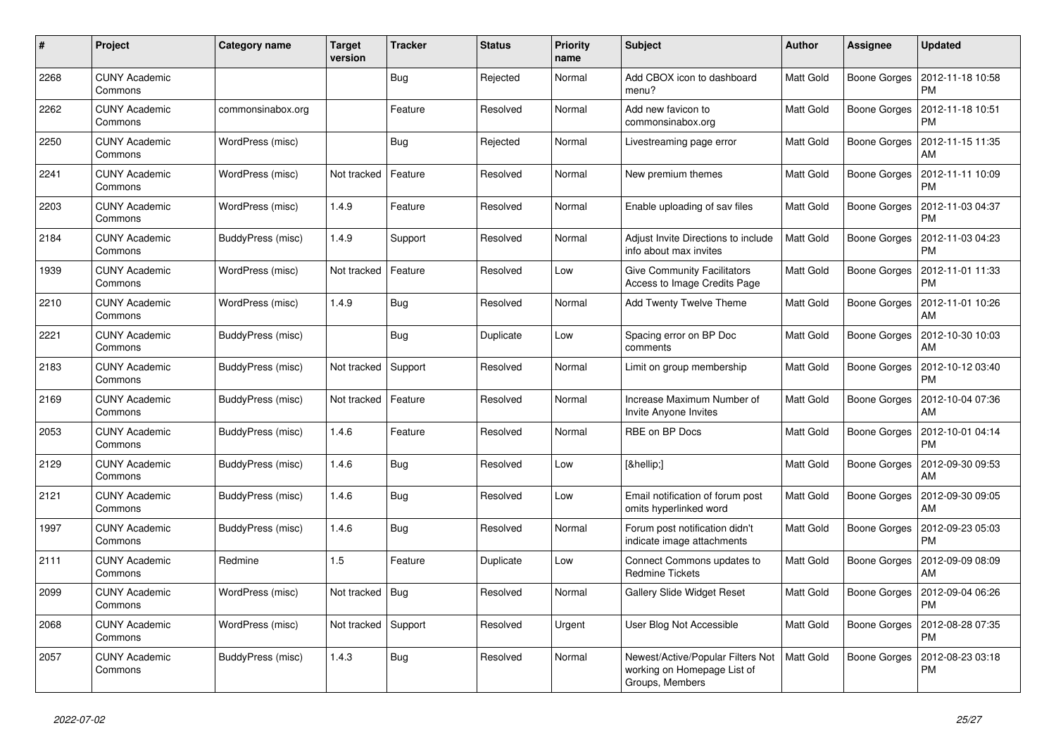| #    | <b>Project</b>                  | Category name     | Target<br>version | <b>Tracker</b> | <b>Status</b> | <b>Priority</b><br>name | <b>Subject</b>                                                                      | <b>Author</b>    | Assignee            | <b>Updated</b>                |
|------|---------------------------------|-------------------|-------------------|----------------|---------------|-------------------------|-------------------------------------------------------------------------------------|------------------|---------------------|-------------------------------|
| 2268 | <b>CUNY Academic</b><br>Commons |                   |                   | <b>Bug</b>     | Rejected      | Normal                  | Add CBOX icon to dashboard<br>menu?                                                 | <b>Matt Gold</b> | <b>Boone Gorges</b> | 2012-11-18 10:58<br><b>PM</b> |
| 2262 | <b>CUNY Academic</b><br>Commons | commonsinabox.org |                   | Feature        | Resolved      | Normal                  | Add new favicon to<br>commonsinabox.org                                             | <b>Matt Gold</b> | <b>Boone Gorges</b> | 2012-11-18 10:51<br><b>PM</b> |
| 2250 | <b>CUNY Academic</b><br>Commons | WordPress (misc)  |                   | <b>Bug</b>     | Rejected      | Normal                  | Livestreaming page error                                                            | Matt Gold        | Boone Gorges        | 2012-11-15 11:35<br>AM        |
| 2241 | <b>CUNY Academic</b><br>Commons | WordPress (misc)  | Not tracked       | Feature        | Resolved      | Normal                  | New premium themes                                                                  | <b>Matt Gold</b> | <b>Boone Gorges</b> | 2012-11-11 10:09<br><b>PM</b> |
| 2203 | <b>CUNY Academic</b><br>Commons | WordPress (misc)  | 1.4.9             | Feature        | Resolved      | Normal                  | Enable uploading of say files                                                       | <b>Matt Gold</b> | Boone Gorges        | 2012-11-03 04:37<br><b>PM</b> |
| 2184 | <b>CUNY Academic</b><br>Commons | BuddyPress (misc) | 1.4.9             | Support        | Resolved      | Normal                  | Adjust Invite Directions to include<br>info about max invites                       | <b>Matt Gold</b> | Boone Gorges        | 2012-11-03 04:23<br><b>PM</b> |
| 1939 | <b>CUNY Academic</b><br>Commons | WordPress (misc)  | Not tracked       | Feature        | Resolved      | Low                     | <b>Give Community Facilitators</b><br>Access to Image Credits Page                  | <b>Matt Gold</b> | <b>Boone Gorges</b> | 2012-11-01 11:33<br><b>PM</b> |
| 2210 | <b>CUNY Academic</b><br>Commons | WordPress (misc)  | 1.4.9             | Bug            | Resolved      | Normal                  | <b>Add Twenty Twelve Theme</b>                                                      | <b>Matt Gold</b> | <b>Boone Gorges</b> | 2012-11-01 10:26<br>AM        |
| 2221 | <b>CUNY Academic</b><br>Commons | BuddyPress (misc) |                   | <b>Bug</b>     | Duplicate     | Low                     | Spacing error on BP Doc<br>comments                                                 | Matt Gold        | Boone Gorges        | 2012-10-30 10:03<br>AM        |
| 2183 | <b>CUNY Academic</b><br>Commons | BuddyPress (misc) | Not tracked       | Support        | Resolved      | Normal                  | Limit on group membership                                                           | <b>Matt Gold</b> | Boone Gorges        | 2012-10-12 03:40<br><b>PM</b> |
| 2169 | <b>CUNY Academic</b><br>Commons | BuddyPress (misc) | Not tracked       | Feature        | Resolved      | Normal                  | Increase Maximum Number of<br>Invite Anyone Invites                                 | <b>Matt Gold</b> | Boone Gorges        | 2012-10-04 07:36<br>AM        |
| 2053 | <b>CUNY Academic</b><br>Commons | BuddyPress (misc) | 1.4.6             | Feature        | Resolved      | Normal                  | RBE on BP Docs                                                                      | Matt Gold        | Boone Gorges        | 2012-10-01 04:14<br><b>PM</b> |
| 2129 | <b>CUNY Academic</b><br>Commons | BuddyPress (misc) | 1.4.6             | Bug            | Resolved      | Low                     | […]                                                                                 | <b>Matt Gold</b> | Boone Gorges        | 2012-09-30 09:53<br>AM        |
| 2121 | <b>CUNY Academic</b><br>Commons | BuddyPress (misc) | 1.4.6             | <b>Bug</b>     | Resolved      | Low                     | Email notification of forum post<br>omits hyperlinked word                          | Matt Gold        | Boone Gorges        | 2012-09-30 09:05<br>AM        |
| 1997 | <b>CUNY Academic</b><br>Commons | BuddyPress (misc) | 1.4.6             | Bug            | Resolved      | Normal                  | Forum post notification didn't<br>indicate image attachments                        | <b>Matt Gold</b> | <b>Boone Gorges</b> | 2012-09-23 05:03<br><b>PM</b> |
| 2111 | <b>CUNY Academic</b><br>Commons | Redmine           | 1.5               | Feature        | Duplicate     | Low                     | Connect Commons updates to<br><b>Redmine Tickets</b>                                | <b>Matt Gold</b> | Boone Gorges        | 2012-09-09 08:09<br>AM        |
| 2099 | <b>CUNY Academic</b><br>Commons | WordPress (misc)  | Not tracked       | Bug            | Resolved      | Normal                  | Gallery Slide Widget Reset                                                          | <b>Matt Gold</b> | Boone Gorges        | 2012-09-04 06:26<br><b>PM</b> |
| 2068 | <b>CUNY Academic</b><br>Commons | WordPress (misc)  | Not tracked       | Support        | Resolved      | Urgent                  | User Blog Not Accessible                                                            | <b>Matt Gold</b> | <b>Boone Gorges</b> | 2012-08-28 07:35<br><b>PM</b> |
| 2057 | <b>CUNY Academic</b><br>Commons | BuddyPress (misc) | 1.4.3             | <b>Bug</b>     | Resolved      | Normal                  | Newest/Active/Popular Filters Not<br>working on Homepage List of<br>Groups, Members | <b>Matt Gold</b> | Boone Gorges        | 2012-08-23 03:18<br><b>PM</b> |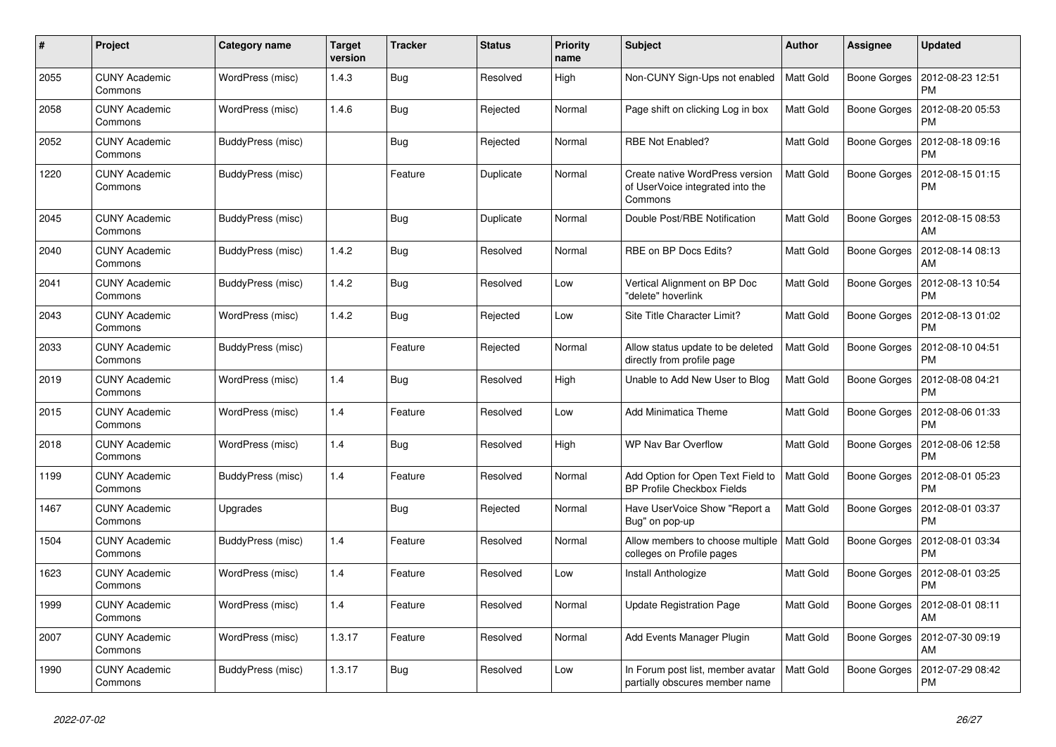| #    | Project                         | Category name     | Target<br>version | <b>Tracker</b> | <b>Status</b> | <b>Priority</b><br>name | <b>Subject</b>                                                                 | <b>Author</b>    | Assignee            | <b>Updated</b>                |
|------|---------------------------------|-------------------|-------------------|----------------|---------------|-------------------------|--------------------------------------------------------------------------------|------------------|---------------------|-------------------------------|
| 2055 | <b>CUNY Academic</b><br>Commons | WordPress (misc)  | 1.4.3             | Bug            | Resolved      | High                    | Non-CUNY Sign-Ups not enabled                                                  | <b>Matt Gold</b> | <b>Boone Gorges</b> | 2012-08-23 12:51<br><b>PM</b> |
| 2058 | <b>CUNY Academic</b><br>Commons | WordPress (misc)  | 1.4.6             | <b>Bug</b>     | Rejected      | Normal                  | Page shift on clicking Log in box                                              | Matt Gold        | <b>Boone Gorges</b> | 2012-08-20 05:53<br><b>PM</b> |
| 2052 | <b>CUNY Academic</b><br>Commons | BuddyPress (misc) |                   | <b>Bug</b>     | Rejected      | Normal                  | RBE Not Enabled?                                                               | Matt Gold        | Boone Gorges        | 2012-08-18 09:16<br><b>PM</b> |
| 1220 | <b>CUNY Academic</b><br>Commons | BuddyPress (misc) |                   | Feature        | Duplicate     | Normal                  | Create native WordPress version<br>of UserVoice integrated into the<br>Commons | Matt Gold        | Boone Gorges        | 2012-08-15 01:15<br><b>PM</b> |
| 2045 | <b>CUNY Academic</b><br>Commons | BuddyPress (misc) |                   | <b>Bug</b>     | Duplicate     | Normal                  | Double Post/RBE Notification                                                   | <b>Matt Gold</b> | Boone Gorges        | 2012-08-15 08:53<br>AM        |
| 2040 | <b>CUNY Academic</b><br>Commons | BuddyPress (misc) | 1.4.2             | <b>Bug</b>     | Resolved      | Normal                  | RBE on BP Docs Edits?                                                          | <b>Matt Gold</b> | Boone Gorges        | 2012-08-14 08:13<br>AM        |
| 2041 | <b>CUNY Academic</b><br>Commons | BuddyPress (misc) | 1.4.2             | Bug            | Resolved      | Low                     | Vertical Alignment on BP Doc<br>"delete" hoverlink                             | <b>Matt Gold</b> | <b>Boone Gorges</b> | 2012-08-13 10:54<br><b>PM</b> |
| 2043 | <b>CUNY Academic</b><br>Commons | WordPress (misc)  | 1.4.2             | <b>Bug</b>     | Rejected      | Low                     | Site Title Character Limit?                                                    | <b>Matt Gold</b> | Boone Gorges        | 2012-08-13 01:02<br><b>PM</b> |
| 2033 | <b>CUNY Academic</b><br>Commons | BuddyPress (misc) |                   | Feature        | Rejected      | Normal                  | Allow status update to be deleted<br>directly from profile page                | <b>Matt Gold</b> | Boone Gorges        | 2012-08-10 04:51<br><b>PM</b> |
| 2019 | <b>CUNY Academic</b><br>Commons | WordPress (misc)  | 1.4               | <b>Bug</b>     | Resolved      | High                    | Unable to Add New User to Blog                                                 | Matt Gold        | Boone Gorges        | 2012-08-08 04:21<br><b>PM</b> |
| 2015 | <b>CUNY Academic</b><br>Commons | WordPress (misc)  | 1.4               | Feature        | Resolved      | Low                     | <b>Add Minimatica Theme</b>                                                    | <b>Matt Gold</b> | Boone Gorges        | 2012-08-06 01:33<br><b>PM</b> |
| 2018 | <b>CUNY Academic</b><br>Commons | WordPress (misc)  | 1.4               | <b>Bug</b>     | Resolved      | High                    | <b>WP Nav Bar Overflow</b>                                                     | Matt Gold        | Boone Gorges        | 2012-08-06 12:58<br><b>PM</b> |
| 1199 | <b>CUNY Academic</b><br>Commons | BuddyPress (misc) | 1.4               | Feature        | Resolved      | Normal                  | Add Option for Open Text Field to<br>BP Profile Checkbox Fields                | <b>Matt Gold</b> | Boone Gorges        | 2012-08-01 05:23<br><b>PM</b> |
| 1467 | <b>CUNY Academic</b><br>Commons | Upgrades          |                   | <b>Bug</b>     | Rejected      | Normal                  | Have UserVoice Show "Report a<br>Bug" on pop-up                                | <b>Matt Gold</b> | Boone Gorges        | 2012-08-01 03:37<br><b>PM</b> |
| 1504 | <b>CUNY Academic</b><br>Commons | BuddyPress (misc) | 1.4               | Feature        | Resolved      | Normal                  | Allow members to choose multiple<br>colleges on Profile pages                  | Matt Gold        | Boone Gorges        | 2012-08-01 03:34<br><b>PM</b> |
| 1623 | <b>CUNY Academic</b><br>Commons | WordPress (misc)  | 1.4               | Feature        | Resolved      | Low                     | Install Anthologize                                                            | <b>Matt Gold</b> | <b>Boone Gorges</b> | 2012-08-01 03:25<br><b>PM</b> |
| 1999 | <b>CUNY Academic</b><br>Commons | WordPress (misc)  | 1.4               | Feature        | Resolved      | Normal                  | <b>Update Registration Page</b>                                                | <b>Matt Gold</b> | Boone Gorges        | 2012-08-01 08:11<br>AM        |
| 2007 | <b>CUNY Academic</b><br>Commons | WordPress (misc)  | 1.3.17            | Feature        | Resolved      | Normal                  | Add Events Manager Plugin                                                      | <b>Matt Gold</b> | Boone Gorges        | 2012-07-30 09:19<br>AM        |
| 1990 | <b>CUNY Academic</b><br>Commons | BuddyPress (misc) | 1.3.17            | Bug            | Resolved      | Low                     | In Forum post list, member avatar<br>partially obscures member name            | <b>Matt Gold</b> | Boone Gorges        | 2012-07-29 08:42<br><b>PM</b> |